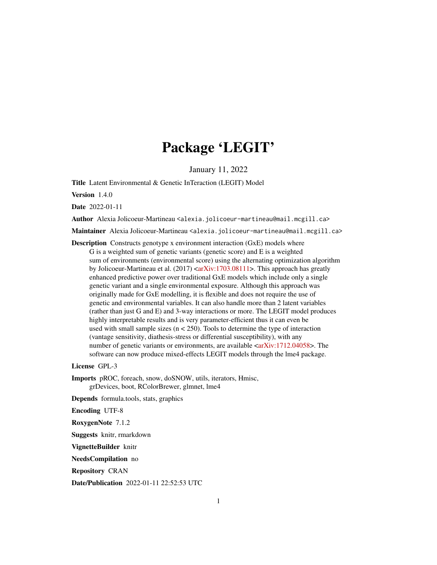# Package 'LEGIT'

January 11, 2022

Title Latent Environmental & Genetic InTeraction (LEGIT) Model

Version 1.4.0

Date 2022-01-11

Author Alexia Jolicoeur-Martineau <alexia.jolicoeur-martineau@mail.mcgill.ca>

Maintainer Alexia Jolicoeur-Martineau <alexia.jolicoeur-martineau@mail.mcgill.ca>

Description Constructs genotype x environment interaction (GxE) models where G is a weighted sum of genetic variants (genetic score) and E is a weighted sum of environments (environmental score) using the alternating optimization algorithm by Jolicoeur-Martineau et al. (2017)  $\langle \text{arXiv:1703.08111>}$ . This approach has greatly enhanced predictive power over traditional GxE models which include only a single genetic variant and a single environmental exposure. Although this approach was originally made for GxE modelling, it is flexible and does not require the use of genetic and environmental variables. It can also handle more than 2 latent variables (rather than just G and E) and 3-way interactions or more. The LEGIT model produces highly interpretable results and is very parameter-efficient thus it can even be used with small sample sizes  $(n < 250)$ . Tools to determine the type of interaction (vantage sensitivity, diathesis-stress or differential susceptibility), with any number of genetic variants or environments, are available [<arXiv:1712.04058>](https://arxiv.org/abs/1712.04058). The software can now produce mixed-effects LEGIT models through the lme4 package.

License GPL-3

Imports pROC, foreach, snow, doSNOW, utils, iterators, Hmisc, grDevices, boot, RColorBrewer, glmnet, lme4

Depends formula.tools, stats, graphics

Encoding UTF-8

RoxygenNote 7.1.2

Suggests knitr, rmarkdown

VignetteBuilder knitr

NeedsCompilation no

Repository CRAN

Date/Publication 2022-01-11 22:52:53 UTC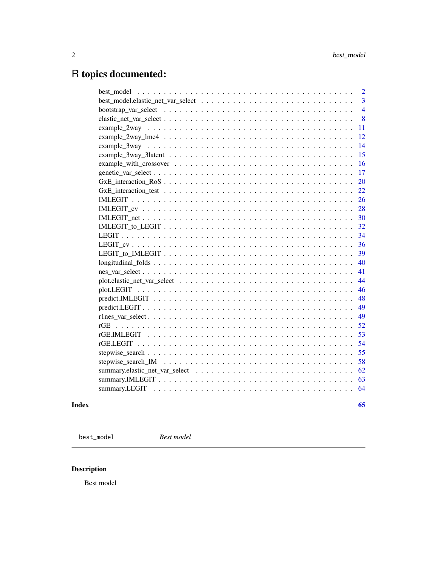# <span id="page-1-0"></span>R topics documented:

| $\overline{2}$                                                                                           |
|----------------------------------------------------------------------------------------------------------|
| $\overline{3}$                                                                                           |
| $\overline{4}$                                                                                           |
| 8                                                                                                        |
| 11                                                                                                       |
| 12                                                                                                       |
| 14                                                                                                       |
| 15                                                                                                       |
| 16                                                                                                       |
| 17                                                                                                       |
| 20                                                                                                       |
| 22                                                                                                       |
| 26                                                                                                       |
| 28                                                                                                       |
| 30<br>$IMLEGIT\_net \ldots \ldots \ldots \ldots \ldots \ldots \ldots \ldots \ldots \ldots \ldots \ldots$ |
| 32                                                                                                       |
| 34                                                                                                       |
| 36                                                                                                       |
| 39                                                                                                       |
| $longitudinal_folds$<br>40                                                                               |
| 41                                                                                                       |
| 44                                                                                                       |
| 46                                                                                                       |
| 48                                                                                                       |
| 49                                                                                                       |
| 49                                                                                                       |
| 52                                                                                                       |
| 53                                                                                                       |
| 54                                                                                                       |
| 55                                                                                                       |
| 58                                                                                                       |
| 62                                                                                                       |
| 63                                                                                                       |
| 64                                                                                                       |
|                                                                                                          |

#### **Index** [65](#page-64-0)

best\_model *Best model*

### Description

Best model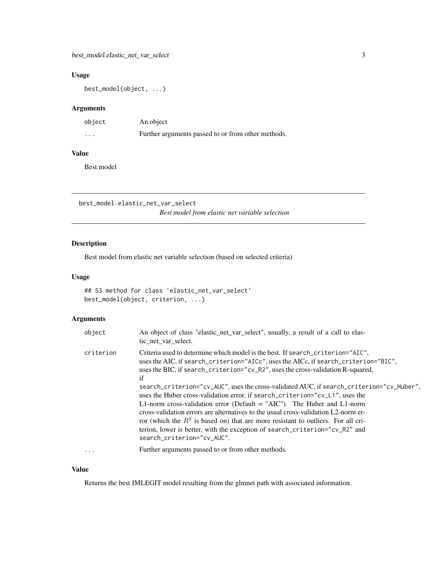#### <span id="page-2-0"></span>Usage

best\_model(object, ...)

#### Arguments

| object  | An object                                          |
|---------|----------------------------------------------------|
| $\cdot$ | Further arguments passed to or from other methods. |

#### Value

Best model

best\_model.elastic\_net\_var\_select *Best model from elastic net variable selection*

#### Description

Best model from elastic net variable selection (based on selected criteria)

#### Usage

```
## S3 method for class 'elastic_net_var_select'
best_model(object, criterion, ...)
```
#### Arguments

| object    | An object of class "elastic_net_var_select", usually, a result of a call to elas-<br>tic net var select.                                                                                                                                                                                                                                                                                                                                                                                                                                                                                                                                                                                                                                                                                                             |
|-----------|----------------------------------------------------------------------------------------------------------------------------------------------------------------------------------------------------------------------------------------------------------------------------------------------------------------------------------------------------------------------------------------------------------------------------------------------------------------------------------------------------------------------------------------------------------------------------------------------------------------------------------------------------------------------------------------------------------------------------------------------------------------------------------------------------------------------|
| criterion | Criteria used to determine which model is the best. If search_criterion="AIC",<br>uses the AIC, if search_criterion="AICc", uses the AICc, if search_criterion="BIC",<br>uses the BIC, if search_criterion="cv_R2", uses the cross-validation R-squared,<br>if<br>search_criterion="cv_AUC", uses the cross-validated AUC, if search_criterion="cv_Huber",<br>uses the Huber cross-validation error, if search_criterion="cv_L1", uses the<br>L1-norm cross-validation error (Default $=$ "AIC"). The Huber and L1-norm<br>cross-validation errors are alternatives to the usual cross-validation $L2$ -norm er-<br>ror (which the $R^2$ is based on) that are more resistant to outliers. For all cri-<br>terion, lower is better, with the exception of search_criterion="cv_R2" and<br>search_criterion="cv_AUC". |
| $\ddotsc$ | Further arguments passed to or from other methods.                                                                                                                                                                                                                                                                                                                                                                                                                                                                                                                                                                                                                                                                                                                                                                   |

#### Value

Returns the best IMLEGIT model resulting from the glmnet path with associated information.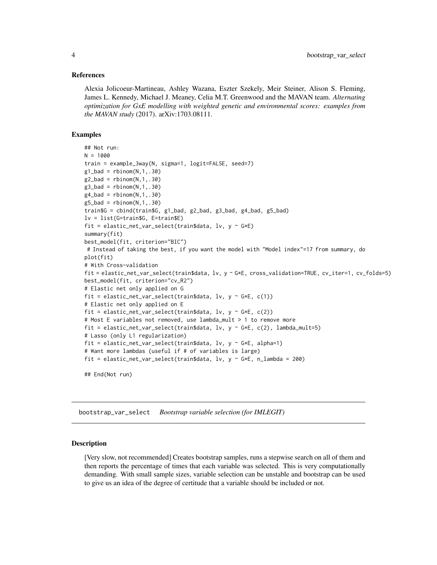#### <span id="page-3-0"></span>References

Alexia Jolicoeur-Martineau, Ashley Wazana, Eszter Szekely, Meir Steiner, Alison S. Fleming, James L. Kennedy, Michael J. Meaney, Celia M.T. Greenwood and the MAVAN team. *Alternating optimization for GxE modelling with weighted genetic and environmental scores: examples from the MAVAN study* (2017). arXiv:1703.08111.

#### Examples

```
## Not run:
N = 1000train = example_3way(N, sigma=1, logit=FALSE, seed=7)
g1_bad = rbinom(N,1,.30)g2_bad = rbinom(N,1,.30)g3_bad = rbinom(N,1,.30)g4<sub>-</sub>bad = rbinom(N,1,.30)g5_bad = rbinom(N,1,.30)train$G = cbind(train$G, g1_bad, g2_bad, g3_bad, g4_bad, g5_bad)
lv = list(G=train$G, E=train$E)
fit = elastic_net_var_select(train$data, lv, y ~ G*E)
summary(fit)
best_model(fit, criterion="BIC")
# Instead of taking the best, if you want the model with "Model index"=17 from summary, do
plot(fit)
# With Cross-validation
fit = elastic_net_var_select(train$data, lv, y ~ G*E, cross_validation=TRUE, cv_iter=1, cv_folds=5)
best_model(fit, criterion="cv_R2")
# Elastic net only applied on G
fit = elastic_net_var_select(train$data, lv, y \sim G*E, c(1))
# Elastic net only applied on E
fit = elastic_net_var_select(train$data, lv, y \sim G*E, c(2))
# Most E variables not removed, use lambda_mult > 1 to remove more
fit = elastic_net_var_select(train$data, lv, y \sim G*E, c(2), lambda_mult=5)
# Lasso (only L1 regularization)
fit = elastic_net_var_select(train$data, lv, y \sim G*E, alpha=1)
# Want more lambdas (useful if # of variables is large)
fit = elastic_net_var_select(train$data, lv, y \sim G*E, n_lambda = 200)
## End(Not run)
```
bootstrap\_var\_select *Bootstrap variable selection (for IMLEGIT)*

#### Description

[Very slow, not recommended] Creates bootstrap samples, runs a stepwise search on all of them and then reports the percentage of times that each variable was selected. This is very computationally demanding. With small sample sizes, variable selection can be unstable and bootstrap can be used to give us an idea of the degree of certitude that a variable should be included or not.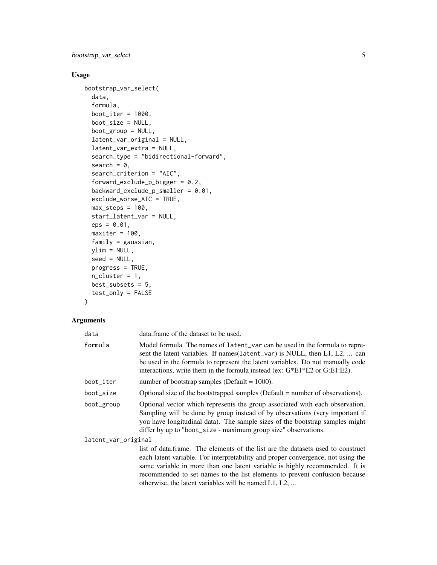bootstrap\_var\_select 5

#### Usage

```
bootstrap_var_select(
  data,
  formula,
 boot_iter = 1000,
 boot_size = NULL,
 boot_group = NULL,
  latent_var_original = NULL,
  latent_var_extra = NULL,
  search_type = "bidirectional-forward",
  search = 0,
  search_criterion = "AIC",
  forward_exclude_p_bigger = 0.2,
  backward_exclude_p_smaller = 0.01,
  exclude_worse_AIC = TRUE,
 max\_steps = 100,
  start_latent_var = NULL,
  eps = 0.01,
 maxiter = 100,
  family = gaussian,
 ylim = NULL,
  seed = NULL,
 progress = TRUE,
 n<sup>-</sup>cluster = 1,
 best\_subsets = 5,
  test_only = FALSE
\mathcal{L}
```
## Arguments

| data                | data. frame of the dataset to be used.                                                                                                                                                                                                                                                                                         |
|---------------------|--------------------------------------------------------------------------------------------------------------------------------------------------------------------------------------------------------------------------------------------------------------------------------------------------------------------------------|
| formula             | Model formula. The names of latent_var can be used in the formula to repre-<br>sent the latent variables. If names (latent_var) is NULL, then L1, L2,  can<br>be used in the formula to represent the latent variables. Do not manually code<br>interactions, write them in the formula instead (ex: $G*E1*E2$ or $G:E1:E2$ ). |
| boot_iter           | number of bootstrap samples (Default = $1000$ ).                                                                                                                                                                                                                                                                               |
| boot size           | Optional size of the bootstrapped samples (Default = number of observations).                                                                                                                                                                                                                                                  |
| boot_group          | Optional vector which represents the group associated with each observation.<br>Sampling will be done by group instead of by observations (very important if<br>you have longitudinal data). The sample sizes of the bootstrap samples might<br>differ by up to "boot_size - maximum group size" observations.                 |
| latent_var_original |                                                                                                                                                                                                                                                                                                                                |
|                     | list of data. frame. The elements of the list are the datasets used to construct                                                                                                                                                                                                                                               |

list of data.frame. The elements of the list are the datasets used to construct each latent variable. For interpretability and proper convergence, not using the same variable in more than one latent variable is highly recommended. It is recommended to set names to the list elements to prevent confusion because otherwise, the latent variables will be named L1, L2, ...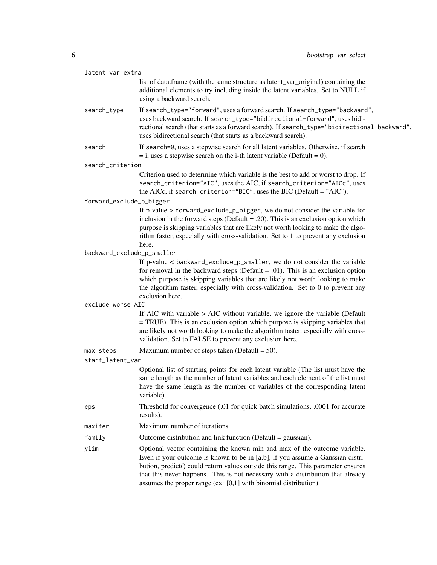| latent_var_extra           |                                                                                                                                                                                                                                                                                                                                                                                                        |  |
|----------------------------|--------------------------------------------------------------------------------------------------------------------------------------------------------------------------------------------------------------------------------------------------------------------------------------------------------------------------------------------------------------------------------------------------------|--|
|                            | list of data.frame (with the same structure as latent_var_original) containing the<br>additional elements to try including inside the latent variables. Set to NULL if<br>using a backward search.                                                                                                                                                                                                     |  |
| search_type                | If search_type="forward", uses a forward search. If search_type="backward",<br>uses backward search. If search_type="bidirectional-forward", uses bidi-<br>rectional search (that starts as a forward search). If search_type="bidirectional-backward",<br>uses bidirectional search (that starts as a backward search).                                                                               |  |
| search                     | If search=0, uses a stepwise search for all latent variables. Otherwise, if search<br>$=$ i, uses a stepwise search on the i-th latent variable (Default = 0).                                                                                                                                                                                                                                         |  |
| search_criterion           |                                                                                                                                                                                                                                                                                                                                                                                                        |  |
|                            | Criterion used to determine which variable is the best to add or worst to drop. If<br>search_criterion="AIC", uses the AIC, if search_criterion="AICc", uses<br>the AICc, if search_criterion="BIC", uses the BIC (Default = "AIC").                                                                                                                                                                   |  |
| forward_exclude_p_bigger   |                                                                                                                                                                                                                                                                                                                                                                                                        |  |
|                            | If p-value > forward_exclude_p_bigger, we do not consider the variable for<br>inclusion in the forward steps (Default = $.20$ ). This is an exclusion option which<br>purpose is skipping variables that are likely not worth looking to make the algo-<br>rithm faster, especially with cross-validation. Set to 1 to prevent any exclusion<br>here.                                                  |  |
| backward_exclude_p_smaller |                                                                                                                                                                                                                                                                                                                                                                                                        |  |
|                            | If p-value < backward_exclude_p_smaller, we do not consider the variable<br>for removal in the backward steps (Default = .01). This is an exclusion option<br>which purpose is skipping variables that are likely not worth looking to make<br>the algorithm faster, especially with cross-validation. Set to 0 to prevent any<br>exclusion here.                                                      |  |
| exclude_worse_AIC          |                                                                                                                                                                                                                                                                                                                                                                                                        |  |
|                            | If AIC with variable $>$ AIC without variable, we ignore the variable (Default<br>= TRUE). This is an exclusion option which purpose is skipping variables that<br>are likely not worth looking to make the algorithm faster, especially with cross-<br>validation. Set to FALSE to prevent any exclusion here.                                                                                        |  |
| max_steps                  | Maximum number of steps taken (Default = $50$ ).                                                                                                                                                                                                                                                                                                                                                       |  |
| start_latent_var           |                                                                                                                                                                                                                                                                                                                                                                                                        |  |
|                            | Optional list of starting points for each latent variable (The list must have the<br>same length as the number of latent variables and each element of the list must<br>have the same length as the number of variables of the corresponding latent<br>variable).                                                                                                                                      |  |
| eps                        | Threshold for convergence (.01 for quick batch simulations, .0001 for accurate<br>results).                                                                                                                                                                                                                                                                                                            |  |
| maxiter                    | Maximum number of iterations.                                                                                                                                                                                                                                                                                                                                                                          |  |
| family                     | Outcome distribution and link function (Default = gaussian).                                                                                                                                                                                                                                                                                                                                           |  |
| ylim                       | Optional vector containing the known min and max of the outcome variable.<br>Even if your outcome is known to be in [a,b], if you assume a Gaussian distri-<br>bution, predict() could return values outside this range. This parameter ensures<br>that this never happens. This is not necessary with a distribution that already<br>assumes the proper range (ex: [0,1] with binomial distribution). |  |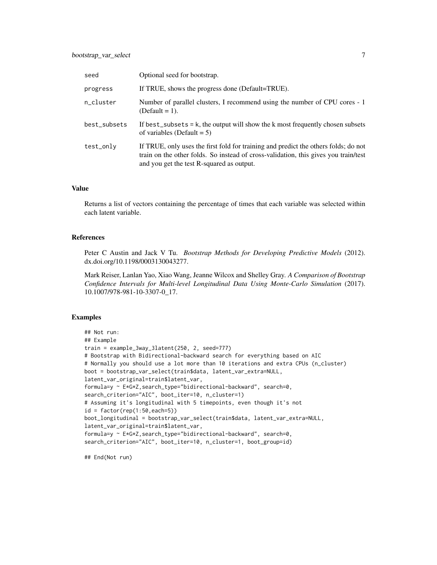| seed         | Optional seed for bootstrap.                                                                                                                                                                                            |
|--------------|-------------------------------------------------------------------------------------------------------------------------------------------------------------------------------------------------------------------------|
| progress     | If TRUE, shows the progress done (Default=TRUE).                                                                                                                                                                        |
| n_cluster    | Number of parallel clusters, I recommend using the number of CPU cores - 1<br>$(Default = 1).$                                                                                                                          |
| best_subsets | If best_subsets $= k$ , the output will show the k most frequently chosen subsets<br>of variables (Default = $5$ )                                                                                                      |
| test_only    | If TRUE, only uses the first fold for training and predict the others folds; do not<br>train on the other folds. So instead of cross-validation, this gives you train/test<br>and you get the test R-squared as output. |

Returns a list of vectors containing the percentage of times that each variable was selected within each latent variable.

#### References

Peter C Austin and Jack V Tu. *Bootstrap Methods for Developing Predictive Models* (2012). dx.doi.org/10.1198/0003130043277.

Mark Reiser, Lanlan Yao, Xiao Wang, Jeanne Wilcox and Shelley Gray. *A Comparison of Bootstrap Confidence Intervals for Multi-level Longitudinal Data Using Monte-Carlo Simulation* (2017). 10.1007/978-981-10-3307-0\_17.

#### Examples

```
## Not run:
## Example
train = example_3way_3latent(250, 2, seed=777)
# Bootstrap with Bidirectional-backward search for everything based on AIC
# Normally you should use a lot more than 10 iterations and extra CPUs (n_cluster)
boot = bootstrap_var_select(train$data, latent_var_extra=NULL,
latent_var_original=train$latent_var,
formula=y ~ E*G*Z,search_type="bidirectional-backward", search=0,
search_criterion="AIC", boot_iter=10, n_cluster=1)
# Assuming it's longitudinal with 5 timepoints, even though it's not
id = factor(rep(1:50, each=5))boot_longitudinal = bootstrap_var_select(train$data, latent_var_extra=NULL,
latent_var_original=train$latent_var,
formula=y ~ E*G*Z,search_type="bidirectional-backward", search=0,
search_criterion="AIC", boot_iter=10, n_cluster=1, boot_group=id)
```
## End(Not run)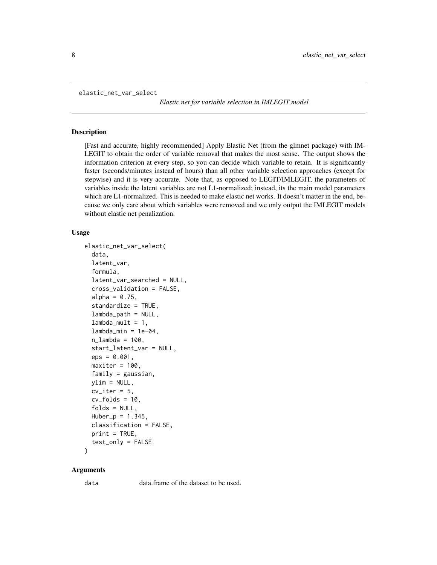```
elastic_net_var_select
```
*Elastic net for variable selection in IMLEGIT model*

#### **Description**

[Fast and accurate, highly recommended] Apply Elastic Net (from the glmnet package) with IM-LEGIT to obtain the order of variable removal that makes the most sense. The output shows the information criterion at every step, so you can decide which variable to retain. It is significantly faster (seconds/minutes instead of hours) than all other variable selection approaches (except for stepwise) and it is very accurate. Note that, as opposed to LEGIT/IMLEGIT, the parameters of variables inside the latent variables are not L1-normalized; instead, its the main model parameters which are L1-normalized. This is needed to make elastic net works. It doesn't matter in the end, because we only care about which variables were removed and we only output the IMLEGIT models without elastic net penalization.

#### Usage

```
elastic_net_var_select(
  data,
  latent_var,
  formula,
  latent_var_searched = NULL,
  cross_validation = FALSE,
  alpha = 0.75,
  standardize = TRUE,
  lambda_path = NULL,
  lambda_mult = 1,
  lambda_min = 1e-04,
  n<sup>1</sup>ambda = 100,
  start_latent_var = NULL,
  eps = 0.001,maxiter = 100,
  family = gaussian,
  vlim = NULL,cv\_iter = 5,
  cv_folds = 10,
  folds = NULL,
 Huber_p = 1.345,classification = FALSE,
  print = TRUE,test_only = FALSE
```
#### )

#### Arguments

data data.frame of the dataset to be used.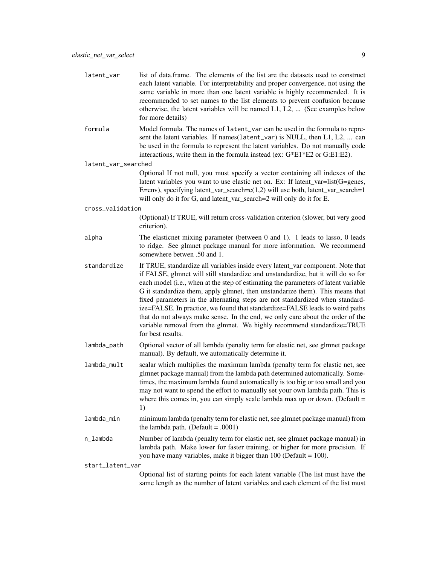| latent_var          | list of data.frame. The elements of the list are the datasets used to construct<br>each latent variable. For interpretability and proper convergence, not using the<br>same variable in more than one latent variable is highly recommended. It is<br>recommended to set names to the list elements to prevent confusion because<br>otherwise, the latent variables will be named L1, L2,  (See examples below<br>for more details)                                                                                                                                                                                                                                                          |  |
|---------------------|----------------------------------------------------------------------------------------------------------------------------------------------------------------------------------------------------------------------------------------------------------------------------------------------------------------------------------------------------------------------------------------------------------------------------------------------------------------------------------------------------------------------------------------------------------------------------------------------------------------------------------------------------------------------------------------------|--|
| formula             | Model formula. The names of latent_var can be used in the formula to repre-<br>sent the latent variables. If names (latent_var) is NULL, then L1, L2,  can<br>be used in the formula to represent the latent variables. Do not manually code<br>interactions, write them in the formula instead (ex: G*E1*E2 or G:E1:E2).                                                                                                                                                                                                                                                                                                                                                                    |  |
| latent_var_searched |                                                                                                                                                                                                                                                                                                                                                                                                                                                                                                                                                                                                                                                                                              |  |
|                     | Optional If not null, you must specify a vector containing all indexes of the<br>latent variables you want to use elastic net on. Ex: If latent_var=list(G=genes,<br>E=env), specifying latent_var_search=c(1,2) will use both, latent_var_search=1<br>will only do it for G, and latent_var_search=2 will only do it for E.                                                                                                                                                                                                                                                                                                                                                                 |  |
| cross_validation    |                                                                                                                                                                                                                                                                                                                                                                                                                                                                                                                                                                                                                                                                                              |  |
|                     | (Optional) If TRUE, will return cross-validation criterion (slower, but very good<br>criterion).                                                                                                                                                                                                                                                                                                                                                                                                                                                                                                                                                                                             |  |
| alpha               | The elasticnet mixing parameter (between 0 and 1). 1 leads to lasso, 0 leads<br>to ridge. See glmnet package manual for more information. We recommend<br>somewhere betwen .50 and 1.                                                                                                                                                                                                                                                                                                                                                                                                                                                                                                        |  |
| standardize         | If TRUE, standardize all variables inside every latent_var component. Note that<br>if FALSE, glmnet will still standardize and unstandardize, but it will do so for<br>each model (i.e., when at the step of estimating the parameters of latent variable<br>G it standardize them, apply glmnet, then unstandarize them). This means that<br>fixed parameters in the alternating steps are not standardized when standard-<br>ize=FALSE. In practice, we found that standardize=FALSE leads to weird paths<br>that do not always make sense. In the end, we only care about the order of the<br>variable removal from the glmnet. We highly recommend standardize=TRUE<br>for best results. |  |
| lambda_path         | Optional vector of all lambda (penalty term for elastic net, see glmnet package<br>manual). By default, we automatically determine it.                                                                                                                                                                                                                                                                                                                                                                                                                                                                                                                                                       |  |
| lambda_mult         | scalar which multiplies the maximum lambda (penalty term for elastic net, see<br>glmnet package manual) from the lambda path determined automatically. Some-<br>times, the maximum lambda found automatically is too big or too small and you<br>may not want to spend the effort to manually set your own lambda path. This is<br>where this comes in, you can simply scale lambda max up or down. (Default $=$<br>1)                                                                                                                                                                                                                                                                       |  |
| lambda_min          | minimum lambda (penalty term for elastic net, see glmnet package manual) from<br>the lambda path. (Default = .0001)                                                                                                                                                                                                                                                                                                                                                                                                                                                                                                                                                                          |  |
| n_lambda            | Number of lambda (penalty term for elastic net, see glmnet package manual) in<br>lambda path. Make lower for faster training, or higher for more precision. If<br>you have many variables, make it bigger than $100$ (Default = $100$ ).                                                                                                                                                                                                                                                                                                                                                                                                                                                     |  |
| start_latent_var    |                                                                                                                                                                                                                                                                                                                                                                                                                                                                                                                                                                                                                                                                                              |  |
|                     | Optional list of starting points for each latent variable (The list must have the<br>same length as the number of latent variables and each element of the list must                                                                                                                                                                                                                                                                                                                                                                                                                                                                                                                         |  |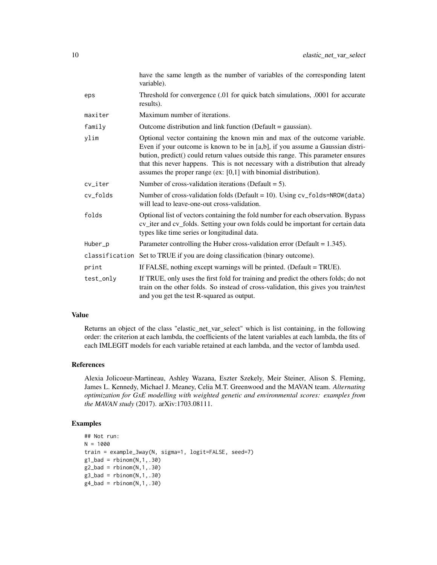|                | have the same length as the number of variables of the corresponding latent<br>variable).                                                                                                                                                                                                                                                                                                                |
|----------------|----------------------------------------------------------------------------------------------------------------------------------------------------------------------------------------------------------------------------------------------------------------------------------------------------------------------------------------------------------------------------------------------------------|
| eps            | Threshold for convergence (.01 for quick batch simulations, .0001 for accurate<br>results).                                                                                                                                                                                                                                                                                                              |
| maxiter        | Maximum number of iterations.                                                                                                                                                                                                                                                                                                                                                                            |
| family         | Outcome distribution and link function (Default = gaussian).                                                                                                                                                                                                                                                                                                                                             |
| ylim           | Optional vector containing the known min and max of the outcome variable.<br>Even if your outcome is known to be in [a,b], if you assume a Gaussian distri-<br>bution, predict() could return values outside this range. This parameter ensures<br>that this never happens. This is not necessary with a distribution that already<br>assumes the proper range (ex: $[0,1]$ with binomial distribution). |
| cv_iter        | Number of cross-validation iterations (Default $= 5$ ).                                                                                                                                                                                                                                                                                                                                                  |
| cv_folds       | Number of cross-validation folds (Default = 10). Using cv_folds=NROW(data)<br>will lead to leave-one-out cross-validation.                                                                                                                                                                                                                                                                               |
| folds          | Optional list of vectors containing the fold number for each observation. Bypass<br>cv_iter and cv_folds. Setting your own folds could be important for certain data<br>types like time series or longitudinal data.                                                                                                                                                                                     |
| Huber_p        | Parameter controlling the Huber cross-validation error (Default = $1.345$ ).                                                                                                                                                                                                                                                                                                                             |
| classification | Set to TRUE if you are doing classification (binary outcome).                                                                                                                                                                                                                                                                                                                                            |
| print          | If FALSE, nothing except warnings will be printed. (Default = TRUE).                                                                                                                                                                                                                                                                                                                                     |
| test_only      | If TRUE, only uses the first fold for training and predict the others folds; do not<br>train on the other folds. So instead of cross-validation, this gives you train/test<br>and you get the test R-squared as output.                                                                                                                                                                                  |

Returns an object of the class "elastic\_net\_var\_select" which is list containing, in the following order: the criterion at each lambda, the coefficients of the latent variables at each lambda, the fits of each IMLEGIT models for each variable retained at each lambda, and the vector of lambda used.

#### References

Alexia Jolicoeur-Martineau, Ashley Wazana, Eszter Szekely, Meir Steiner, Alison S. Fleming, James L. Kennedy, Michael J. Meaney, Celia M.T. Greenwood and the MAVAN team. *Alternating optimization for GxE modelling with weighted genetic and environmental scores: examples from the MAVAN study* (2017). arXiv:1703.08111.

#### Examples

```
## Not run:
N = 1000
train = example_3way(N, sigma=1, logit=FALSE, seed=7)
g1_bad = rbinom(N,1,.30)
g2_bad = rbinom(N,1,.30)g3_bad = rbinom(N, 1, .30)g4<sub>-</sub>bad = rbinom(N,1,.30)
```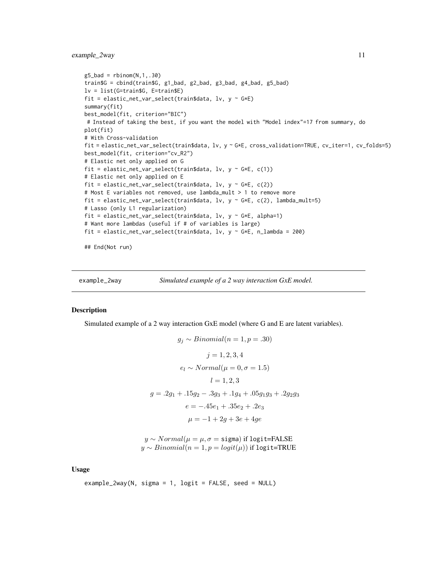<span id="page-10-0"></span>example\_2way 11

```
g5_bad = rbinom(N,1,.30)train$G = cbind(train$G, g1_bad, g2_bad, g3_bad, g4_bad, g5_bad)
lv = list(G=train$G, E=train$E)
fit = elastic_net_var_select(train$data, lv, y ~ G*E)
summary(fit)
best_model(fit, criterion="BIC")
# Instead of taking the best, if you want the model with "Model index"=17 from summary, do
plot(fit)
# With Cross-validation
fit = elastic_net_var_select(train$data, lv, y ~ G*E, cross_validation=TRUE, cv_iter=1, cv_folds=5)
best_model(fit, criterion="cv_R2")
# Elastic net only applied on G
fit = elastic_net_var_select(train$data, lv, y \sim G*E, c(1))
# Elastic net only applied on E
fit = elastic_net_var_select(train$data, lv, y \sim G*E, c(2))
# Most E variables not removed, use lambda_mult > 1 to remove more
fit = elastic_net_var_select(train$data, lv, y ~ G*E, c(2), lambda_mult=5)
# Lasso (only L1 regularization)
fit = elastic_net_var_select(train$data, lv, y ~ G*E, alpha=1)
# Want more lambdas (useful if # of variables is large)
fit = elastic_net_var_select(train$data, lv, y ~ G*E, n_lambda = 200)
```
## End(Not run)

example\_2way *Simulated example of a 2 way interaction GxE model.*

#### Description

Simulated example of a 2 way interaction GxE model (where G and E are latent variables).

$$
g_j \sim Binomial(n = 1, p = .30)
$$
  
\n
$$
j = 1, 2, 3, 4
$$
  
\n
$$
e_l \sim Normal(\mu = 0, \sigma = 1.5)
$$
  
\n
$$
l = 1, 2, 3
$$
  
\n
$$
g = .2g_1 + .15g_2 - .3g_3 + .1g_4 + .05g_1g_3 + .2g_2g_3
$$
  
\n
$$
e = -.45e_1 + .35e_2 + .2e_3
$$
  
\n
$$
\mu = -1 + 2g + 3e + 4ge
$$

 $y \sim Normal(\mu = \mu, \sigma = \text{sigma})$  if logit=FALSE  $y \sim Binomial(n = 1, p = logit(\mu))$  if logit=TRUE

Usage

```
example_2way(N, sigma = 1, logit = FALSE, seed = NULL)
```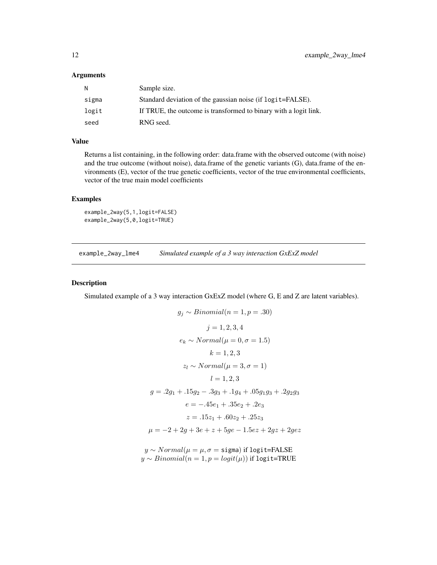#### <span id="page-11-0"></span>Arguments

| N     | Sample size.                                                     |
|-------|------------------------------------------------------------------|
| sigma | Standard deviation of the gaussian noise (if logit=FALSE).       |
| logit | If TRUE, the outcome is transformed to binary with a logit link. |
| seed  | RNG seed.                                                        |

#### Value

Returns a list containing, in the following order: data.frame with the observed outcome (with noise) and the true outcome (without noise), data.frame of the genetic variants (G), data.frame of the environments (E), vector of the true genetic coefficients, vector of the true environmental coefficients, vector of the true main model coefficients

#### Examples

```
example_2way(5,1,logit=FALSE)
example_2way(5,0,logit=TRUE)
```
example\_2way\_lme4 *Simulated example of a 3 way interaction GxExZ model*

#### Description

Simulated example of a 3 way interaction GxExZ model (where G, E and Z are latent variables).

$$
g_j \sim Binomial(n = 1, p = .30)
$$
  
\n
$$
j = 1, 2, 3, 4
$$
  
\n
$$
e_k \sim Normal(\mu = 0, \sigma = 1.5)
$$
  
\n
$$
k = 1, 2, 3
$$
  
\n
$$
z_l \sim Normal(\mu = 3, \sigma = 1)
$$
  
\n
$$
l = 1, 2, 3
$$
  
\n
$$
g = .2g_1 + .15g_2 - .3g_3 + .1g_4 + .05g_1g_3 + .2g_2g_3
$$
  
\n
$$
e = -.45e_1 + .35e_2 + .2e_3
$$
  
\n
$$
z = .15z_1 + .60z_2 + .25z_3
$$
  
\n
$$
\mu = -2 + 2g + 3e + z + 5ge - 1.5ez + 2gz + 2gez
$$

 $y \sim Normal(\mu = \mu, \sigma = \text{sigma})$  if logit=FALSE  $y \sim Binomial(n = 1, p = logit(\mu))$  if logit=TRUE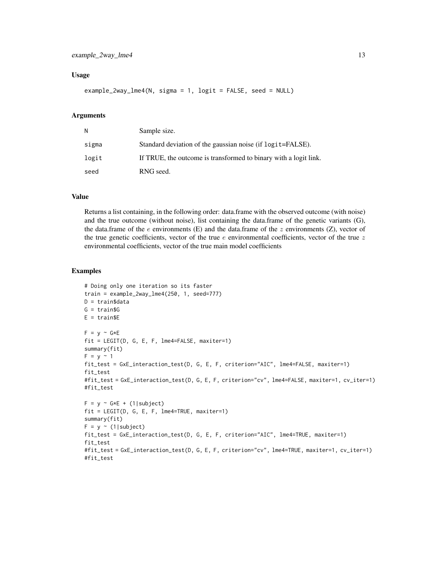#### Usage

```
example_2way_lme4(N, sigma = 1, logit = FALSE, seed = NULL)
```
#### Arguments

| N     | Sample size.                                                     |
|-------|------------------------------------------------------------------|
| sigma | Standard deviation of the gaussian noise (if logit=FALSE).       |
| logit | If TRUE, the outcome is transformed to binary with a logit link. |
| seed  | RNG seed.                                                        |

#### Value

Returns a list containing, in the following order: data.frame with the observed outcome (with noise) and the true outcome (without noise), list containing the data.frame of the genetic variants (G), the data.frame of the e environments (E) and the data.frame of the  $z$  environments (Z), vector of the true genetic coefficients, vector of the true  $e$  environmental coefficients, vector of the true  $z$ environmental coefficients, vector of the true main model coefficients

#### Examples

```
# Doing only one iteration so its faster
train = example_2way_lme4(250, 1, seed=777)
D = train$data
G = train$G
E = trainSEF = y \sim G*Efit = LEGIT(D, G, E, F, lme4=FALSE, maxiter=1)
summary(fit)
F = y \sim 1fit_test = GxE_interaction_test(D, G, E, F, criterion="AIC", lme4=FALSE, maxiter=1)
fit_test
#fit_test = GxE_interaction_test(D, G, E, F, criterion="cv", lme4=FALSE, maxiter=1, cv_iter=1)
#fit_test
F = y \sim G*E + (1|subject)fit = LEGIT(D, G, E, F, lme4=TRUE, maxiter=1)
summary(fit)
F = y \sim (1 | subject)fit_test = GxE_interaction_test(D, G, E, F, criterion="AIC", lme4=TRUE, maxiter=1)
fit_test
#fit_test = GxE_interaction_test(D, G, E, F, criterion="cv", lme4=TRUE, maxiter=1, cv_iter=1)
#fit_test
```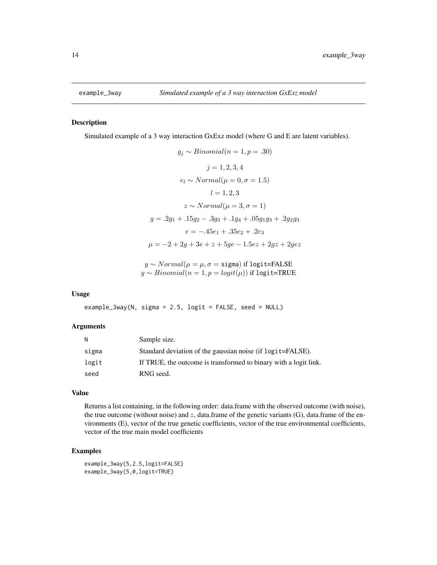<span id="page-13-0"></span>

#### Description

Simulated example of a 3 way interaction GxExz model (where G and E are latent variables).

$$
g_j \sim Binomial(n = 1, p = .30)
$$
  
\n
$$
j = 1, 2, 3, 4
$$
  
\n
$$
e_l \sim Normal(\mu = 0, \sigma = 1.5)
$$
  
\n
$$
l = 1, 2, 3
$$
  
\n
$$
z \sim Normal(\mu = 3, \sigma = 1)
$$
  
\n
$$
g = .2g_1 + .15g_2 - .3g_3 + .1g_4 + .05g_1g_3 + .2g_2g_3
$$
  
\n
$$
e = -.45e_1 + .35e_2 + .2e_3
$$
  
\n
$$
\mu = -2 + 2g + 3e + z + 5ge - 1.5ez + 2gz + 2gez
$$

 $y \sim Normal(\mu = \mu, \sigma = \text{sigma})$  if logit=FALSE  $y \sim Binomial(n = 1, p = logit(\mu))$  if logit=TRUE

#### Usage

```
example_3way(N, sigma = 2.5, logit = FALSE, seed = NULL)
```
#### Arguments

| N     | Sample size.                                                     |
|-------|------------------------------------------------------------------|
| sigma | Standard deviation of the gaussian noise (if logit=FALSE).       |
| logit | If TRUE, the outcome is transformed to binary with a logit link. |
| seed  | RNG seed.                                                        |

#### Value

Returns a list containing, in the following order: data.frame with the observed outcome (with noise), the true outcome (without noise) and  $z$ , data.frame of the genetic variants (G), data.frame of the environments (E), vector of the true genetic coefficients, vector of the true environmental coefficients, vector of the true main model coefficients

#### Examples

example\_3way(5,2.5,logit=FALSE) example\_3way(5,0,logit=TRUE)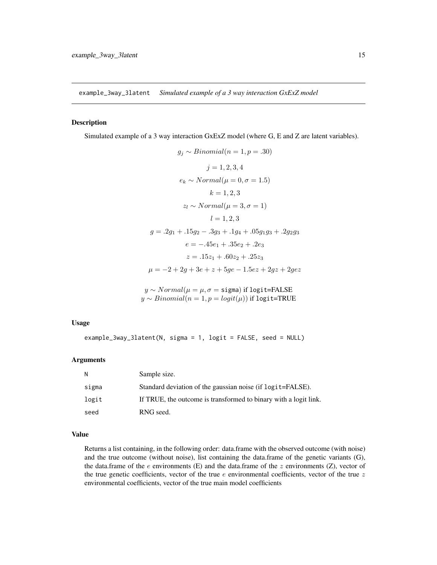<span id="page-14-0"></span>example\_3way\_3latent *Simulated example of a 3 way interaction GxExZ model*

#### Description

Simulated example of a 3 way interaction GxExZ model (where G, E and Z are latent variables).

$$
g_j \sim Binomial(n = 1, p = .30)
$$
  
\n
$$
j = 1, 2, 3, 4
$$
  
\n
$$
e_k \sim Normal(\mu = 0, \sigma = 1.5)
$$
  
\n
$$
k = 1, 2, 3
$$
  
\n
$$
z_l \sim Normal(\mu = 3, \sigma = 1)
$$
  
\n
$$
l = 1, 2, 3
$$
  
\n
$$
g = .2g_1 + .15g_2 - .3g_3 + .1g_4 + .05g_1g_3 + .2g_2g_3
$$
  
\n
$$
e = -.45e_1 + .35e_2 + .2e_3
$$
  
\n
$$
z = .15z_1 + .60z_2 + .25z_3
$$
  
\n
$$
\mu = -2 + 2g + 3e + z + 5ge - 1.5ez + 2gz + 2gez
$$

 $y \sim Normal(\mu = \mu, \sigma = \text{sigma})$  if logit=FALSE  $y \sim Binomial(n = 1, p = logit(\mu))$  if logit=TRUE

#### Usage

example\_3way\_3latent(N, sigma = 1, logit = FALSE, seed = NULL)

#### Arguments

| - N   | Sample size.                                                     |
|-------|------------------------------------------------------------------|
| sigma | Standard deviation of the gaussian noise (if logit=FALSE).       |
| logit | If TRUE, the outcome is transformed to binary with a logit link. |
| seed  | RNG seed.                                                        |

#### Value

Returns a list containing, in the following order: data.frame with the observed outcome (with noise) and the true outcome (without noise), list containing the data.frame of the genetic variants (G), the data.frame of the  $e$  environments (E) and the data.frame of the  $z$  environments (Z), vector of the true genetic coefficients, vector of the true  $e$  environmental coefficients, vector of the true  $z$ environmental coefficients, vector of the true main model coefficients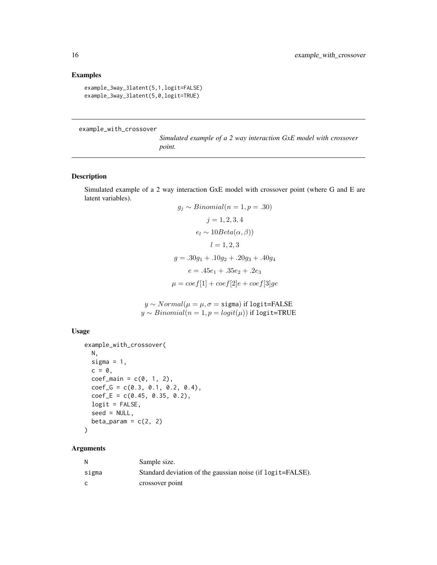#### Examples

```
example_3way_3latent(5,1,logit=FALSE)
example_3way_3latent(5,0,logit=TRUE)
```
example\_with\_crossover

*Simulated example of a 2 way interaction GxE model with crossover point.*

#### Description

Simulated example of a 2 way interaction GxE model with crossover point (where G and E are latent variables).  $Binomial(n - 1, n - 30)$ 

$$
g_j \sim Binomial(n = 1, p = .30)
$$
  
\n
$$
j = 1, 2, 3, 4
$$
  
\n
$$
e_l \sim 10Beta(\alpha, \beta))
$$
  
\n
$$
l = 1, 2, 3
$$
  
\n
$$
g = .30g_1 + .10g_2 + .20g_3 + .40g_4
$$
  
\n
$$
e = .45e_1 + .35e_2 + .2e_3
$$
  
\n
$$
\mu = coef[1] + coef[2]e + coef[3]ge
$$

 $y \sim Normal(\mu = \mu, \sigma = \text{sigma})$  if logit=FALSE  $y \sim Binomial(n = 1, p = logit(\mu))$  if logit=TRUE

#### Usage

```
example_with_crossover(
 N,
  sigma = 1,
 c = 0,
  coef\_main = c(0, 1, 2),
  coef_G = c(0.3, 0.1, 0.2, 0.4),coef_{E} = c(0.45, 0.35, 0.2),
  logit = FALSE,
  seed = NULL,
  beta_param = c(2, 2))
```

| N     | Sample size.                                               |
|-------|------------------------------------------------------------|
| sigma | Standard deviation of the gaussian noise (if logit=FALSE). |
| C     | crossover point                                            |

<span id="page-15-0"></span>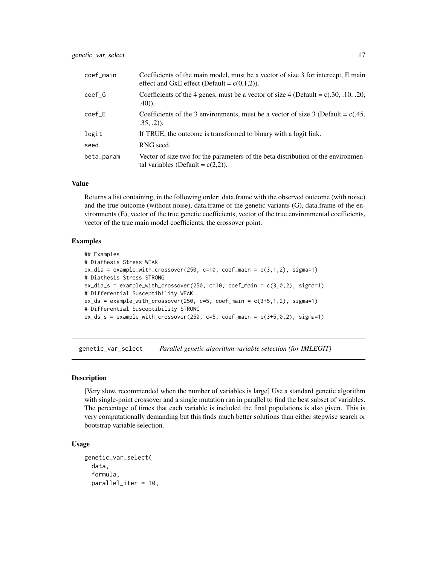<span id="page-16-0"></span>

| coef_main  | Coefficients of the main model, must be a vector of size 3 for intercept, E main<br>effect and GxE effect (Default = $c(0,1,2)$ ). |
|------------|------------------------------------------------------------------------------------------------------------------------------------|
| $coef_G$   | Coefficients of the 4 genes, must be a vector of size 4 (Default = $c(.30, .10, .20, )$ )<br>$(40)$ .                              |
| $coef\_E$  | Coefficients of the 3 environments, must be a vector of size 3 (Default = $c(.45, 10^{-10})$<br>$.35, .2)$ ).                      |
| logit      | If TRUE, the outcome is transformed to binary with a logit link.                                                                   |
| seed       | RNG seed.                                                                                                                          |
| beta_param | Vector of size two for the parameters of the beta distribution of the environmen-<br>tal variables (Default = $c(2,2)$ ).          |

Returns a list containing, in the following order: data.frame with the observed outcome (with noise) and the true outcome (without noise), data.frame of the genetic variants (G), data.frame of the environments (E), vector of the true genetic coefficients, vector of the true environmental coefficients, vector of the true main model coefficients, the crossover point.

#### Examples

```
## Examples
# Diathesis Stress WEAK
ex\_dia = example\_with\_crossover(250, c=10, coef\_main = c(3,1,2), sigma=1)# Diathesis Stress STRONG
ex\_dia\_s = example\_with\_crossover(250, c=10, coef\_main = c(3,0,2), sigma=1)# Differential Susceptibility WEAK
ex\_ds = example\_with\_crossover(250, c=5, coef\_main = c(3+5,1,2), sigma=1)# Differential Susceptibility STRONG
ex\_ds\_s = example_with_crossover(250, c=5, coef_main = c(3+5,0,2), sigma=1)
```
genetic\_var\_select *Parallel genetic algorithm variable selection (for IMLEGIT)*

#### Description

[Very slow, recommended when the number of variables is large] Use a standard genetic algorithm with single-point crossover and a single mutation ran in parallel to find the best subset of variables. The percentage of times that each variable is included the final populations is also given. This is very computationally demanding but this finds much better solutions than either stepwise search or bootstrap variable selection.

#### Usage

```
genetic_var_select(
  data,
  formula,
  parallel_iter = 10,
```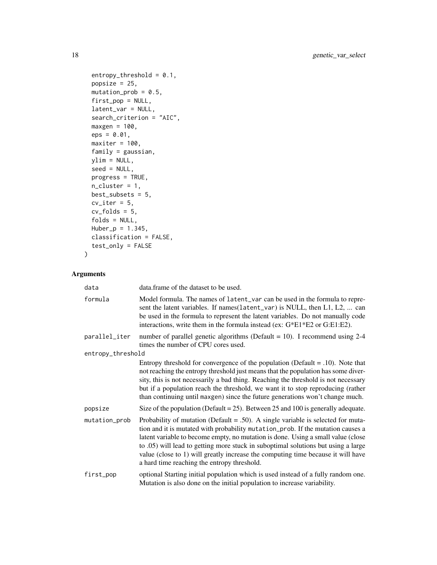```
entropy_{th}reshold = 0.1,
 popsize = 25,
 mutation\_prob = 0.5,
 first_pop = NULL,
  latent_var = NULL,
  search_criterion = "AIC",
 maxgen = 100,eps = 0.01,maxiter = 100,
 family = gaussian,
 ylim = NULL,
 seed = NULL,
 progress = TRUE,
 n<sup>-</sup>cluster = 1,
 best_subsets = 5,
 cv\_iter = 5,
 cv_folds = 5,
 folds = NULL,
 Huber_p = 1.345,classification = FALSE,
 test_only = FALSE
)
```

| data              | data.frame of the dataset to be used.                                                                                                                                                                                                                                                                                                                                                                                                                                           |
|-------------------|---------------------------------------------------------------------------------------------------------------------------------------------------------------------------------------------------------------------------------------------------------------------------------------------------------------------------------------------------------------------------------------------------------------------------------------------------------------------------------|
| formula           | Model formula. The names of latent_var can be used in the formula to repre-<br>sent the latent variables. If names (latent_var) is NULL, then L1, L2,  can<br>be used in the formula to represent the latent variables. Do not manually code<br>interactions, write them in the formula instead (ex: G*E1*E2 or G:E1:E2).                                                                                                                                                       |
| parallel_iter     | number of parallel genetic algorithms (Default = 10). I recommend using $2-4$<br>times the number of CPU cores used.                                                                                                                                                                                                                                                                                                                                                            |
| entropy_threshold |                                                                                                                                                                                                                                                                                                                                                                                                                                                                                 |
|                   | Entropy threshold for convergence of the population (Default $= .10$ ). Note that<br>not reaching the entropy threshold just means that the population has some diver-<br>sity, this is not necessarily a bad thing. Reaching the threshold is not necessary<br>but if a population reach the threshold, we want it to stop reproducing (rather<br>than continuing until maxgen) since the future generations won't change much.                                                |
| popsize           | Size of the population (Default = $25$ ). Between 25 and 100 is generally adequate.                                                                                                                                                                                                                                                                                                                                                                                             |
| mutation_prob     | Probability of mutation (Default = .50). A single variable is selected for muta-<br>tion and it is mutated with probability mutation_prob. If the mutation causes a<br>latent variable to become empty, no mutation is done. Using a small value (close<br>to .05) will lead to getting more stuck in suboptimal solutions but using a large<br>value (close to 1) will greatly increase the computing time because it will have<br>a hard time reaching the entropy threshold. |
| first_pop         | optional Starting initial population which is used instead of a fully random one.<br>Mutation is also done on the initial population to increase variability.                                                                                                                                                                                                                                                                                                                   |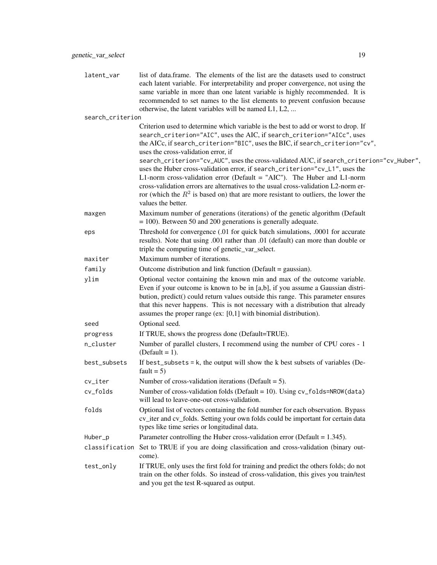| latent_var | list of data. frame. The elements of the list are the datasets used to construct<br>each latent variable. For interpretability and proper convergence, not using the                                                  |
|------------|-----------------------------------------------------------------------------------------------------------------------------------------------------------------------------------------------------------------------|
|            | same variable in more than one latent variable is highly recommended. It is<br>recommended to set names to the list elements to prevent confusion because<br>otherwise, the latent variables will be named $L1, L2, $ |
|            |                                                                                                                                                                                                                       |

|                  | otherwise, the latent variables will be named L1, L2,                                                                                                 |
|------------------|-------------------------------------------------------------------------------------------------------------------------------------------------------|
| search_criterion |                                                                                                                                                       |
|                  | Criterion used to determine which variable is the best to add or worst to drop. If                                                                    |
|                  | search_criterion="AIC", uses the AIC, if search_criterion="AICc", uses                                                                                |
|                  | the AICc, if search_criterion="BIC", uses the BIC, if search_criterion="cv",                                                                          |
|                  | uses the cross-validation error, if<br>search_criterion="cv_AUC", uses the cross-validated AUC, if search_criterion="cv_Huber",                       |
|                  | uses the Huber cross-validation error, if search_criterion="cv_L1", uses the                                                                          |
|                  | L1-norm cross-validation error (Default = "AIC"). The Huber and L1-norm                                                                               |
|                  | cross-validation errors are alternatives to the usual cross-validation L2-norm er-                                                                    |
|                  | ror (which the $R^2$ is based on) that are more resistant to outliers, the lower the                                                                  |
|                  | values the better.                                                                                                                                    |
| maxgen           | Maximum number of generations (iterations) of the genetic algorithm (Default<br>$= 100$ ). Between 50 and 200 generations is generally adequate.      |
| eps              | Threshold for convergence (.01 for quick batch simulations, .0001 for accurate                                                                        |
|                  | results). Note that using .001 rather than .01 (default) can more than double or                                                                      |
|                  | triple the computing time of genetic_var_select.                                                                                                      |
| maxiter          | Maximum number of iterations.                                                                                                                         |
| family           | Outcome distribution and link function (Default = gaussian).                                                                                          |
| ylim             | Optional vector containing the known min and max of the outcome variable.                                                                             |
|                  | Even if your outcome is known to be in [a,b], if you assume a Gaussian distri-                                                                        |
|                  | bution, predict() could return values outside this range. This parameter ensures                                                                      |
|                  | that this never happens. This is not necessary with a distribution that already<br>assumes the proper range (ex: $[0,1]$ with binomial distribution). |
|                  | Optional seed.                                                                                                                                        |
| seed             |                                                                                                                                                       |
| progress         | If TRUE, shows the progress done (Default=TRUE).                                                                                                      |
| n_cluster        | Number of parallel clusters, I recommend using the number of CPU cores - 1<br>$(Default = 1).$                                                        |
| best_subsets     | If best_subsets = $k$ , the output will show the $k$ best subsets of variables (De-<br>fault = $5$ )                                                  |
| cv_iter          | Number of cross-validation iterations (Default = 5).                                                                                                  |
| cv_folds         | Number of cross-validation folds (Default = 10). Using $cv_f$ olds=NROW(data)                                                                         |
|                  | will lead to leave-one-out cross-validation.                                                                                                          |
| folds            | Optional list of vectors containing the fold number for each observation. Bypass                                                                      |
|                  | cv_iter and cv_folds. Setting your own folds could be important for certain data                                                                      |
|                  | types like time series or longitudinal data.                                                                                                          |
| Huber_p          | Parameter controlling the Huber cross-validation error (Default = $1.345$ ).                                                                          |
| classification   | Set to TRUE if you are doing classification and cross-validation (binary out-<br>come).                                                               |
| test_only        | If TRUE, only uses the first fold for training and predict the others folds; do not                                                                   |
|                  | train on the other folds. So instead of cross-validation, this gives you train/test                                                                   |
|                  | and you get the test R-squared as output.                                                                                                             |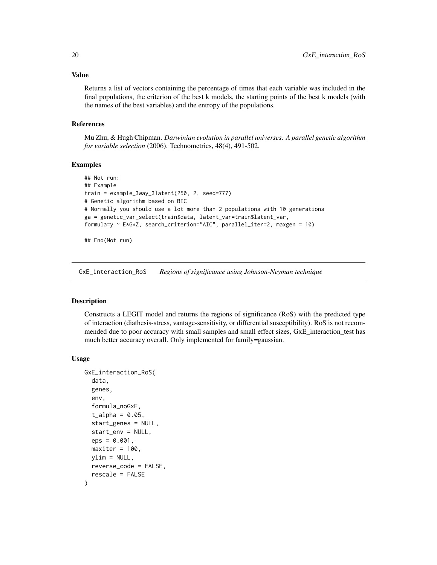<span id="page-19-0"></span>Returns a list of vectors containing the percentage of times that each variable was included in the final populations, the criterion of the best k models, the starting points of the best k models (with the names of the best variables) and the entropy of the populations.

#### References

Mu Zhu, & Hugh Chipman. *Darwinian evolution in parallel universes: A parallel genetic algorithm for variable selection* (2006). Technometrics, 48(4), 491-502.

#### Examples

```
## Not run:
## Example
train = example_3way_3latent(250, 2, seed=777)
# Genetic algorithm based on BIC
# Normally you should use a lot more than 2 populations with 10 generations
ga = genetic_var_select(train$data, latent_var=train$latent_var,
formula=y ~ E*G*Z, search_criterion="AIC", parallel_iter=2, maxgen = 10)
```
## End(Not run)

GxE\_interaction\_RoS *Regions of significance using Johnson-Neyman technique*

#### Description

Constructs a LEGIT model and returns the regions of significance (RoS) with the predicted type of interaction (diathesis-stress, vantage-sensitivity, or differential susceptibility). RoS is not recommended due to poor accuracy with small samples and small effect sizes, GxE\_interaction\_test has much better accuracy overall. Only implemented for family=gaussian.

#### Usage

```
GxE_interaction_RoS(
  data,
  genes,
  env,
  formula_noGxE,
  t_{alpha} = 0.05,
  start_genes = NULL,
  start_env = NULL,
  eps = 0.001,
 maxiter = 100,
 vlim = NULL,
  reverse_code = FALSE,
  rescale = FALSE
)
```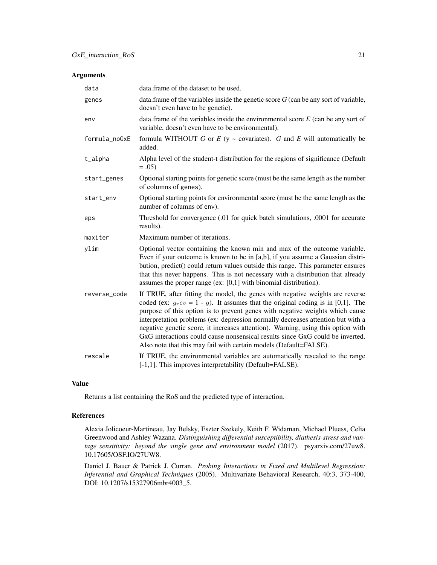#### Arguments

| data          | data. frame of the dataset to be used.                                                                                                                                                                                                                                                                                                                                                                                                                                                                                                                                            |
|---------------|-----------------------------------------------------------------------------------------------------------------------------------------------------------------------------------------------------------------------------------------------------------------------------------------------------------------------------------------------------------------------------------------------------------------------------------------------------------------------------------------------------------------------------------------------------------------------------------|
| genes         | data.frame of the variables inside the genetic score $G$ (can be any sort of variable,<br>doesn't even have to be genetic).                                                                                                                                                                                                                                                                                                                                                                                                                                                       |
| env           | data.frame of the variables inside the environmental score $E$ (can be any sort of<br>variable, doesn't even have to be environmental).                                                                                                                                                                                                                                                                                                                                                                                                                                           |
| formula_noGxE | formula WITHOUT G or $E$ (y ~ covariates). G and E will automatically be<br>added.                                                                                                                                                                                                                                                                                                                                                                                                                                                                                                |
| t_alpha       | Alpha level of the student-t distribution for the regions of significance (Default<br>$=.05)$                                                                                                                                                                                                                                                                                                                                                                                                                                                                                     |
| start_genes   | Optional starting points for genetic score (must be the same length as the number<br>of columns of genes).                                                                                                                                                                                                                                                                                                                                                                                                                                                                        |
| start_env     | Optional starting points for environmental score (must be the same length as the<br>number of columns of env).                                                                                                                                                                                                                                                                                                                                                                                                                                                                    |
| eps           | Threshold for convergence (.01 for quick batch simulations, .0001 for accurate<br>results).                                                                                                                                                                                                                                                                                                                                                                                                                                                                                       |
| maxiter       | Maximum number of iterations.                                                                                                                                                                                                                                                                                                                                                                                                                                                                                                                                                     |
| ylim          | Optional vector containing the known min and max of the outcome variable.<br>Even if your outcome is known to be in [a,b], if you assume a Gaussian distri-<br>bution, predict() could return values outside this range. This parameter ensures<br>that this never happens. This is not necessary with a distribution that already<br>assumes the proper range (ex: $[0,1]$ with binomial distribution).                                                                                                                                                                          |
| reverse_code  | If TRUE, after fitting the model, the genes with negative weights are reverse<br>coded (ex: $g_r ev = 1 - g$ ). It assumes that the original coding is in [0,1]. The<br>purpose of this option is to prevent genes with negative weights which cause<br>interpretation problems (ex: depression normally decreases attention but with a<br>negative genetic score, it increases attention). Warning, using this option with<br>GxG interactions could cause nonsensical results since GxG could be inverted.<br>Also note that this may fail with certain models (Default=FALSE). |
| rescale       | If TRUE, the environmental variables are automatically rescaled to the range<br>[-1,1]. This improves interpretability (Default=FALSE).                                                                                                                                                                                                                                                                                                                                                                                                                                           |

#### Value

Returns a list containing the RoS and the predicted type of interaction.

#### References

Alexia Jolicoeur-Martineau, Jay Belsky, Eszter Szekely, Keith F. Widaman, Michael Pluess, Celia Greenwood and Ashley Wazana. *Distinguishing differential susceptibility, diathesis-stress and vantage sensitivity: beyond the single gene and environment model* (2017). psyarxiv.com/27uw8. 10.17605/OSF.IO/27UW8.

Daniel J. Bauer & Patrick J. Curran. *Probing Interactions in Fixed and Multilevel Regression: Inferential and Graphical Techniques* (2005). Multivariate Behavioral Research, 40:3, 373-400, DOI: 10.1207/s15327906mbr4003\_5.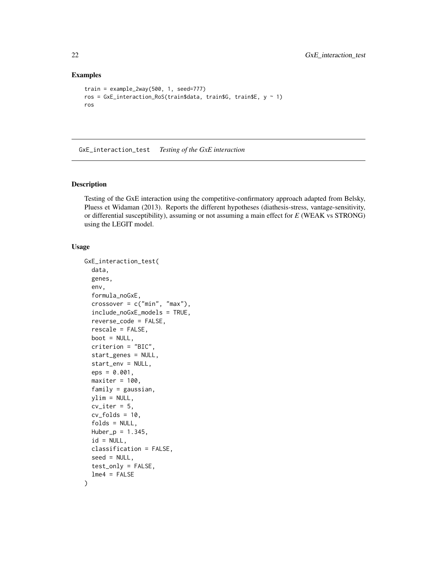#### Examples

```
train = example_2way(500, 1, seed=777)
ros = GxE_interaction_RoS(train$data, train$G, train$E, y ~ 1)
ros
```
GxE\_interaction\_test *Testing of the GxE interaction*

#### Description

Testing of the GxE interaction using the competitive-confirmatory approach adapted from Belsky, Pluess et Widaman (2013). Reports the different hypotheses (diathesis-stress, vantage-sensitivity, or differential susceptibility), assuming or not assuming a main effect for *E* (WEAK vs STRONG) using the LEGIT model.

#### Usage

```
GxE_interaction_test(
  data,
  genes,
  env,
  formula_noGxE,
  crossover = c("min", "max"),
  include_noGxE_models = TRUE,
  reverse_code = FALSE,
  rescale = FALSE,
  boot = NULL,
  criterion = "BIC",
  start_genes = NULL,
  start_env = NULL,
  eps = 0.001,maxiter = 100,
  family = gaussian,ylim = NULL,
  cv\_iter = 5,
  cv_folds = 10,
  folds = NULL,
  Huber_p = 1.345,id = NULL,classification = FALSE,
  seed = NULL,
  test_only = FALSE,
  lme4 = FALSE)
```
<span id="page-21-0"></span>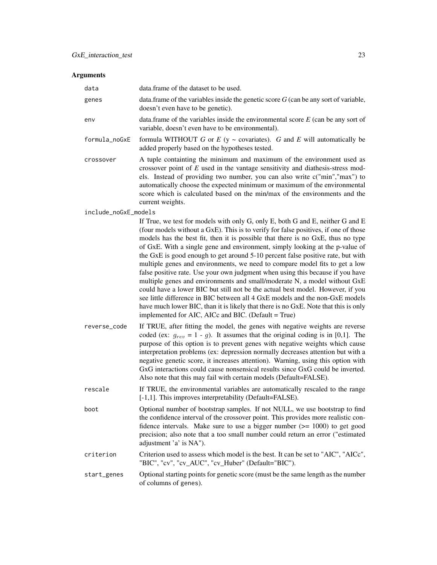| data                 | data. frame of the dataset to be used.                                                                                                                                                                                                                                                                                                                                                                                                                                                                                                                                                                                                                                                                                                                                                                                                                                                                                                                                                    |
|----------------------|-------------------------------------------------------------------------------------------------------------------------------------------------------------------------------------------------------------------------------------------------------------------------------------------------------------------------------------------------------------------------------------------------------------------------------------------------------------------------------------------------------------------------------------------------------------------------------------------------------------------------------------------------------------------------------------------------------------------------------------------------------------------------------------------------------------------------------------------------------------------------------------------------------------------------------------------------------------------------------------------|
| genes                | data. frame of the variables inside the genetic score $G$ (can be any sort of variable,<br>doesn't even have to be genetic).                                                                                                                                                                                                                                                                                                                                                                                                                                                                                                                                                                                                                                                                                                                                                                                                                                                              |
| env                  | data.frame of the variables inside the environmental score $E$ (can be any sort of<br>variable, doesn't even have to be environmental).                                                                                                                                                                                                                                                                                                                                                                                                                                                                                                                                                                                                                                                                                                                                                                                                                                                   |
| formula_noGxE        | formula WITHOUT G or $E$ (y ~ covariates). G and E will automatically be<br>added properly based on the hypotheses tested.                                                                                                                                                                                                                                                                                                                                                                                                                                                                                                                                                                                                                                                                                                                                                                                                                                                                |
| crossover            | A tuple containting the minimum and maximum of the environment used as<br>crossover point of $E$ used in the vantage sensitivity and diathesis-stress mod-<br>els. Instead of providing two number, you can also write c("min","max") to<br>automatically choose the expected minimum or maximum of the environmental<br>score which is calculated based on the min/max of the environments and the<br>current weights.                                                                                                                                                                                                                                                                                                                                                                                                                                                                                                                                                                   |
| include_noGxE_models |                                                                                                                                                                                                                                                                                                                                                                                                                                                                                                                                                                                                                                                                                                                                                                                                                                                                                                                                                                                           |
|                      | If True, we test for models with only G, only E, both G and E, neither G and E<br>(four models without a GxE). This is to verify for false positives, if one of those<br>models has the best fit, then it is possible that there is no GxE, thus no type<br>of GxE. With a single gene and environment, simply looking at the p-value of<br>the GxE is good enough to get around 5-10 percent false positive rate, but with<br>multiple genes and environments, we need to compare model fits to get a low<br>false positive rate. Use your own judgment when using this because if you have<br>multiple genes and environments and small/moderate N, a model without GxE<br>could have a lower BIC but still not be the actual best model. However, if you<br>see little difference in BIC between all 4 GxE models and the non-GxE models<br>have much lower BIC, than it is likely that there is no GxE. Note that this is only<br>implemented for AIC, AICc and BIC. (Default = True) |
| reverse_code         | If TRUE, after fitting the model, the genes with negative weights are reverse<br>coded (ex: $g_{rev} = 1 - g$ ). It assumes that the original coding is in [0,1]. The<br>purpose of this option is to prevent genes with negative weights which cause<br>interpretation problems (ex: depression normally decreases attention but with a<br>negative genetic score, it increases attention). Warning, using this option with<br>GxG interactions could cause nonsensical results since GxG could be inverted.<br>Also note that this may fail with certain models (Default=FALSE).                                                                                                                                                                                                                                                                                                                                                                                                        |
| rescale              | If TRUE, the environmental variables are automatically rescaled to the range<br>[-1,1]. This improves interpretability (Default=FALSE).                                                                                                                                                                                                                                                                                                                                                                                                                                                                                                                                                                                                                                                                                                                                                                                                                                                   |
| boot                 | Optional number of bootstrap samples. If not NULL, we use bootstrap to find<br>the confidence interval of the crossover point. This provides more realistic con-<br>fidence intervals. Make sure to use a bigger number $(>= 1000)$ to get good<br>precision; also note that a too small number could return an error ("estimated<br>adjustment 'a' is NA").                                                                                                                                                                                                                                                                                                                                                                                                                                                                                                                                                                                                                              |
| criterion            | Criterion used to assess which model is the best. It can be set to "AIC", "AICc",<br>"BIC", "cv", "cv_AUC", "cv_Huber" (Default="BIC").                                                                                                                                                                                                                                                                                                                                                                                                                                                                                                                                                                                                                                                                                                                                                                                                                                                   |
| start_genes          | Optional starting points for genetic score (must be the same length as the number<br>of columns of genes).                                                                                                                                                                                                                                                                                                                                                                                                                                                                                                                                                                                                                                                                                                                                                                                                                                                                                |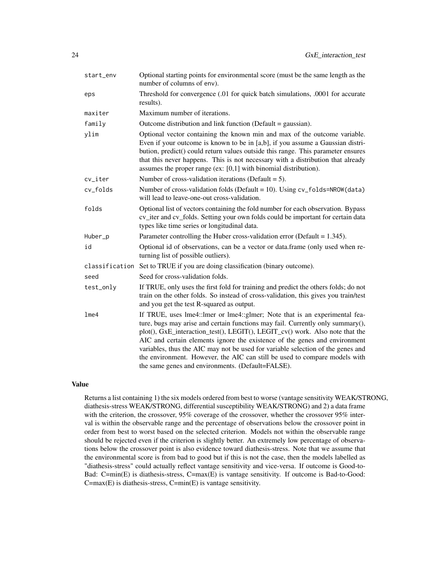| start_env | Optional starting points for environmental score (must be the same length as the<br>number of columns of env).                                                                                                                                                                                                                                                                                                                                                                                                                                   |  |  |
|-----------|--------------------------------------------------------------------------------------------------------------------------------------------------------------------------------------------------------------------------------------------------------------------------------------------------------------------------------------------------------------------------------------------------------------------------------------------------------------------------------------------------------------------------------------------------|--|--|
| eps       | Threshold for convergence (.01 for quick batch simulations, .0001 for accurate<br>results).                                                                                                                                                                                                                                                                                                                                                                                                                                                      |  |  |
| maxiter   | Maximum number of iterations.                                                                                                                                                                                                                                                                                                                                                                                                                                                                                                                    |  |  |
| family    | Outcome distribution and link function (Default = gaussian).                                                                                                                                                                                                                                                                                                                                                                                                                                                                                     |  |  |
| ylim      | Optional vector containing the known min and max of the outcome variable.<br>Even if your outcome is known to be in [a,b], if you assume a Gaussian distri-<br>bution, predict() could return values outside this range. This parameter ensures<br>that this never happens. This is not necessary with a distribution that already<br>assumes the proper range (ex: $[0,1]$ with binomial distribution).                                                                                                                                         |  |  |
| cv_iter   | Number of cross-validation iterations (Default = 5).                                                                                                                                                                                                                                                                                                                                                                                                                                                                                             |  |  |
| cv_folds  | Number of cross-validation folds (Default = 10). Using cv_folds=NROW(data)<br>will lead to leave-one-out cross-validation.                                                                                                                                                                                                                                                                                                                                                                                                                       |  |  |
| folds     | Optional list of vectors containing the fold number for each observation. Bypass<br>cv_iter and cv_folds. Setting your own folds could be important for certain data<br>types like time series or longitudinal data.                                                                                                                                                                                                                                                                                                                             |  |  |
| Huber_p   | Parameter controlling the Huber cross-validation error (Default = $1.345$ ).                                                                                                                                                                                                                                                                                                                                                                                                                                                                     |  |  |
| id        | Optional id of observations, can be a vector or data.frame (only used when re-<br>turning list of possible outliers).                                                                                                                                                                                                                                                                                                                                                                                                                            |  |  |
|           | classification Set to TRUE if you are doing classification (binary outcome).                                                                                                                                                                                                                                                                                                                                                                                                                                                                     |  |  |
| seed      | Seed for cross-validation folds.                                                                                                                                                                                                                                                                                                                                                                                                                                                                                                                 |  |  |
| test_only | If TRUE, only uses the first fold for training and predict the others folds; do not<br>train on the other folds. So instead of cross-validation, this gives you train/test<br>and you get the test R-squared as output.                                                                                                                                                                                                                                                                                                                          |  |  |
| $l$ me4   | If TRUE, uses lme4::lmer or lme4::glmer; Note that is an experimental fea-<br>ture, bugs may arise and certain functions may fail. Currently only summary(),<br>plot(), GxE_interaction_test(), LEGIT(), LEGIT_cv() work. Also note that the<br>AIC and certain elements ignore the existence of the genes and environment<br>variables, thus the AIC may not be used for variable selection of the genes and<br>the environment. However, the AIC can still be used to compare models with<br>the same genes and environments. (Default=FALSE). |  |  |

Returns a list containing 1) the six models ordered from best to worse (vantage sensitivity WEAK/STRONG, diathesis-stress WEAK/STRONG, differential susceptibility WEAK/STRONG) and 2) a data frame with the criterion, the crossover, 95% coverage of the crossover, whether the crossover 95% interval is within the observable range and the percentage of observations below the crossover point in order from best to worst based on the selected criterion. Models not within the observable range should be rejected even if the criterion is slightly better. An extremely low percentage of observations below the crossover point is also evidence toward diathesis-stress. Note that we assume that the environmental score is from bad to good but if this is not the case, then the models labelled as "diathesis-stress" could actually reflect vantage sensitivity and vice-versa. If outcome is Good-to-Bad: C=min(E) is diathesis-stress, C=max(E) is vantage sensitivity. If outcome is Bad-to-Good:  $C = max(E)$  is diathesis-stress,  $C = min(E)$  is vantage sensitivity.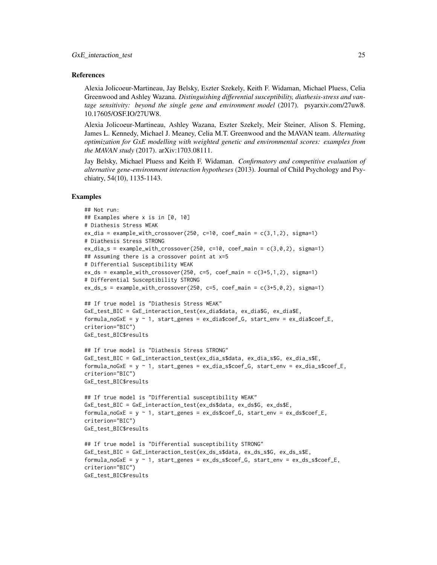#### References

Alexia Jolicoeur-Martineau, Jay Belsky, Eszter Szekely, Keith F. Widaman, Michael Pluess, Celia Greenwood and Ashley Wazana. *Distinguishing differential susceptibility, diathesis-stress and vantage sensitivity: beyond the single gene and environment model* (2017). psyarxiv.com/27uw8. 10.17605/OSF.IO/27UW8.

Alexia Jolicoeur-Martineau, Ashley Wazana, Eszter Szekely, Meir Steiner, Alison S. Fleming, James L. Kennedy, Michael J. Meaney, Celia M.T. Greenwood and the MAVAN team. *Alternating optimization for GxE modelling with weighted genetic and environmental scores: examples from the MAVAN study* (2017). arXiv:1703.08111.

Jay Belsky, Michael Pluess and Keith F. Widaman. *Confirmatory and competitive evaluation of alternative gene-environment interaction hypotheses* (2013). Journal of Child Psychology and Psychiatry, 54(10), 1135-1143.

#### Examples

```
## Not run:
## Examples where x is in [0, 10]
# Diathesis Stress WEAK
ex_dia = example_with_crossover(250, c=10, coef_main = c(3,1,2), sigma=1)
# Diathesis Stress STRONG
ex_dia_s = example_with_crossover(250, c=10, coef_main = c(3,0,2), sigma=1)
## Assuming there is a crossover point at x=5
# Differential Susceptibility WEAK
ex_ds = example_with_crossover(250, c=5, coef_main = c(3+5,1,2), sigma=1)
# Differential Susceptibility STRONG
ex\_ds\_s = example\_with\_crossover(250, c=5, coef\_main = c(3+5, 0, 2), sigma=1)## If true model is "Diathesis Stress WEAK"
GxE_test_BIC = GxE_interaction_test(ex_dia$data, ex_dia$G, ex_dia$E,
formula\_noGxE = y \sim 1, start\_genes = ex\_dia\%coef_G, start\_env = ex\_dia\%coef_E,
criterion="BIC")
GxE_test_BIC$results
## If true model is "Diathesis Stress STRONG"
GxE_test_BIC = GxE_interaction_test(ex_dia_s$data, ex_dia_s$G, ex_dia_s$E,
formula\_noGxE = y \sim 1, start\_genes = ex\_dia\_sSeef_G, start\_env = ex\_dia\_sSeef_E,
criterion="BIC")
GxE_test_BIC$results
## If true model is "Differential susceptibility WEAK"
GxE_test_BIC = GxE_interaction_test(ex_ds$data, ex_ds$G, ex_ds$E,
formula_noGxE = y ~ 1, start_genes = ex_ds$coef_G, start_env = ex_ds$coef_E,
criterion="BIC")
GxE_test_BIC$results
## If true model is "Differential susceptibility STRONG"
GxE_test_BIC = GxE_interaction_test(ex_ds_s$data, ex_ds_s$G, ex_ds_s$E,
formula\_noGxE = y \sim 1, start\_genes = ex\_ds\_s\%coef_G, start\_env = ex\_ds\_s\%coef_E,
criterion="BIC")
GxE_test_BIC$results
```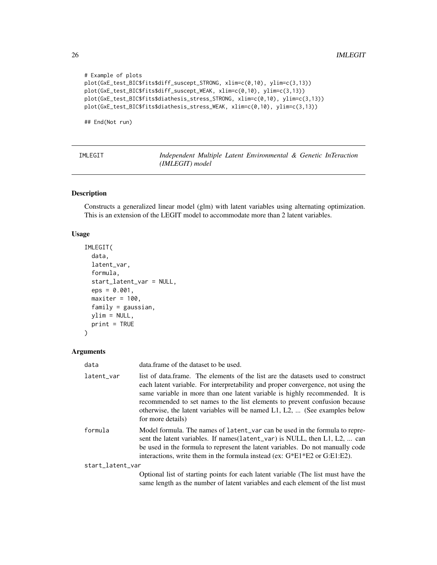```
# Example of plots
plot(GxE_test_BIC$fits$diff_suscept_STRONG, xlim=c(0,10), ylim=c(3,13))
plot(GxE_test_BIC$fits$diff_suscept_WEAK, xlim=c(0,10), ylim=c(3,13))
plot(GxE_test_BIC$fits$diathesis_stress_STRONG, xlim=c(0,10), ylim=c(3,13))
plot(GxE_test_BIC$fits$diathesis_stress_WEAK, xlim=c(0,10), ylim=c(3,13))
```
## End(Not run)

| IMLEGIT | Independent Multiple Latent Environmental & Genetic InTeraction |  |  |  |
|---------|-----------------------------------------------------------------|--|--|--|
|         | (IMLEGIT) model                                                 |  |  |  |

#### Description

Constructs a generalized linear model (glm) with latent variables using alternating optimization. This is an extension of the LEGIT model to accommodate more than 2 latent variables.

#### Usage

```
IMLEGIT(
  data,
  latent_var,
  formula,
  start_latent_var = NULL,
  eps = 0.001,
 maxiter = 100,
  family = gaussian,
 ylim = NULL,
 print = TRUE
)
```

| data             | data.frame of the dataset to be used.                                                                                                                                                                                                                                                                                                                                                                                                       |
|------------------|---------------------------------------------------------------------------------------------------------------------------------------------------------------------------------------------------------------------------------------------------------------------------------------------------------------------------------------------------------------------------------------------------------------------------------------------|
| latent var       | list of data.frame. The elements of the list are the datasets used to construct<br>each latent variable. For interpretability and proper convergence, not using the<br>same variable in more than one latent variable is highly recommended. It is<br>recommended to set names to the list elements to prevent confusion because<br>otherwise, the latent variables will be named $L_1$ , $L_2$ ,  (See examples below<br>for more details) |
| formula          | Model formula. The names of latent_var can be used in the formula to repre-<br>sent the latent variables. If names (latent_var) is NULL, then L1, L2,  can<br>be used in the formula to represent the latent variables. Do not manually code<br>interactions, write them in the formula instead (ex: $G*E1*E2$ or $G:E1:E2$ ).                                                                                                              |
| start_latent_var |                                                                                                                                                                                                                                                                                                                                                                                                                                             |
|                  | Optional list of starting points for each latent variable (The list must have the<br>same length as the number of latent variables and each element of the list must                                                                                                                                                                                                                                                                        |

<span id="page-25-0"></span>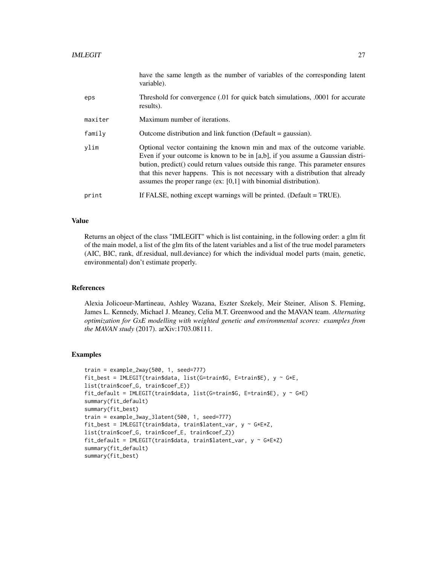|         | have the same length as the number of variables of the corresponding latent<br>variable).                                                                                                                                                                                                                                                                                                                |
|---------|----------------------------------------------------------------------------------------------------------------------------------------------------------------------------------------------------------------------------------------------------------------------------------------------------------------------------------------------------------------------------------------------------------|
| eps     | Threshold for convergence (.01 for quick batch simulations, .0001 for accurate<br>results).                                                                                                                                                                                                                                                                                                              |
| maxiter | Maximum number of iterations.                                                                                                                                                                                                                                                                                                                                                                            |
| family  | Outcome distribution and link function (Default $=$ gaussian).                                                                                                                                                                                                                                                                                                                                           |
| ylim    | Optional vector containing the known min and max of the outcome variable.<br>Even if your outcome is known to be in [a,b], if you assume a Gaussian distri-<br>bution, predict() could return values outside this range. This parameter ensures<br>that this never happens. This is not necessary with a distribution that already<br>assumes the proper range (ex: $[0,1]$ with binomial distribution). |
| print   | If FALSE, nothing except warnings will be printed. (Default $=$ TRUE).                                                                                                                                                                                                                                                                                                                                   |

Returns an object of the class "IMLEGIT" which is list containing, in the following order: a glm fit of the main model, a list of the glm fits of the latent variables and a list of the true model parameters (AIC, BIC, rank, df.residual, null.deviance) for which the individual model parts (main, genetic, environmental) don't estimate properly.

#### References

Alexia Jolicoeur-Martineau, Ashley Wazana, Eszter Szekely, Meir Steiner, Alison S. Fleming, James L. Kennedy, Michael J. Meaney, Celia M.T. Greenwood and the MAVAN team. *Alternating optimization for GxE modelling with weighted genetic and environmental scores: examples from the MAVAN study* (2017). arXiv:1703.08111.

#### Examples

```
train = example_2way(500, 1, seed=777)
fit_best = IMLEGIT(train$data, list(G=train$G, E=train$E), y ~ G*E,
list(train$coef_G, train$coef_E))
fit_default = IMLEGIT(train$data, list(G=train$G, E=train$E), y ~ G*E)
summary(fit_default)
summary(fit_best)
train = example_3way_3latent(500, 1, seed=777)
fit_best = IMLEGIT(train$data, train$latent_var, y ~ G*E*Z,
list(train$coef_G, train$coef_E, train$coef_Z))
fit_default = IMLEGIT(train$data, train$latent_var, y ~ G*E*Z)
summary(fit_default)
summary(fit_best)
```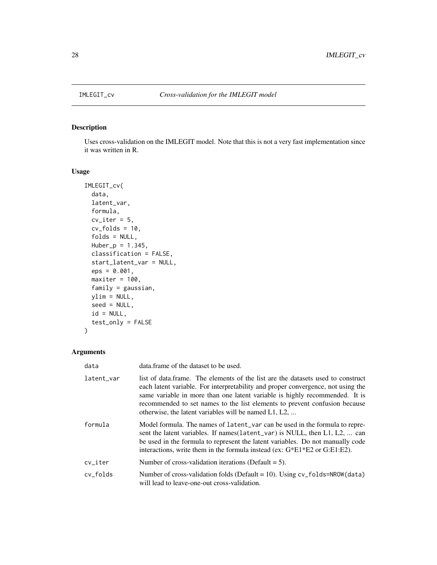<span id="page-27-0"></span>

#### Description

Uses cross-validation on the IMLEGIT model. Note that this is not a very fast implementation since it was written in R.

#### Usage

```
IMLEGIT_cv(
  data,
  latent_var,
  formula,
  cv\_iter = 5,
  cv_folds = 10,
  folds = NULL,
 Huber_p = 1.345,classification = FALSE,
  start_latent_var = NULL,
  eps = 0.001,
 maxiter = 100,
  family = gaussian,
 ylim = NULL,
  seed = NULL,
  id = NULL,test_only = FALSE
\mathcal{L}
```

| data       | data. frame of the dataset to be used.                                                                                                                                                                                                                                                                                                                                                    |
|------------|-------------------------------------------------------------------------------------------------------------------------------------------------------------------------------------------------------------------------------------------------------------------------------------------------------------------------------------------------------------------------------------------|
| latent_var | list of data.frame. The elements of the list are the datasets used to construct<br>each latent variable. For interpretability and proper convergence, not using the<br>same variable in more than one latent variable is highly recommended. It is<br>recommended to set names to the list elements to prevent confusion because<br>otherwise, the latent variables will be named L1, L2, |
| formula    | Model formula. The names of latent_var can be used in the formula to repre-<br>sent the latent variables. If names (latent_var) is NULL, then L1, L2,  can<br>be used in the formula to represent the latent variables. Do not manually code<br>interactions, write them in the formula instead (ex: $G*E1*E2$ or $G:E1:E2$ ).                                                            |
| cv_iter    | Number of cross-validation iterations (Default $= 5$ ).                                                                                                                                                                                                                                                                                                                                   |
| cv folds   | Number of cross-validation folds (Default = 10). Using $cv_f$ folds=NROW(data)<br>will lead to leave-one-out cross-validation.                                                                                                                                                                                                                                                            |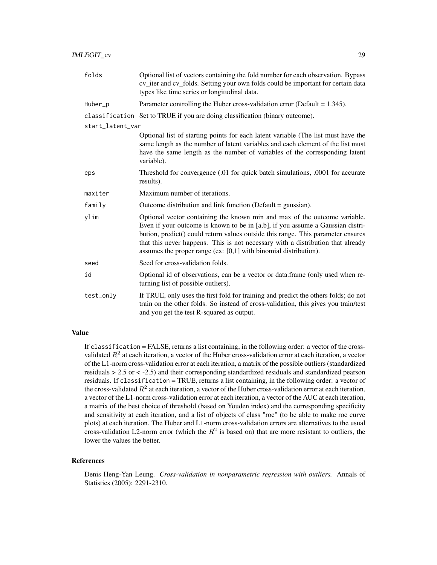| folds            | Optional list of vectors containing the fold number for each observation. Bypass<br>cv_iter and cv_folds. Setting your own folds could be important for certain data<br>types like time series or longitudinal data.                                                                                                                                                                                     |
|------------------|----------------------------------------------------------------------------------------------------------------------------------------------------------------------------------------------------------------------------------------------------------------------------------------------------------------------------------------------------------------------------------------------------------|
| Huber_p          | Parameter controlling the Huber cross-validation error (Default = $1.345$ ).                                                                                                                                                                                                                                                                                                                             |
|                  | classification Set to TRUE if you are doing classification (binary outcome).                                                                                                                                                                                                                                                                                                                             |
| start_latent_var |                                                                                                                                                                                                                                                                                                                                                                                                          |
|                  | Optional list of starting points for each latent variable (The list must have the<br>same length as the number of latent variables and each element of the list must<br>have the same length as the number of variables of the corresponding latent<br>variable).                                                                                                                                        |
| eps              | Threshold for convergence (.01 for quick batch simulations, .0001 for accurate<br>results).                                                                                                                                                                                                                                                                                                              |
| maxiter          | Maximum number of iterations.                                                                                                                                                                                                                                                                                                                                                                            |
| family           | Outcome distribution and link function (Default $=$ gaussian).                                                                                                                                                                                                                                                                                                                                           |
| ylim             | Optional vector containing the known min and max of the outcome variable.<br>Even if your outcome is known to be in [a,b], if you assume a Gaussian distri-<br>bution, predict() could return values outside this range. This parameter ensures<br>that this never happens. This is not necessary with a distribution that already<br>assumes the proper range (ex: $[0,1]$ with binomial distribution). |
| seed             | Seed for cross-validation folds.                                                                                                                                                                                                                                                                                                                                                                         |
| id               | Optional id of observations, can be a vector or data.frame (only used when re-<br>turning list of possible outliers).                                                                                                                                                                                                                                                                                    |
| test_only        | If TRUE, only uses the first fold for training and predict the others folds; do not<br>train on the other folds. So instead of cross-validation, this gives you train/test<br>and you get the test R-squared as output.                                                                                                                                                                                  |

If classification = FALSE, returns a list containing, in the following order: a vector of the crossvalidated  $R^2$  at each iteration, a vector of the Huber cross-validation error at each iteration, a vector of the L1-norm cross-validation error at each iteration, a matrix of the possible outliers (standardized residuals > 2.5 or < -2.5) and their corresponding standardized residuals and standardized pearson residuals. If classification = TRUE, returns a list containing, in the following order: a vector of the cross-validated  $R^2$  at each iteration, a vector of the Huber cross-validation error at each iteration, a vector of the L1-norm cross-validation error at each iteration, a vector of the AUC at each iteration, a matrix of the best choice of threshold (based on Youden index) and the corresponding specificity and sensitivity at each iteration, and a list of objects of class "roc" (to be able to make roc curve plots) at each iteration. The Huber and L1-norm cross-validation errors are alternatives to the usual cross-validation L2-norm error (which the  $R^2$  is based on) that are more resistant to outliers, the lower the values the better.

#### References

Denis Heng-Yan Leung. *Cross-validation in nonparametric regression with outliers.* Annals of Statistics (2005): 2291-2310.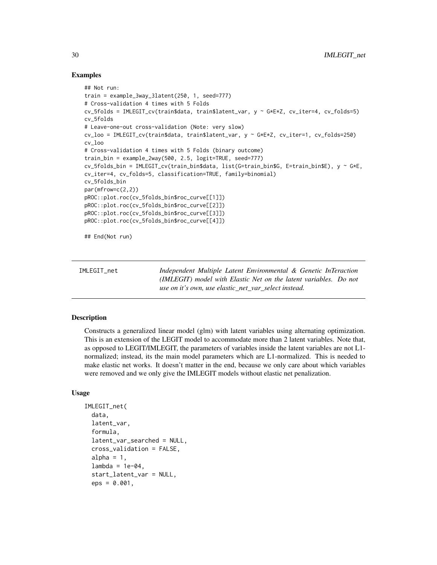#### Examples

```
## Not run:
train = example_3way_3latent(250, 1, seed=777)
# Cross-validation 4 times with 5 Folds
cv_5folds = IMLEGIT_cv(train$data, train$latent_var, y ~ G*E*Z, cv_iter=4, cv_folds=5)
cv_5folds
# Leave-one-out cross-validation (Note: very slow)
cv_loo = IMLEGIT_cv(train$data, train$latent_var, y ~ G*E*Z, cv_iter=1, cv_folds=250)
cv_loo
# Cross-validation 4 times with 5 Folds (binary outcome)
train_bin = example_2way(500, 2.5, logit=TRUE, seed=777)
cv_5folds_bin = IMLEGIT_cv(train_bin$data, list(G=train_bin$G, E=train_bin$E), y ~ G*E,
cv_iter=4, cv_folds=5, classification=TRUE, family=binomial)
cv_5folds_bin
par(mfrow=c(2,2))
pROC::plot.roc(cv_5folds_bin$roc_curve[[1]])
pROC::plot.roc(cv_5folds_bin$roc_curve[[2]])
pROC::plot.roc(cv_5folds_bin$roc_curve[[3]])
pROC::plot.roc(cv_5folds_bin$roc_curve[[4]])
## End(Not run)
```

| IMLEGIT net | Independent Multiple Latent Environmental & Genetic InTeraction         |
|-------------|-------------------------------------------------------------------------|
|             | <i>(IMLEGIT)</i> model with Elastic Net on the latent variables. Do not |
|             | use on it's own, use elastic_net_var_select instead.                    |

#### Description

Constructs a generalized linear model (glm) with latent variables using alternating optimization. This is an extension of the LEGIT model to accommodate more than 2 latent variables. Note that, as opposed to LEGIT/IMLEGIT, the parameters of variables inside the latent variables are not L1 normalized; instead, its the main model parameters which are L1-normalized. This is needed to make elastic net works. It doesn't matter in the end, because we only care about which variables were removed and we only give the IMLEGIT models without elastic net penalization.

#### Usage

```
IMLEGIT_net(
  data,
  latent_var,
  formula,
  latent_var_searched = NULL,
  cross_validation = FALSE,
  alpha = 1,
  lambda = 1e-04,
  start_latent_var = NULL,
  eps = 0.001,
```
<span id="page-29-0"></span>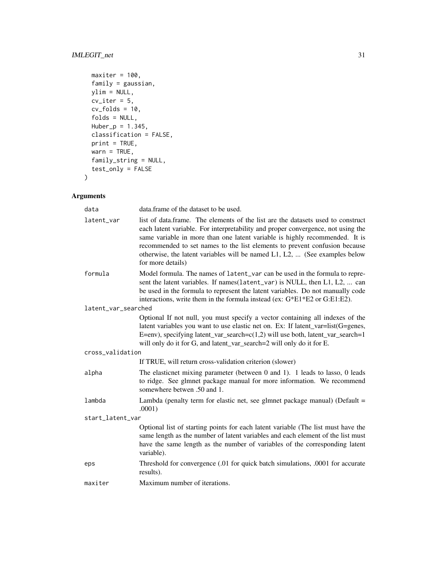#### IMLEGIT\_net 31

```
maxiter = 100,
 family = gaussian,
 ylim = NULL,cv\_iter = 5,
 cv_folds = 10,
 folds = NULL,
 Huber_p = 1.345,classification = FALSE,
 print = TRUE,
 wan = TRUE,family_string = NULL,
 test_only = FALSE
\mathcal{L}
```

| data                | data. frame of the dataset to be used.                                                                                                                                                                                                                                                                                                                                                                                                    |  |
|---------------------|-------------------------------------------------------------------------------------------------------------------------------------------------------------------------------------------------------------------------------------------------------------------------------------------------------------------------------------------------------------------------------------------------------------------------------------------|--|
| latent_var          | list of data.frame. The elements of the list are the datasets used to construct<br>each latent variable. For interpretability and proper convergence, not using the<br>same variable in more than one latent variable is highly recommended. It is<br>recommended to set names to the list elements to prevent confusion because<br>otherwise, the latent variables will be named $L1$ , $L2$ ,  (See examples below<br>for more details) |  |
| formula             | Model formula. The names of latent_var can be used in the formula to repre-<br>sent the latent variables. If names (latent_var) is NULL, then L1, L2,  can<br>be used in the formula to represent the latent variables. Do not manually code<br>interactions, write them in the formula instead (ex: G*E1*E2 or G:E1:E2).                                                                                                                 |  |
| latent_var_searched |                                                                                                                                                                                                                                                                                                                                                                                                                                           |  |
|                     | Optional If not null, you must specify a vector containing all indexes of the<br>latent variables you want to use elastic net on. Ex: If latent_var=list(G=genes,<br>E=env), specifying latent_var_search= $c(1,2)$ will use both, latent_var_search=1<br>will only do it for G, and latent_var_search=2 will only do it for E.                                                                                                           |  |
| cross_validation    |                                                                                                                                                                                                                                                                                                                                                                                                                                           |  |
|                     | If TRUE, will return cross-validation criterion (slower)                                                                                                                                                                                                                                                                                                                                                                                  |  |
| alpha               | The elasticnet mixing parameter (between 0 and 1). 1 leads to lasso, 0 leads<br>to ridge. See glmnet package manual for more information. We recommend<br>somewhere betwen .50 and 1.                                                                                                                                                                                                                                                     |  |
| lambda              | Lambda (penalty term for elastic net, see glmnet package manual) (Default $=$<br>.0001)                                                                                                                                                                                                                                                                                                                                                   |  |
| start_latent_var    |                                                                                                                                                                                                                                                                                                                                                                                                                                           |  |
|                     | Optional list of starting points for each latent variable (The list must have the<br>same length as the number of latent variables and each element of the list must<br>have the same length as the number of variables of the corresponding latent<br>variable).                                                                                                                                                                         |  |
| eps                 | Threshold for convergence (.01 for quick batch simulations, .0001 for accurate<br>results).                                                                                                                                                                                                                                                                                                                                               |  |
| maxiter             | Maximum number of iterations.                                                                                                                                                                                                                                                                                                                                                                                                             |  |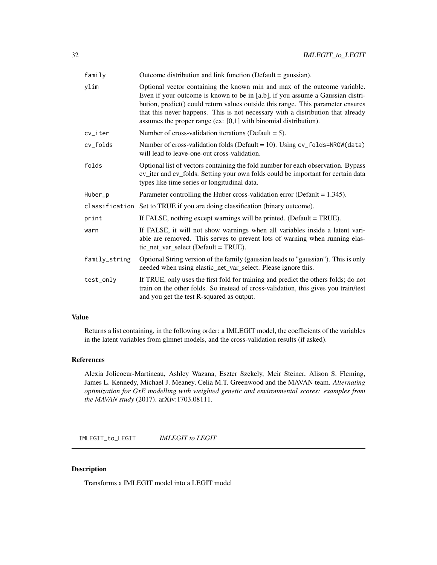<span id="page-31-0"></span>

| family        | Outcome distribution and link function (Default = gaussian).                                                                                                                                                                                                                                                                                                                                             |
|---------------|----------------------------------------------------------------------------------------------------------------------------------------------------------------------------------------------------------------------------------------------------------------------------------------------------------------------------------------------------------------------------------------------------------|
| ylim          | Optional vector containing the known min and max of the outcome variable.<br>Even if your outcome is known to be in [a,b], if you assume a Gaussian distri-<br>bution, predict() could return values outside this range. This parameter ensures<br>that this never happens. This is not necessary with a distribution that already<br>assumes the proper range (ex: $[0,1]$ with binomial distribution). |
| cv_iter       | Number of cross-validation iterations (Default $= 5$ ).                                                                                                                                                                                                                                                                                                                                                  |
| cv_folds      | Number of cross-validation folds (Default = $10$ ). Using cv_folds=NROW(data)<br>will lead to leave-one-out cross-validation.                                                                                                                                                                                                                                                                            |
| folds         | Optional list of vectors containing the fold number for each observation. Bypass<br>cv_iter and cv_folds. Setting your own folds could be important for certain data<br>types like time series or longitudinal data.                                                                                                                                                                                     |
| Huber_p       | Parameter controlling the Huber cross-validation error (Default $= 1.345$ ).                                                                                                                                                                                                                                                                                                                             |
|               | classification Set to TRUE if you are doing classification (binary outcome).                                                                                                                                                                                                                                                                                                                             |
| print         | If FALSE, nothing except warnings will be printed. (Default = TRUE).                                                                                                                                                                                                                                                                                                                                     |
| warn          | If FALSE, it will not show warnings when all variables inside a latent vari-<br>able are removed. This serves to prevent lots of warning when running elas-<br>tic_net_var_select (Default = TRUE).                                                                                                                                                                                                      |
| family_string | Optional String version of the family (gaussian leads to "gaussian"). This is only<br>needed when using elastic_net_var_select. Please ignore this.                                                                                                                                                                                                                                                      |
| test_only     | If TRUE, only uses the first fold for training and predict the others folds; do not<br>train on the other folds. So instead of cross-validation, this gives you train/test<br>and you get the test R-squared as output.                                                                                                                                                                                  |

Returns a list containing, in the following order: a IMLEGIT model, the coefficients of the variables in the latent variables from glmnet models, and the cross-validation results (if asked).

#### References

Alexia Jolicoeur-Martineau, Ashley Wazana, Eszter Szekely, Meir Steiner, Alison S. Fleming, James L. Kennedy, Michael J. Meaney, Celia M.T. Greenwood and the MAVAN team. *Alternating optimization for GxE modelling with weighted genetic and environmental scores: examples from the MAVAN study* (2017). arXiv:1703.08111.

IMLEGIT\_to\_LEGIT *IMLEGIT to LEGIT*

#### Description

Transforms a IMLEGIT model into a LEGIT model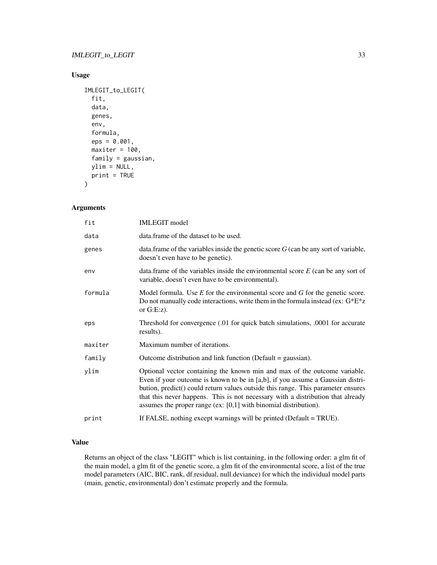#### Usage

```
IMLEGIT_to_LEGIT(
  fit,
  data,
  genes,
  env,
  formula,
  eps = 0.001,
  maxiter = 100,
  family = gaussian,
  ylim = NULL,
  print = TRUE
\mathcal{L}
```
#### Arguments

| fit     | <b>IMLEGIT</b> model                                                                                                                                                                                                                                                                                                                                                                                     |
|---------|----------------------------------------------------------------------------------------------------------------------------------------------------------------------------------------------------------------------------------------------------------------------------------------------------------------------------------------------------------------------------------------------------------|
| data    | data. frame of the dataset to be used.                                                                                                                                                                                                                                                                                                                                                                   |
| genes   | data. frame of the variables inside the genetic score $G$ (can be any sort of variable,<br>doesn't even have to be genetic).                                                                                                                                                                                                                                                                             |
| env     | data. frame of the variables inside the environmental score $E$ (can be any sort of<br>variable, doesn't even have to be environmental).                                                                                                                                                                                                                                                                 |
| formula | Model formula. Use $E$ for the environmental score and $G$ for the genetic score.<br>Do not manually code interactions, write them in the formula instead (ex: $G^*E^*z$<br>or $G.E:z$ ).                                                                                                                                                                                                                |
| eps     | Threshold for convergence (.01 for quick batch simulations, .0001 for accurate<br>results).                                                                                                                                                                                                                                                                                                              |
| maxiter | Maximum number of iterations.                                                                                                                                                                                                                                                                                                                                                                            |
| family  | Outcome distribution and link function (Default = gaussian).                                                                                                                                                                                                                                                                                                                                             |
| ylim    | Optional vector containing the known min and max of the outcome variable.<br>Even if your outcome is known to be in [a,b], if you assume a Gaussian distri-<br>bution, predict() could return values outside this range. This parameter ensures<br>that this never happens. This is not necessary with a distribution that already<br>assumes the proper range (ex: $[0,1]$ with binomial distribution). |
| print   | If FALSE, nothing except warnings will be printed (Default = TRUE).                                                                                                                                                                                                                                                                                                                                      |

#### Value

Returns an object of the class "LEGIT" which is list containing, in the following order: a glm fit of the main model, a glm fit of the genetic score, a glm fit of the environmental score, a list of the true model parameters (AIC, BIC, rank, df.residual, null.deviance) for which the individual model parts (main, genetic, environmental) don't estimate properly and the formula.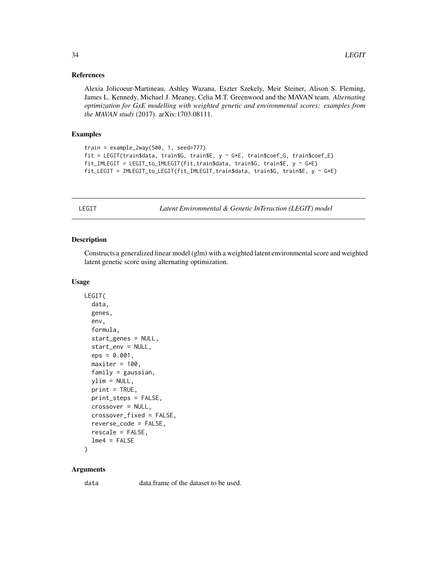#### <span id="page-33-0"></span>References

Alexia Jolicoeur-Martineau, Ashley Wazana, Eszter Szekely, Meir Steiner, Alison S. Fleming, James L. Kennedy, Michael J. Meaney, Celia M.T. Greenwood and the MAVAN team. *Alternating optimization for GxE modelling with weighted genetic and environmental scores: examples from the MAVAN study* (2017). arXiv:1703.08111.

#### Examples

```
train = example_2way(500, 1, seed=777)
fit = LEGIT(train$data, train$G, train$E, y ~ G*E, train$coef_G, train$coef_E)
fit_IMLEGIT = LEGIT_to_IMLEGIT(fit,train$data, train$G, train$E, y ~ G*E)
fit_LEGIT = IMLEGIT_to_LEGIT(fit_IMLEGIT,train$data, train$G, train$E, y ~ G*E)
```
LEGIT *Latent Environmental & Genetic InTeraction (LEGIT) model*

#### Description

Constructs a generalized linear model (glm) with a weighted latent environmental score and weighted latent genetic score using alternating optimization.

#### Usage

```
LEGIT(
  data,
  genes,
  env,
  formula,
  start_genes = NULL,
  start_env = NULL,
  eps = 0.001,
  maxiter = 100,
  family = gaussian,
  ylim = NULL,
  print = TRUE,print_steps = FALSE,
  crossover = NULL,
  crossover_fixed = FALSE,
  reverse_code = FALSE,
  rescale = FALSE,
  lme4 = FALSE
```

```
)
```
#### Arguments

data data.frame of the dataset to be used.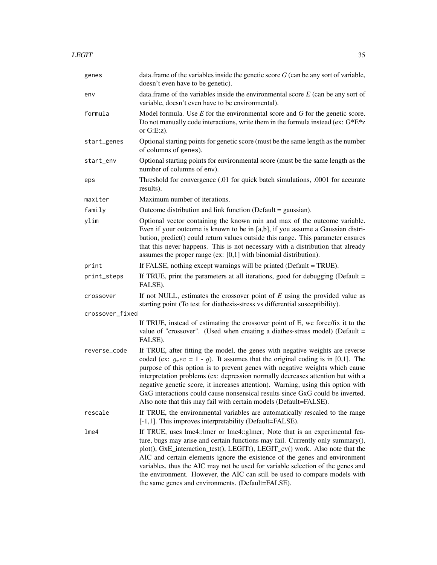$LEGIT$  35

| genes           | data.frame of the variables inside the genetic score $G$ (can be any sort of variable,<br>doesn't even have to be genetic).                                                                                                                                                                                                                                                                                                                                                                                                                                                       |
|-----------------|-----------------------------------------------------------------------------------------------------------------------------------------------------------------------------------------------------------------------------------------------------------------------------------------------------------------------------------------------------------------------------------------------------------------------------------------------------------------------------------------------------------------------------------------------------------------------------------|
| env             | data.frame of the variables inside the environmental score $E$ (can be any sort of<br>variable, doesn't even have to be environmental).                                                                                                                                                                                                                                                                                                                                                                                                                                           |
| formula         | Model formula. Use $E$ for the environmental score and $G$ for the genetic score.<br>Do not manually code interactions, write them in the formula instead (ex: $G^*E^*z$<br>or $G.E:z$ ).                                                                                                                                                                                                                                                                                                                                                                                         |
| start_genes     | Optional starting points for genetic score (must be the same length as the number<br>of columns of genes).                                                                                                                                                                                                                                                                                                                                                                                                                                                                        |
| start_env       | Optional starting points for environmental score (must be the same length as the<br>number of columns of env).                                                                                                                                                                                                                                                                                                                                                                                                                                                                    |
| eps             | Threshold for convergence (.01 for quick batch simulations, .0001 for accurate<br>results).                                                                                                                                                                                                                                                                                                                                                                                                                                                                                       |
| maxiter         | Maximum number of iterations.                                                                                                                                                                                                                                                                                                                                                                                                                                                                                                                                                     |
| family          | Outcome distribution and link function (Default = gaussian).                                                                                                                                                                                                                                                                                                                                                                                                                                                                                                                      |
| ylim            | Optional vector containing the known min and max of the outcome variable.<br>Even if your outcome is known to be in [a,b], if you assume a Gaussian distri-<br>bution, predict() could return values outside this range. This parameter ensures<br>that this never happens. This is not necessary with a distribution that already<br>assumes the proper range (ex: $[0,1]$ with binomial distribution).                                                                                                                                                                          |
| print           | If FALSE, nothing except warnings will be printed (Default = TRUE).                                                                                                                                                                                                                                                                                                                                                                                                                                                                                                               |
| print_steps     | If TRUE, print the parameters at all iterations, good for debugging (Default $=$<br>FALSE).                                                                                                                                                                                                                                                                                                                                                                                                                                                                                       |
| crossover       | If not NULL, estimates the crossover point of $E$ using the provided value as<br>starting point (To test for diathesis-stress vs differential susceptibility).                                                                                                                                                                                                                                                                                                                                                                                                                    |
| crossover_fixed |                                                                                                                                                                                                                                                                                                                                                                                                                                                                                                                                                                                   |
|                 | If TRUE, instead of estimating the crossover point of E, we force/fix it to the<br>value of "crossover". (Used when creating a diathes-stress model) (Default =<br>FALSE).                                                                                                                                                                                                                                                                                                                                                                                                        |
| reverse_code    | If TRUE, after fitting the model, the genes with negative weights are reverse<br>coded (ex: $g_r ev = 1 - g$ ). It assumes that the original coding is in [0,1]. The<br>purpose of this option is to prevent genes with negative weights which cause<br>interpretation problems (ex: depression normally decreases attention but with a<br>negative genetic score, it increases attention). Warning, using this option with<br>GxG interactions could cause nonsensical results since GxG could be inverted.<br>Also note that this may fail with certain models (Default=FALSE). |
| rescale         | If TRUE, the environmental variables are automatically rescaled to the range<br>[-1,1]. This improves interpretability (Default=FALSE).                                                                                                                                                                                                                                                                                                                                                                                                                                           |
| lme4            | If TRUE, uses lme4::lmer or lme4::glmer; Note that is an experimental fea-<br>ture, bugs may arise and certain functions may fail. Currently only summary(),<br>plot(), GxE_interaction_test(), LEGIT(), LEGIT_cv() work. Also note that the<br>AIC and certain elements ignore the existence of the genes and environment<br>variables, thus the AIC may not be used for variable selection of the genes and<br>the environment. However, the AIC can still be used to compare models with<br>the same genes and environments. (Default=FALSE).                                  |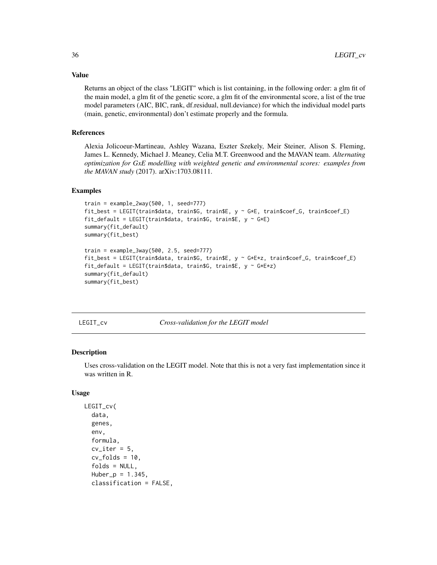Returns an object of the class "LEGIT" which is list containing, in the following order: a glm fit of the main model, a glm fit of the genetic score, a glm fit of the environmental score, a list of the true model parameters (AIC, BIC, rank, df.residual, null.deviance) for which the individual model parts (main, genetic, environmental) don't estimate properly and the formula.

#### References

Alexia Jolicoeur-Martineau, Ashley Wazana, Eszter Szekely, Meir Steiner, Alison S. Fleming, James L. Kennedy, Michael J. Meaney, Celia M.T. Greenwood and the MAVAN team. *Alternating optimization for GxE modelling with weighted genetic and environmental scores: examples from the MAVAN study* (2017). arXiv:1703.08111.

#### Examples

```
train = example_2way(500, 1, seed=777)
fit_best = LEGIT(train$data, train$G, train$E, y ~ G*E, train$coef_G, train$coef_E)
fit_default = LEGIT(train$data, train$G, train$E, y ~ G*E)
summary(fit_default)
summary(fit_best)
train = example_3way(500, 2.5, seed=777)fit_best = LEGIT(train$data, train$G, train$E, y ~ G*E*z, train$coef_G, train$coef_E)
fit_default = LEGIT(train$data, train$G, train$E, y ~ G*E*z)
summary(fit_default)
summary(fit_best)
```
LEGIT\_cv *Cross-validation for the LEGIT model*

#### Description

Uses cross-validation on the LEGIT model. Note that this is not a very fast implementation since it was written in R.

#### Usage

```
LEGIT_cv(
  data,
  genes,
  env,
  formula,
  cv\_iter = 5,
  cv_folds = 10,
  folds = NULL,
  Huber_p = 1.345,classification = FALSE,
```
<span id="page-35-0"></span>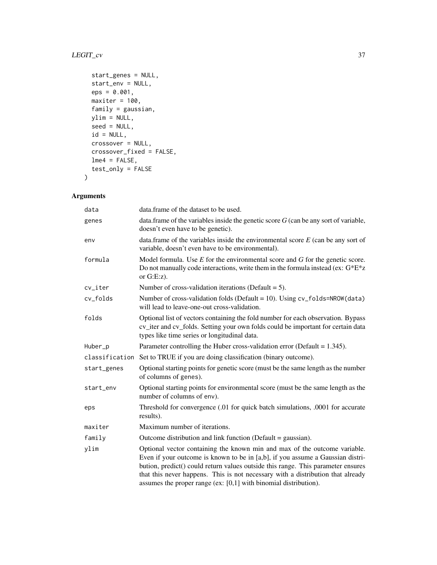#### LEGIT\_cv 37

```
start_genes = NULL,
 start_env = NULL,
 eps = 0.001,maxiter = 100,
 family = gaussian,
 ylim = NULL,
 seed = NULL,id = NULL,crossover = NULL,
 crossover_fixed = FALSE,
 lme4 = FALSE,
 test_only = FALSE
\mathcal{L}
```

| data        | data.frame of the dataset to be used.                                                                                                                                                                                                                                                                                                                                                                    |
|-------------|----------------------------------------------------------------------------------------------------------------------------------------------------------------------------------------------------------------------------------------------------------------------------------------------------------------------------------------------------------------------------------------------------------|
| genes       | data. frame of the variables inside the genetic score $G$ (can be any sort of variable,<br>doesn't even have to be genetic).                                                                                                                                                                                                                                                                             |
| env         | data.frame of the variables inside the environmental score $E$ (can be any sort of<br>variable, doesn't even have to be environmental).                                                                                                                                                                                                                                                                  |
| formula     | Model formula. Use $E$ for the environmental score and $G$ for the genetic score.<br>Do not manually code interactions, write them in the formula instead (ex: $G^*E^*z$<br>or $G.E:z$ ).                                                                                                                                                                                                                |
| cv_iter     | Number of cross-validation iterations (Default $= 5$ ).                                                                                                                                                                                                                                                                                                                                                  |
| cv_folds    | Number of cross-validation folds (Default = 10). Using cv_folds=NROW(data)<br>will lead to leave-one-out cross-validation.                                                                                                                                                                                                                                                                               |
| folds       | Optional list of vectors containing the fold number for each observation. Bypass<br>cv_iter and cv_folds. Setting your own folds could be important for certain data<br>types like time series or longitudinal data.                                                                                                                                                                                     |
| Huber_p     | Parameter controlling the Huber cross-validation error (Default $= 1.345$ ).                                                                                                                                                                                                                                                                                                                             |
|             | classification Set to TRUE if you are doing classification (binary outcome).                                                                                                                                                                                                                                                                                                                             |
| start_genes | Optional starting points for genetic score (must be the same length as the number<br>of columns of genes).                                                                                                                                                                                                                                                                                               |
| start_env   | Optional starting points for environmental score (must be the same length as the<br>number of columns of env).                                                                                                                                                                                                                                                                                           |
| eps         | Threshold for convergence (.01 for quick batch simulations, .0001 for accurate<br>results).                                                                                                                                                                                                                                                                                                              |
| maxiter     | Maximum number of iterations.                                                                                                                                                                                                                                                                                                                                                                            |
| family      | Outcome distribution and link function (Default = gaussian).                                                                                                                                                                                                                                                                                                                                             |
| ylim        | Optional vector containing the known min and max of the outcome variable.<br>Even if your outcome is known to be in [a,b], if you assume a Gaussian distri-<br>bution, predict() could return values outside this range. This parameter ensures<br>that this never happens. This is not necessary with a distribution that already<br>assumes the proper range (ex: $[0,1]$ with binomial distribution). |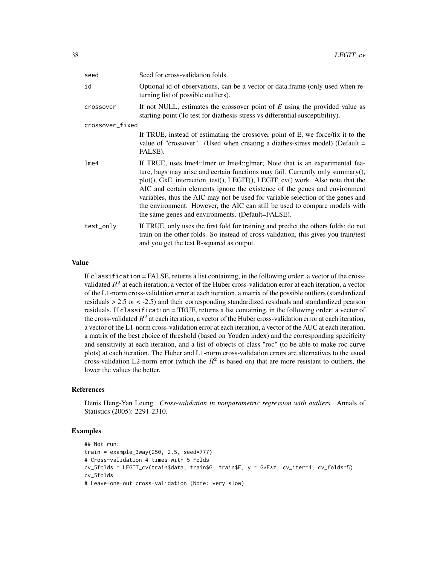| seed            | Seed for cross-validation folds.                                                                                                                                                                                                                                                                                                                                                                                                                                                                                                                 |
|-----------------|--------------------------------------------------------------------------------------------------------------------------------------------------------------------------------------------------------------------------------------------------------------------------------------------------------------------------------------------------------------------------------------------------------------------------------------------------------------------------------------------------------------------------------------------------|
| id              | Optional id of observations, can be a vector or data.frame (only used when re-<br>turning list of possible outliers).                                                                                                                                                                                                                                                                                                                                                                                                                            |
| crossover       | If not NULL, estimates the crossover point of $E$ using the provided value as<br>starting point (To test for diathesis-stress vs differential susceptibility).                                                                                                                                                                                                                                                                                                                                                                                   |
| crossover_fixed |                                                                                                                                                                                                                                                                                                                                                                                                                                                                                                                                                  |
|                 | If TRUE, instead of estimating the crossover point of E, we force/fix it to the<br>value of "crossover". (Used when creating a diathes-stress model) (Default $=$<br>FALSE).                                                                                                                                                                                                                                                                                                                                                                     |
| $l$ me $4$      | If TRUE, uses lme4::lmer or lme4::glmer; Note that is an experimental fea-<br>ture, bugs may arise and certain functions may fail. Currently only summary(),<br>plot(), GxE_interaction_test(), LEGIT(), LEGIT_cv() work. Also note that the<br>AIC and certain elements ignore the existence of the genes and environment<br>variables, thus the AIC may not be used for variable selection of the genes and<br>the environment. However, the AIC can still be used to compare models with<br>the same genes and environments. (Default=FALSE). |
| test_only       | If TRUE, only uses the first fold for training and predict the others folds; do not<br>train on the other folds. So instead of cross-validation, this gives you train/test<br>and you get the test R-squared as output.                                                                                                                                                                                                                                                                                                                          |

If classification = FALSE, returns a list containing, in the following order: a vector of the crossvalidated  $R^2$  at each iteration, a vector of the Huber cross-validation error at each iteration, a vector of the L1-norm cross-validation error at each iteration, a matrix of the possible outliers (standardized residuals > 2.5 or < -2.5) and their corresponding standardized residuals and standardized pearson residuals. If classification = TRUE, returns a list containing, in the following order: a vector of the cross-validated  $R^2$  at each iteration, a vector of the Huber cross-validation error at each iteration, a vector of the L1-norm cross-validation error at each iteration, a vector of the AUC at each iteration, a matrix of the best choice of threshold (based on Youden index) and the corresponding specificity and sensitivity at each iteration, and a list of objects of class "roc" (to be able to make roc curve plots) at each iteration. The Huber and L1-norm cross-validation errors are alternatives to the usual cross-validation L2-norm error (which the  $R^2$  is based on) that are more resistant to outliers, the lower the values the better.

#### References

Denis Heng-Yan Leung. *Cross-validation in nonparametric regression with outliers.* Annals of Statistics (2005): 2291-2310.

#### Examples

```
## Not run:
train = example_3way(250, 2.5, seed=777)
# Cross-validation 4 times with 5 Folds
cv_5folds = LEGIT_cv(train$data, train$G, train$E, y ~ G*E*z, cv_iter=4, cv_folds=5)
cv_5folds
# Leave-one-out cross-validation (Note: very slow)
```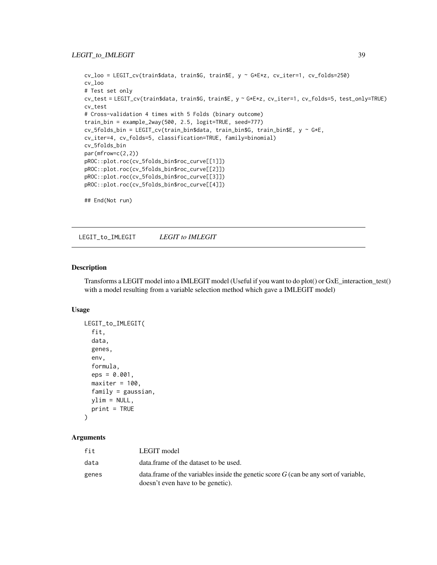#### <span id="page-38-0"></span>LEGIT\_to\_IMLEGIT 39

```
cv_loo = LEGIT_cv(train$data, train$G, train$E, y ~ G*E*z, cv_iter=1, cv_folds=250)
cv_loo
# Test set only
cv_test = LEGIT_cv(train$data, train$G, train$E, y ~ G*E*z, cv_iter=1, cv_folds=5, test_only=TRUE)
cv_test
# Cross-validation 4 times with 5 Folds (binary outcome)
train_bin = example_2way(500, 2.5, logit=TRUE, seed=777)
cv_5folds_bin = LEGIT_cv(train_bin$data, train_bin$G, train_bin$E, y ~ G*E,
cv_iter=4, cv_folds=5, classification=TRUE, family=binomial)
cv_5folds_bin
par(mfrow=c(2,2))
pROC::plot.roc(cv_5folds_bin$roc_curve[[1]])
pROC::plot.roc(cv_5folds_bin$roc_curve[[2]])
pROC::plot.roc(cv_5folds_bin$roc_curve[[3]])
pROC::plot.roc(cv_5folds_bin$roc_curve[[4]])
## End(Not run)
```
LEGIT\_to\_IMLEGIT *LEGIT to IMLEGIT*

#### **Description**

Transforms a LEGIT model into a IMLEGIT model (Useful if you want to do plot() or GxE\_interaction\_test() with a model resulting from a variable selection method which gave a IMLEGIT model)

#### Usage

```
LEGIT_to_IMLEGIT(
  fit,
  data,
  genes,
  env,
  formula,
  eps = 0.001,
  maxiter = 100,
  family = gaussian,
  ylim = NULL,
  print = TRUE
)
```

| fit   | LEGIT model                                                                                                                  |
|-------|------------------------------------------------------------------------------------------------------------------------------|
| data  | data.frame of the dataset to be used.                                                                                        |
| genes | data. frame of the variables inside the genetic score $G$ (can be any sort of variable,<br>doesn't even have to be genetic). |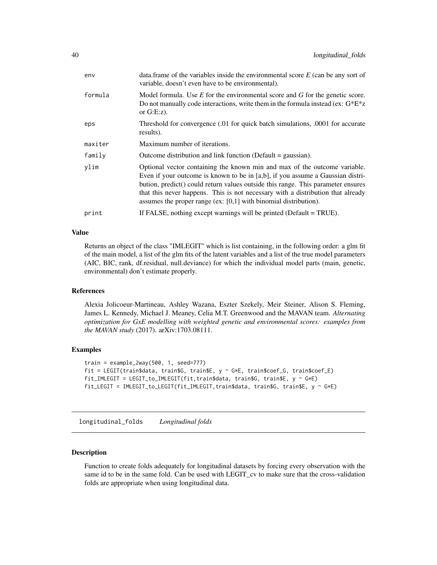<span id="page-39-0"></span>

| env     | data. frame of the variables inside the environmental score $E$ (can be any sort of<br>variable, doesn't even have to be environmental).                                                                                                                                                                                                                                                                 |
|---------|----------------------------------------------------------------------------------------------------------------------------------------------------------------------------------------------------------------------------------------------------------------------------------------------------------------------------------------------------------------------------------------------------------|
| formula | Model formula. Use $E$ for the environmental score and $G$ for the genetic score.<br>Do not manually code interactions, write them in the formula instead (ex: $G^*E^*z$<br>or $G.E:z$ ).                                                                                                                                                                                                                |
| eps     | Threshold for convergence (.01 for quick batch simulations, .0001 for accurate<br>results).                                                                                                                                                                                                                                                                                                              |
| maxiter | Maximum number of iterations.                                                                                                                                                                                                                                                                                                                                                                            |
| family  | Outcome distribution and link function (Default $=$ gaussian).                                                                                                                                                                                                                                                                                                                                           |
| ylim    | Optional vector containing the known min and max of the outcome variable.<br>Even if your outcome is known to be in [a,b], if you assume a Gaussian distri-<br>bution, predict() could return values outside this range. This parameter ensures<br>that this never happens. This is not necessary with a distribution that already<br>assumes the proper range (ex: $[0,1]$ with binomial distribution). |
| print   | If FALSE, nothing except warnings will be printed (Default = TRUE).                                                                                                                                                                                                                                                                                                                                      |
|         |                                                                                                                                                                                                                                                                                                                                                                                                          |

Returns an object of the class "IMLEGIT" which is list containing, in the following order: a glm fit of the main model, a list of the glm fits of the latent variables and a list of the true model parameters (AIC, BIC, rank, df.residual, null.deviance) for which the individual model parts (main, genetic, environmental) don't estimate properly.

#### References

Alexia Jolicoeur-Martineau, Ashley Wazana, Eszter Szekely, Meir Steiner, Alison S. Fleming, James L. Kennedy, Michael J. Meaney, Celia M.T. Greenwood and the MAVAN team. *Alternating optimization for GxE modelling with weighted genetic and environmental scores: examples from the MAVAN study* (2017). arXiv:1703.08111.

#### Examples

```
train = example_2way(500, 1, seed=777)
fit = LEGIT(train$data, train$G, train$E, y \sim G*E, train$coef_G, train$coef_E)
fit_IMLEGIT = LEGIT_to_IMLEGIT(fit,train$data, train$G, train$E, y ~ G*E)
fit_LEGIT = IMLEGIT_to_LEGIT(fit_IMLEGIT,train$data, train$G, train$E, y ~ G*E)
```
longitudinal\_folds *Longitudinal folds*

#### Description

Function to create folds adequately for longitudinal datasets by forcing every observation with the same id to be in the same fold. Can be used with LEGIT\_cv to make sure that the cross-validation folds are appropriate when using longitudinal data.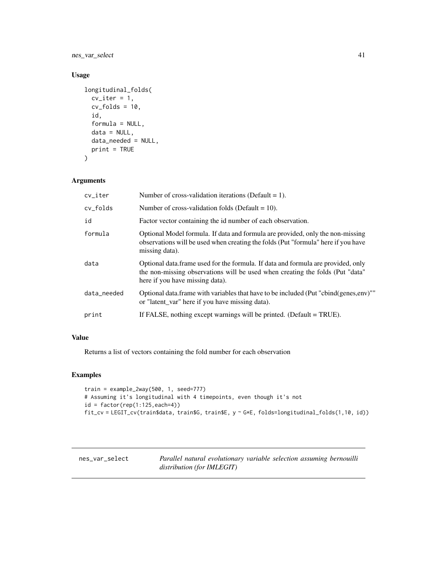<span id="page-40-0"></span>nes\_var\_select 41

#### Usage

```
longitudinal_folds(
 cv\_iter = 1,
  cv_folds = 10,
  id,
  formula = NULL,
  data = NULL,
 data_needed = NULL,
 print = TRUE
\lambda
```
#### Arguments

| cv_iter     | Number of cross-validation iterations (Default $= 1$ ).                                                                                                                                               |
|-------------|-------------------------------------------------------------------------------------------------------------------------------------------------------------------------------------------------------|
| cv_folds    | Number of cross-validation folds (Default = $10$ ).                                                                                                                                                   |
| id          | Factor vector containing the id number of each observation.                                                                                                                                           |
| formula     | Optional Model formula. If data and formula are provided, only the non-missing<br>observations will be used when creating the folds (Put "formula" here if you have<br>missing data).                 |
| data        | Optional data. frame used for the formula. If data and formula are provided, only<br>the non-missing observations will be used when creating the folds (Put "data"<br>here if you have missing data). |
| data needed | Optional data. frame with variables that have to be included (Put "cbind(genes,env)"<br>or "latent_var" here if you have missing data).                                                               |
| print       | If FALSE, nothing except warnings will be printed. (Default = TRUE).                                                                                                                                  |
|             |                                                                                                                                                                                                       |

#### Value

Returns a list of vectors containing the fold number for each observation

#### Examples

```
train = example_2way(500, 1, seed=777)
# Assuming it's longitudinal with 4 timepoints, even though it's not
id = factor(rep(1:125, each=4))fit_cv = LEGIT_cv(train$data, train$G, train$E, y ~ G*E, folds=longitudinal_folds(1,10, id))
```
nes\_var\_select *Parallel natural evolutionary variable selection assuming bernouilli distribution (for IMLEGIT)*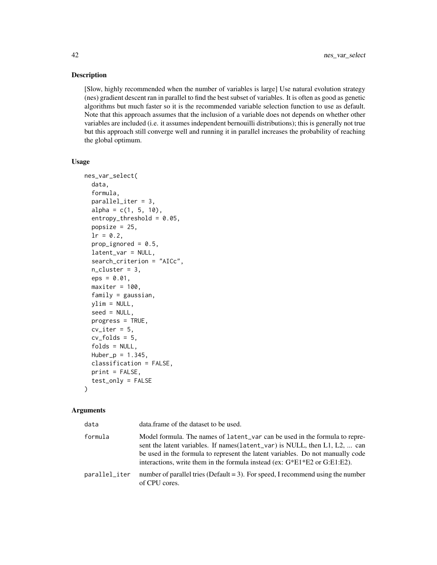#### Description

[Slow, highly recommended when the number of variables is large] Use natural evolution strategy (nes) gradient descent ran in parallel to find the best subset of variables. It is often as good as genetic algorithms but much faster so it is the recommended variable selection function to use as default. Note that this approach assumes that the inclusion of a variable does not depends on whether other variables are included (i.e. it assumes independent bernouilli distributions); this is generally not true but this approach still converge well and running it in parallel increases the probability of reaching the global optimum.

#### Usage

```
nes_var_select(
  data,
  formula,
 parallel_iter = 3,
  alpha = c(1, 5, 10),
  entropy_{th}reshold = 0.05,
  popsize = 25,
  lr = 0.2,prop_ignored = 0.5,
  latent_var = NULL,
  search_criterion = "AICc",
  n-cluster = 3,
  eps = 0.01,
 maxiter = 100,
  family = gaussian,ylim = NULL,
  seed = NULL,
 progress = TRUE,
  cv\_iter = 5,
  cv_folds = 5,
  folds = NULL,Huber_p = 1.345,classification = FALSE,
 print = FALSE,
  test_only = FALSE
)
```

| data          | data.frame of the dataset to be used.                                                                                                                                                                                                                                                                                          |
|---------------|--------------------------------------------------------------------------------------------------------------------------------------------------------------------------------------------------------------------------------------------------------------------------------------------------------------------------------|
| formula       | Model formula. The names of latent_var can be used in the formula to repre-<br>sent the latent variables. If names (latent_var) is NULL, then L1, L2,  can<br>be used in the formula to represent the latent variables. Do not manually code<br>interactions, write them in the formula instead (ex: $G*E1*E2$ or $G:E1:E2$ ). |
| parallel_iter | number of parallel tries (Default $= 3$ ). For speed, I recommend using the number<br>of CPU cores.                                                                                                                                                                                                                            |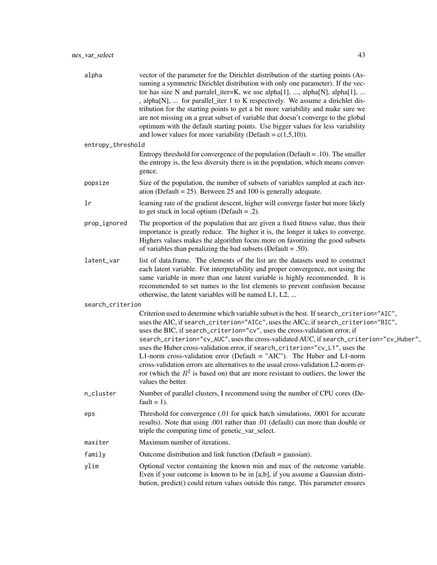| alpha             | vector of the parameter for the Dirichlet distribution of the starting points (As-<br>suming a symmetric Dirichlet distribution with only one parameter). If the vec-<br>tor has size N and parralel_iter=K, we use alpha[1], , alpha[N], alpha[1],<br>, alpha[N],  for parallel_iter 1 to K respectively. We assume a dirichlet dis-<br>tribution for the starting points to get a bit more variability and make sure we<br>are not missing on a great subset of variable that doesn't converge to the global<br>optimum with the default starting points. Use bigger values for less variability<br>and lower values for more variability (Default = $c(1,5,10)$ ).                                                      |
|-------------------|----------------------------------------------------------------------------------------------------------------------------------------------------------------------------------------------------------------------------------------------------------------------------------------------------------------------------------------------------------------------------------------------------------------------------------------------------------------------------------------------------------------------------------------------------------------------------------------------------------------------------------------------------------------------------------------------------------------------------|
| entropy_threshold |                                                                                                                                                                                                                                                                                                                                                                                                                                                                                                                                                                                                                                                                                                                            |
|                   | Entropy threshold for convergence of the population (Default = $.10$ ). The smaller<br>the entropy is, the less diversity there is in the population, which means conver-<br>gence.                                                                                                                                                                                                                                                                                                                                                                                                                                                                                                                                        |
| popsize           | Size of the population, the number of subsets of variables sampled at each iter-<br>ation (Default = 25). Between 25 and 100 is generally adequate.                                                                                                                                                                                                                                                                                                                                                                                                                                                                                                                                                                        |
| lr                | learning rate of the gradient descent, higher will converge faster but more likely<br>to get stuck in local optium (Default = $.2$ ).                                                                                                                                                                                                                                                                                                                                                                                                                                                                                                                                                                                      |
| prop_ignored      | The proportion of the population that are given a fixed fitness value, thus their<br>importance is greatly reduce. The higher it is, the longer it takes to converge.<br>Highers values makes the algorithm focus more on favorizing the good subsets<br>of variables than penalizing the bad subsets (Default = .50).                                                                                                                                                                                                                                                                                                                                                                                                     |
| latent_var        | list of data.frame. The elements of the list are the datasets used to construct<br>each latent variable. For interpretability and proper convergence, not using the<br>same variable in more than one latent variable is highly recommended. It is<br>recommended to set names to the list elements to prevent confusion because<br>otherwise, the latent variables will be named L1, L2,                                                                                                                                                                                                                                                                                                                                  |
| search_criterion  |                                                                                                                                                                                                                                                                                                                                                                                                                                                                                                                                                                                                                                                                                                                            |
|                   | Criterion used to determine which variable subset is the best. If search_criterion="AIC",<br>uses the AIC, if search_criterion="AICc", uses the AICc, if search_criterion="BIC",<br>uses the BIC, if search_criterion="cv", uses the cross-validation error, if<br>search_criterion="cv_AUC", uses the cross-validated AUC, if search_criterion="cv_Huber",<br>uses the Huber cross-validation error, if search_criterion="cv_L1", uses the<br>L1-norm cross-validation error (Default = "AIC"). The Huber and L1-norm<br>cross-validation errors are alternatives to the usual cross-validation L2-norm er-<br>ror (which the $R^2$ is based on) that are more resistant to outliers, the lower the<br>values the better. |
| n_cluster         | Number of parallel clusters, I recommend using the number of CPU cores (De-<br>fault = $1$ ).                                                                                                                                                                                                                                                                                                                                                                                                                                                                                                                                                                                                                              |
| eps               | Threshold for convergence (.01 for quick batch simulations, .0001 for accurate<br>results). Note that using .001 rather than .01 (default) can more than double or<br>triple the computing time of genetic_var_select.                                                                                                                                                                                                                                                                                                                                                                                                                                                                                                     |
| maxiter           | Maximum number of iterations.                                                                                                                                                                                                                                                                                                                                                                                                                                                                                                                                                                                                                                                                                              |
| family            | Outcome distribution and link function (Default = gaussian).                                                                                                                                                                                                                                                                                                                                                                                                                                                                                                                                                                                                                                                               |
| ylim              | Optional vector containing the known min and max of the outcome variable.<br>Even if your outcome is known to be in [a,b], if you assume a Gaussian distri-<br>bution, predict() could return values outside this range. This parameter ensures                                                                                                                                                                                                                                                                                                                                                                                                                                                                            |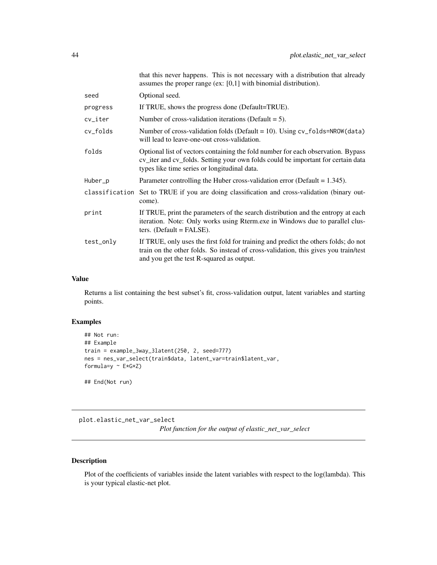<span id="page-43-0"></span>

|                | assumes the proper range (ex: $[0,1]$ with binomial distribution).                                                                                                                                                      |
|----------------|-------------------------------------------------------------------------------------------------------------------------------------------------------------------------------------------------------------------------|
| seed           | Optional seed.                                                                                                                                                                                                          |
| progress       | If TRUE, shows the progress done (Default=TRUE).                                                                                                                                                                        |
| cv_iter        | Number of cross-validation iterations (Default $= 5$ ).                                                                                                                                                                 |
| cv_folds       | Number of cross-validation folds (Default = $10$ ). Using cv_folds=NROW(data)<br>will lead to leave-one-out cross-validation.                                                                                           |
| folds          | Optional list of vectors containing the fold number for each observation. Bypass<br>cv_iter and cv_folds. Setting your own folds could be important for certain data<br>types like time series or longitudinal data.    |
| Huber_p        | Parameter controlling the Huber cross-validation error (Default = $1.345$ ).                                                                                                                                            |
| classification | Set to TRUE if you are doing classification and cross-validation (binary out-<br>come).                                                                                                                                 |
| print          | If TRUE, print the parameters of the search distribution and the entropy at each<br>iteration. Note: Only works using Rterm.exe in Windows due to parallel clus-<br>ters. (Default $=$ FALSE).                          |
| test_only      | If TRUE, only uses the first fold for training and predict the others folds; do not<br>train on the other folds. So instead of cross-validation, this gives you train/test<br>and you get the test R-squared as output. |

that this never happens. This is not necessary with a distribution that already

#### Value

Returns a list containing the best subset's fit, cross-validation output, latent variables and starting points.

#### Examples

```
## Not run:
## Example
train = example_3way_3latent(250, 2, seed=777)
nes = nes_var_select(train$data, latent_var=train$latent_var,
formula=y ~\sim E*G*Z)
```
## End(Not run)

plot.elastic\_net\_var\_select

*Plot function for the output of elastic\_net\_var\_select*

#### Description

Plot of the coefficients of variables inside the latent variables with respect to the log(lambda). This is your typical elastic-net plot.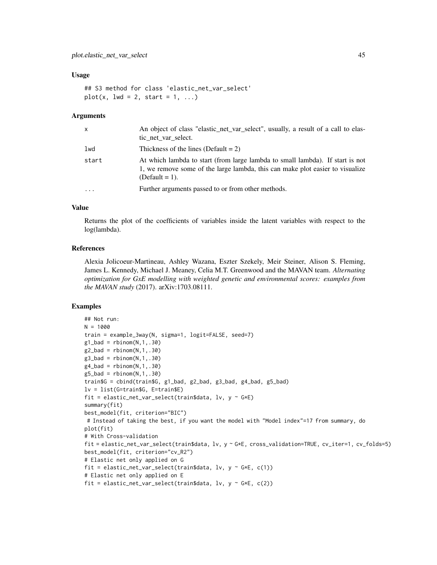#### Usage

```
## S3 method for class 'elastic_net_var_select'
plot(x, lwd = 2, start = 1, ...)
```
#### Arguments

| $\mathsf{x}$ | An object of class "elastic_net_var_select", usually, a result of a call to elas-<br>tic net var select.                                                                            |
|--------------|-------------------------------------------------------------------------------------------------------------------------------------------------------------------------------------|
| lwd          | Thickness of the lines (Default = $2$ )                                                                                                                                             |
| start        | At which lambda to start (from large lambda to small lambda). If start is not<br>1, we remove some of the large lambda, this can make plot easier to visualize<br>(Default $= 1$ ). |
| $\ddotsc$    | Further arguments passed to or from other methods.                                                                                                                                  |

#### Value

Returns the plot of the coefficients of variables inside the latent variables with respect to the log(lambda).

#### References

Alexia Jolicoeur-Martineau, Ashley Wazana, Eszter Szekely, Meir Steiner, Alison S. Fleming, James L. Kennedy, Michael J. Meaney, Celia M.T. Greenwood and the MAVAN team. *Alternating optimization for GxE modelling with weighted genetic and environmental scores: examples from the MAVAN study* (2017). arXiv:1703.08111.

#### Examples

```
## Not run:
N = 1000
train = example_3way(N, sigma=1, logit=FALSE, seed=7)
g1_bad = rbinom(N,1,.30)g2_bad = rbinom(N,1,.30)g3_bad = rbinom(N,1,.30)g4<sub>-</sub>bad = rbinom(N,1,.30)g5_bad = rbinom(N,1,.30)train$G = cbind(train$G, g1_bad, g2_bad, g3_bad, g4_bad, g5_bad)
lv = list(G=train$G, E=train$E)
fit = elastic_net_var_select(train$data, lv, y \sim G*E)
summary(fit)
best_model(fit, criterion="BIC")
# Instead of taking the best, if you want the model with "Model index"=17 from summary, do
plot(fit)
# With Cross-validation
fit = elastic_net_var_select(train$data, lv, y ~ G*E, cross_validation=TRUE, cv_iter=1, cv_folds=5)
best_model(fit, criterion="cv_R2")
# Elastic net only applied on G
fit = elastic_net_var_select(train$data, lv, y ~ G*E, c(1))
# Elastic net only applied on E
fit = elastic_net_var_select(train$data, lv, y \sim G*E, c(2))
```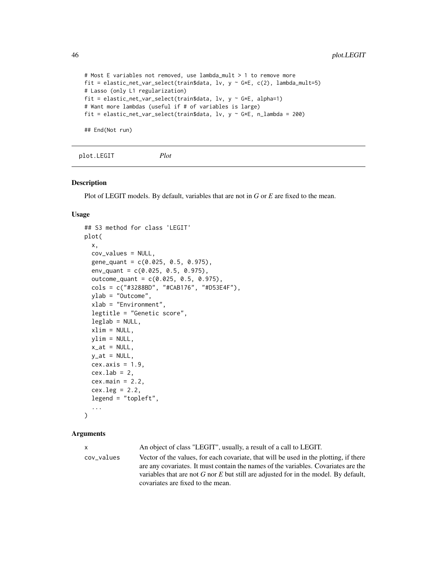```
# Most E variables not removed, use lambda_mult > 1 to remove more
fit = elastic_net_var_select(train$data, lv, y \sim G*E, c(2), lambda_mult=5)
# Lasso (only L1 regularization)
fit = elastic_net_var_select(train$data, lv, y \sim G*E, alpha=1)
# Want more lambdas (useful if # of variables is large)
fit = elastic_net_var_select(train$data, lv, y ~ G*E, n_lambda = 200)
```
## End(Not run)

plot.LEGIT *Plot*

#### Description

Plot of LEGIT models. By default, variables that are not in *G* or *E* are fixed to the mean.

#### Usage

```
## S3 method for class 'LEGIT'
plot(
  x,
  cov_values = NULL,
  gene_quant = c(0.025, 0.5, 0.975),
  env_quant = c(0.025, 0.5, 0.975),
  outcome_{quant} = c(0.025, 0.5, 0.975),
  cols = c("#3288BD", "#CAB176", "#D53E4F"),
 ylab = "Outcome",
  xlab = "Environment",
  legtitle = "Genetic score",
  leglab = NULL,xlim = NULL,vlim = NULL,x_at = NULL,y_at = NULL,cex. axis = 1.9,cex.lab = 2,
  cex.mainloop = 2.2,
  cex.leg = 2.2,
  legend = "topleft",
  ...
)
```
#### Arguments

x An object of class "LEGIT", usually, a result of a call to LEGIT. cov\_values Vector of the values, for each covariate, that will be used in the plotting, if there are any covariates. It must contain the names of the variables. Covariates are the variables that are not *G* nor *E* but still are adjusted for in the model. By default, covariates are fixed to the mean.

<span id="page-45-0"></span>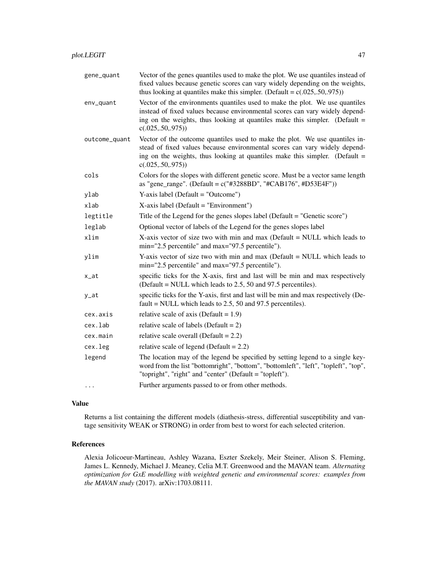| gene_quant    | Vector of the genes quantiles used to make the plot. We use quantiles instead of<br>fixed values because genetic scores can vary widely depending on the weights,<br>thus looking at quantiles make this simpler. (Default = $c(.025, .50, .975)$ )                  |
|---------------|----------------------------------------------------------------------------------------------------------------------------------------------------------------------------------------------------------------------------------------------------------------------|
| env_quant     | Vector of the environments quantiles used to make the plot. We use quantiles<br>instead of fixed values because environmental scores can vary widely depend-<br>ing on the weights, thus looking at quantiles make this simpler. (Default $=$<br>c(.025, .50, .975)) |
| outcome_quant | Vector of the outcome quantiles used to make the plot. We use quantiles in-<br>stead of fixed values because environmental scores can vary widely depend-<br>ing on the weights, thus looking at quantiles make this simpler. (Default $=$<br>c(.025,.50,.975))      |
| cols          | Colors for the slopes with different genetic score. Must be a vector same length<br>as "gene_range". (Default = $c("#3288BD", "#CAB176", #D53E4F"))$                                                                                                                 |
| ylab          | Y-axis label (Default = "Outcome")                                                                                                                                                                                                                                   |
| xlab          | $X$ -axis label (Default = "Environment")                                                                                                                                                                                                                            |
| legtitle      | Title of the Legend for the genes slopes label (Default = "Genetic score")                                                                                                                                                                                           |
| leglab        | Optional vector of labels of the Legend for the genes slopes label                                                                                                                                                                                                   |
| xlim          | X-axis vector of size two with min and max (Default $=$ NULL which leads to<br>min="2.5 percentile" and max="97.5 percentile").                                                                                                                                      |
| ylim          | Y-axis vector of size two with min and max (Default $=$ NULL which leads to<br>min="2.5 percentile" and max="97.5 percentile").                                                                                                                                      |
| x_at          | specific ticks for the X-axis, first and last will be min and max respectively<br>(Default = NULL which leads to 2.5, 50 and 97.5 percentiles).                                                                                                                      |
| y_at          | specific ticks for the Y-axis, first and last will be min and max respectively (De-<br>fault = NULL which leads to $2.5$ , 50 and 97.5 percentiles).                                                                                                                 |
| cex.axis      | relative scale of axis (Default = $1.9$ )                                                                                                                                                                                                                            |
| cex.lab       | relative scale of labels (Default = $2$ )                                                                                                                                                                                                                            |
| cex.main      | relative scale overall (Default = $2.2$ )                                                                                                                                                                                                                            |
| cex.leg       | relative scale of legend (Default = $2.2$ )                                                                                                                                                                                                                          |
| legend        | The location may of the legend be specified by setting legend to a single key-<br>word from the list "bottomright", "bottom", "bottomleft", "left", "topleft", "top",<br>"topright", "right" and "center" (Default = "topleft").                                     |
| $\cdots$      | Further arguments passed to or from other methods.                                                                                                                                                                                                                   |

Returns a list containing the different models (diathesis-stress, differential susceptibility and vantage sensitivity WEAK or STRONG) in order from best to worst for each selected criterion.

#### References

Alexia Jolicoeur-Martineau, Ashley Wazana, Eszter Szekely, Meir Steiner, Alison S. Fleming, James L. Kennedy, Michael J. Meaney, Celia M.T. Greenwood and the MAVAN team. *Alternating optimization for GxE modelling with weighted genetic and environmental scores: examples from the MAVAN study* (2017). arXiv:1703.08111.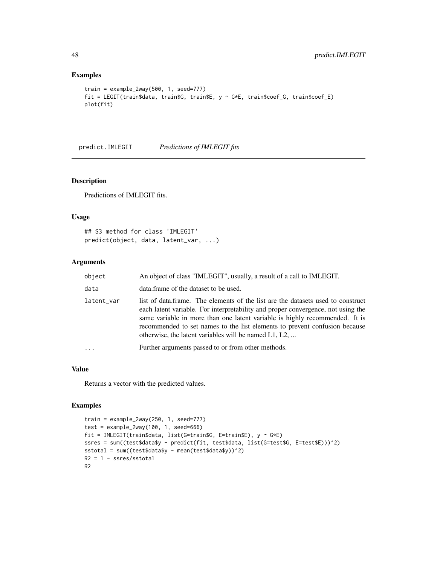#### Examples

```
train = example_2way(500, 1, seed=777)
fit = LEGIT(train$data, train$G, train$E, y ~ G*E, train$coef_G, train$coef_E)
plot(fit)
```
predict.IMLEGIT *Predictions of IMLEGIT fits*

#### Description

Predictions of IMLEGIT fits.

#### Usage

```
## S3 method for class 'IMLEGIT'
predict(object, data, latent_var, ...)
```
#### Arguments

| object     | An object of class "IMLEGIT", usually, a result of a call to IMLEGIT.                                                                                                                                                                                                                                                                                                                        |
|------------|----------------------------------------------------------------------------------------------------------------------------------------------------------------------------------------------------------------------------------------------------------------------------------------------------------------------------------------------------------------------------------------------|
| data       | data. frame of the dataset to be used.                                                                                                                                                                                                                                                                                                                                                       |
| latent_var | list of data.frame. The elements of the list are the datasets used to construct<br>each latent variable. For interpretability and proper convergence, not using the<br>same variable in more than one latent variable is highly recommended. It is<br>recommended to set names to the list elements to prevent confusion because<br>otherwise, the latent variables will be named $L1, L2, $ |
|            | Further arguments passed to or from other methods.                                                                                                                                                                                                                                                                                                                                           |
|            |                                                                                                                                                                                                                                                                                                                                                                                              |

#### Value

Returns a vector with the predicted values.

#### Examples

```
train = example_2way(250, 1, seed=777)
test = example_2way(100, 1, seed=666)fit = IMLEGIT(train$data, list(G=train$G, E=train$E), y ~ G*E)
ssres = sum((test$data$y - predict(fit, test$data, list(G=test$G, E=test$E)))^2)
sstotal = sum((test$data$y - mean(test$data$y))^2)
R2 = 1 - ssres/sstotal
R2
```
<span id="page-47-0"></span>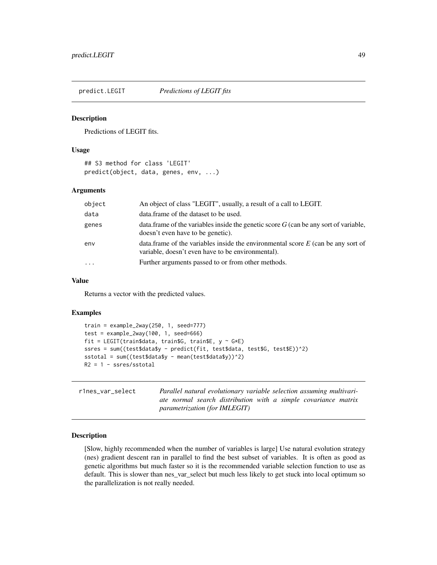<span id="page-48-0"></span>predict.LEGIT *Predictions of LEGIT fits*

#### Description

Predictions of LEGIT fits.

#### Usage

```
## S3 method for class 'LEGIT'
predict(object, data, genes, env, ...)
```
#### Arguments

| object   | An object of class "LEGIT", usually, a result of a call to LEGIT.                                                                       |
|----------|-----------------------------------------------------------------------------------------------------------------------------------------|
| data     | data. frame of the dataset to be used.                                                                                                  |
| genes    | data. frame of the variables inside the genetic score $G$ (can be any sort of variable,<br>doesn't even have to be genetic).            |
| env      | data.frame of the variables inside the environmental score $E$ (can be any sort of<br>variable, doesn't even have to be environmental). |
| $\cdots$ | Further arguments passed to or from other methods.                                                                                      |

#### Value

Returns a vector with the predicted values.

#### Examples

```
train = example_2way(250, 1, seed=777)
test = example_2way(100, 1, seed=666)
fit = LEGIT(train$data, train$G, train$E, y \sim G*E)
ssres = sum((test$data$y - predict(fit, test$data, test$G, test$E))^2)
sstotal = sum((test$data$y - mean(test$data$y))^2)
R2 = 1 - ssres/sstotal
```

| r1nes var select | Parallel natural evolutionary variable selection assuming multivari- |
|------------------|----------------------------------------------------------------------|
|                  | ate normal search distribution with a simple covariance matrix       |
|                  | <i>parametrization (for IMLEGIT)</i>                                 |

#### Description

[Slow, highly recommended when the number of variables is large] Use natural evolution strategy (nes) gradient descent ran in parallel to find the best subset of variables. It is often as good as genetic algorithms but much faster so it is the recommended variable selection function to use as default. This is slower than nes\_var\_select but much less likely to get stuck into local optimum so the parallelization is not really needed.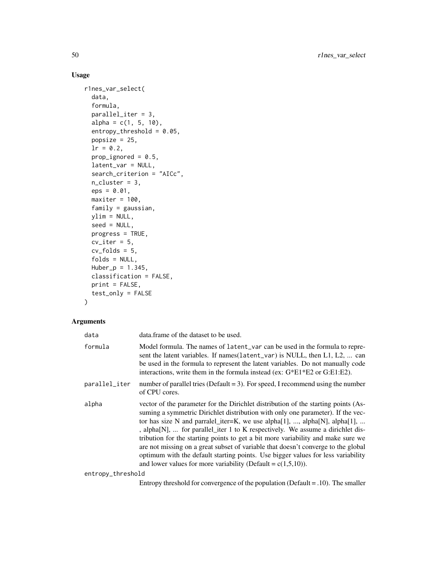#### Usage

```
r1nes_var_select(
  data,
  formula,
 parallel_iter = 3,
 alpha = c(1, 5, 10),
  entropy_{th}reshold = 0.05,
 popsize = 25,
  lr = 0.2,prop_ignored = 0.5,
  latent_var = NULL,
  search_criterion = "AICc",
 n-cluster = 3,
  eps = 0.01,maxiter = 100,
 family = gaussian,
 ylim = NULL,
  seed = NULL,
 progress = TRUE,
 cv\_iter = 5,
 cv_folds = 5,
  folds = NULL,
 Huber_p = 1.345,classification = FALSE,
 print = FALSE,
  test_only = FALSE
\mathcal{L}
```
#### Arguments

| data              | data.frame of the dataset to be used.                                                                                                                                                                                                                                                                                                                                                                                                                                                                                                                                                                                                                                 |
|-------------------|-----------------------------------------------------------------------------------------------------------------------------------------------------------------------------------------------------------------------------------------------------------------------------------------------------------------------------------------------------------------------------------------------------------------------------------------------------------------------------------------------------------------------------------------------------------------------------------------------------------------------------------------------------------------------|
| formula           | Model formula. The names of latent_var can be used in the formula to repre-<br>sent the latent variables. If names (latent_var) is NULL, then L1, L2,  can<br>be used in the formula to represent the latent variables. Do not manually code<br>interactions, write them in the formula instead (ex: $G*E1*E2$ or $G:E1:E2$ ).                                                                                                                                                                                                                                                                                                                                        |
| parallel_iter     | number of parallel tries (Default = 3). For speed, I recommend using the number<br>of CPU cores.                                                                                                                                                                                                                                                                                                                                                                                                                                                                                                                                                                      |
| alpha             | vector of the parameter for the Dirichlet distribution of the starting points (As-<br>suming a symmetric Dirichlet distribution with only one parameter). If the vec-<br>tor has size N and parralel_iter=K, we use alpha[1], , alpha[N], alpha[1],<br>, alpha[N],  for parallel_iter 1 to K respectively. We assume a dirichlet dis-<br>tribution for the starting points to get a bit more variability and make sure we<br>are not missing on a great subset of variable that doesn't converge to the global<br>optimum with the default starting points. Use bigger values for less variability<br>and lower values for more variability (Default = $c(1,5,10)$ ). |
| entropy_threshold |                                                                                                                                                                                                                                                                                                                                                                                                                                                                                                                                                                                                                                                                       |

Entropy threshold for convergence of the population (Default = .10). The smaller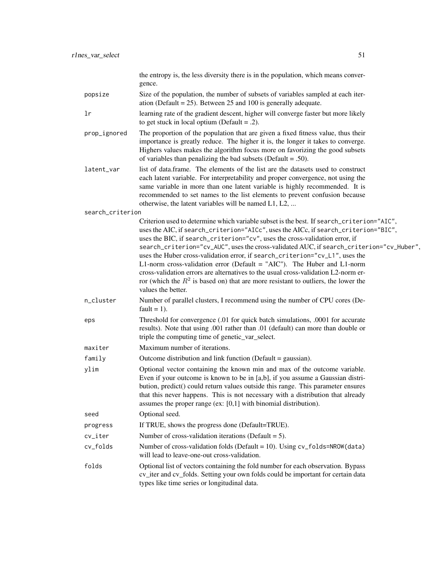|                  | the entropy is, the less diversity there is in the population, which means conver-<br>gence.                                                                                                                                                                                                                                                                                                                                                                                                                                                                                                                                                                                                                               |
|------------------|----------------------------------------------------------------------------------------------------------------------------------------------------------------------------------------------------------------------------------------------------------------------------------------------------------------------------------------------------------------------------------------------------------------------------------------------------------------------------------------------------------------------------------------------------------------------------------------------------------------------------------------------------------------------------------------------------------------------------|
| popsize          | Size of the population, the number of subsets of variables sampled at each iter-<br>ation (Default = $25$ ). Between 25 and 100 is generally adequate.                                                                                                                                                                                                                                                                                                                                                                                                                                                                                                                                                                     |
| 1r               | learning rate of the gradient descent, higher will converge faster but more likely<br>to get stuck in local optium (Default = $.2$ ).                                                                                                                                                                                                                                                                                                                                                                                                                                                                                                                                                                                      |
| prop_ignored     | The proportion of the population that are given a fixed fitness value, thus their<br>importance is greatly reduce. The higher it is, the longer it takes to converge.<br>Highers values makes the algorithm focus more on favorizing the good subsets<br>of variables than penalizing the bad subsets (Default = .50).                                                                                                                                                                                                                                                                                                                                                                                                     |
| latent_var       | list of data.frame. The elements of the list are the datasets used to construct<br>each latent variable. For interpretability and proper convergence, not using the<br>same variable in more than one latent variable is highly recommended. It is<br>recommended to set names to the list elements to prevent confusion because<br>otherwise, the latent variables will be named L1, L2,                                                                                                                                                                                                                                                                                                                                  |
| search_criterion |                                                                                                                                                                                                                                                                                                                                                                                                                                                                                                                                                                                                                                                                                                                            |
|                  | Criterion used to determine which variable subset is the best. If search_criterion="AIC",<br>uses the AIC, if search_criterion="AICc", uses the AICc, if search_criterion="BIC",<br>uses the BIC, if search_criterion="cv", uses the cross-validation error, if<br>search_criterion="cv_AUC", uses the cross-validated AUC, if search_criterion="cv_Huber",<br>uses the Huber cross-validation error, if search_criterion="cv_L1", uses the<br>L1-norm cross-validation error (Default = "AIC"). The Huber and L1-norm<br>cross-validation errors are alternatives to the usual cross-validation L2-norm er-<br>ror (which the $R^2$ is based on) that are more resistant to outliers, the lower the<br>values the better. |
| n_cluster        | Number of parallel clusters, I recommend using the number of CPU cores (De-<br>fault = $1$ ).                                                                                                                                                                                                                                                                                                                                                                                                                                                                                                                                                                                                                              |
| eps              | Threshold for convergence (.01 for quick batch simulations, .0001 for accurate<br>results). Note that using .001 rather than .01 (default) can more than double or<br>triple the computing time of genetic_var_select.                                                                                                                                                                                                                                                                                                                                                                                                                                                                                                     |
| maxiter          | Maximum number of iterations.                                                                                                                                                                                                                                                                                                                                                                                                                                                                                                                                                                                                                                                                                              |
| family           | Outcome distribution and link function (Default = gaussian).                                                                                                                                                                                                                                                                                                                                                                                                                                                                                                                                                                                                                                                               |
| ylim             | Optional vector containing the known min and max of the outcome variable.<br>Even if your outcome is known to be in [a,b], if you assume a Gaussian distri-<br>bution, predict() could return values outside this range. This parameter ensures<br>that this never happens. This is not necessary with a distribution that already<br>assumes the proper range (ex: $[0,1]$ with binomial distribution).                                                                                                                                                                                                                                                                                                                   |
| seed             | Optional seed.                                                                                                                                                                                                                                                                                                                                                                                                                                                                                                                                                                                                                                                                                                             |
| progress         | If TRUE, shows the progress done (Default=TRUE).                                                                                                                                                                                                                                                                                                                                                                                                                                                                                                                                                                                                                                                                           |
| cv_iter          | Number of cross-validation iterations (Default $= 5$ ).                                                                                                                                                                                                                                                                                                                                                                                                                                                                                                                                                                                                                                                                    |
| cv_folds         | Number of cross-validation folds (Default = 10). Using cv_folds=NROW(data)<br>will lead to leave-one-out cross-validation.                                                                                                                                                                                                                                                                                                                                                                                                                                                                                                                                                                                                 |
| folds            | Optional list of vectors containing the fold number for each observation. Bypass<br>cv_iter and cv_folds. Setting your own folds could be important for certain data<br>types like time series or longitudinal data.                                                                                                                                                                                                                                                                                                                                                                                                                                                                                                       |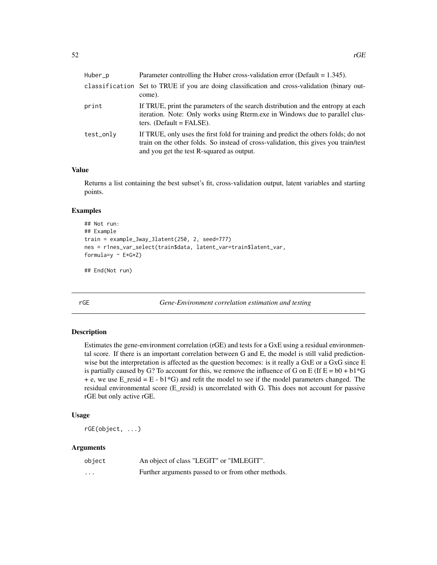<span id="page-51-0"></span>

| Huber_p   | Parameter controlling the Huber cross-validation error (Default = $1.345$ ).                                                                                                                                            |
|-----------|-------------------------------------------------------------------------------------------------------------------------------------------------------------------------------------------------------------------------|
|           | classification Set to TRUE if you are doing classification and cross-validation (binary out-<br>come).                                                                                                                  |
| print     | If TRUE, print the parameters of the search distribution and the entropy at each<br>iteration. Note: Only works using Rterm.exe in Windows due to parallel clus-<br>ters. (Default $=$ FALSE).                          |
| test_only | If TRUE, only uses the first fold for training and predict the others folds; do not<br>train on the other folds. So instead of cross-validation, this gives you train/test<br>and you get the test R-squared as output. |

Returns a list containing the best subset's fit, cross-validation output, latent variables and starting points.

#### Examples

```
## Not run:
## Example
train = example_3way_3latent(250, 2, seed=777)
nes = r1nes_var_select(train$data, latent_var=train$latent_var,
formula=y ~\sim E*G*Z)
```
## End(Not run)

rGE *Gene-Environment correlation estimation and testing*

#### Description

Estimates the gene-environment correlation (rGE) and tests for a GxE using a residual environmental score. If there is an important correlation between G and E, the model is still valid predictionwise but the interpretation is affected as the question becomes: is it really a GxE or a GxG since E is partially caused by G? To account for this, we remove the influence of G on E (If  $E = b0 + b1*G$ + e, we use  $E_{\text{resid}} = E - b1*G$  and refit the model to see if the model parameters changed. The residual environmental score (E\_resid) is uncorrelated with G. This does not account for passive rGE but only active rGE.

#### Usage

rGE(object, ...)

| object   | An object of class "LEGIT" or "IMLEGIT".           |
|----------|----------------------------------------------------|
| $\cdots$ | Further arguments passed to or from other methods. |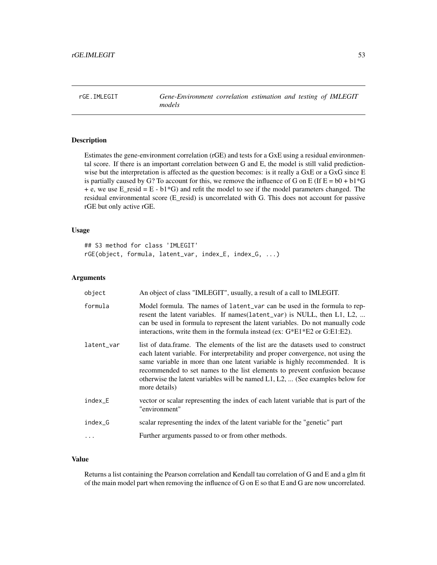<span id="page-52-0"></span>rGE.IMLEGIT *Gene-Environment correlation estimation and testing of IMLEGIT models*

#### Description

Estimates the gene-environment correlation (rGE) and tests for a GxE using a residual environmental score. If there is an important correlation between G and E, the model is still valid predictionwise but the interpretation is affected as the question becomes: is it really a GxE or a GxG since E is partially caused by G? To account for this, we remove the influence of G on E (If  $E = b0 + b1*G$  $+ e$ , we use E\_resid = E - b1<sup>\*</sup>G) and refit the model to see if the model parameters changed. The residual environmental score (E\_resid) is uncorrelated with G. This does not account for passive rGE but only active rGE.

#### Usage

```
## S3 method for class 'IMLEGIT'
rGE(object, formula, latent_var, index_E, index_G, ...)
```
#### Arguments

| object     | An object of class "IMLEGIT", usually, a result of a call to IMLEGIT.                                                                                                                                                                                                                                                                                                                                                                        |
|------------|----------------------------------------------------------------------------------------------------------------------------------------------------------------------------------------------------------------------------------------------------------------------------------------------------------------------------------------------------------------------------------------------------------------------------------------------|
| formula    | Model formula. The names of latent_var can be used in the formula to rep-<br>resent the latent variables. If names (latent_var) is NULL, then L1, L2,<br>can be used in formula to represent the latent variables. Do not manually code<br>interactions, write them in the formula instead (ex: $G*E1*E2$ or $G:E1:E2$ ).                                                                                                                    |
| latent_var | list of data.frame. The elements of the list are the datasets used to construct<br>each latent variable. For interpretability and proper convergence, not using the<br>same variable in more than one latent variable is highly recommended. It is<br>recommended to set names to the list elements to prevent confusion because<br>otherwise the latent variables will be named $L_1, L_2, \ldots$ (See examples below for<br>more details) |
| index_E    | vector or scalar representing the index of each latent variable that is part of the<br>"environment"                                                                                                                                                                                                                                                                                                                                         |
| index_G    | scalar representing the index of the latent variable for the "genetic" part                                                                                                                                                                                                                                                                                                                                                                  |
|            | Further arguments passed to or from other methods.                                                                                                                                                                                                                                                                                                                                                                                           |

#### Value

Returns a list containing the Pearson correlation and Kendall tau correlation of G and E and a glm fit of the main model part when removing the influence of G on E so that E and G are now uncorrelated.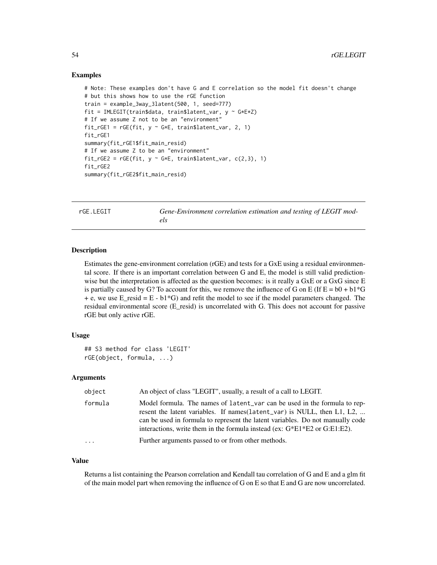#### Examples

```
# Note: These examples don't have G and E correlation so the model fit doesn't change
# but this shows how to use the rGE function
train = example_3way_3latent(500, 1, seed=777)
fit = IMLEGIT(train$data, train$latent_var, y ~ G*E*Z)
# If we assume Z not to be an "environment"
fit_rGE1 = rGE(fit, y ~^cG*E, train$latent_var, 2, 1)fit_rGE1
summary(fit_rGE1$fit_main_resid)
# If we assume Z to be an "environment"
fit_{rGE2} = rGE(fit, y ~ c*E, train$latent_var, c(2,3), 1)fit_rGE2
summary(fit_rGE2$fit_main_resid)
```
rGE.LEGIT *Gene-Environment correlation estimation and testing of LEGIT models*

#### Description

Estimates the gene-environment correlation (rGE) and tests for a GxE using a residual environmental score. If there is an important correlation between G and E, the model is still valid predictionwise but the interpretation is affected as the question becomes: is it really a GxE or a GxG since E is partially caused by G? To account for this, we remove the influence of G on E (If  $E = b0 + b1*G$  $+ e$ , we use E\_resid = E - b1<sup>\*</sup>G) and refit the model to see if the model parameters changed. The residual environmental score (E\_resid) is uncorrelated with G. This does not account for passive rGE but only active rGE.

#### Usage

```
## S3 method for class 'LEGIT'
rGE(object, formula, ...)
```
#### Arguments

| object   | An object of class "LEGIT", usually, a result of a call to LEGIT.                                                                                                                                                                                                                                                           |
|----------|-----------------------------------------------------------------------------------------------------------------------------------------------------------------------------------------------------------------------------------------------------------------------------------------------------------------------------|
| formula  | Model formula. The names of latent var can be used in the formula to rep-<br>resent the latent variables. If names (latent_var) is NULL, then L1, L2,<br>can be used in formula to represent the latent variables. Do not manually code<br>interactions, write them in the formula instead (ex: $G^*E1^*E2$ or $G:E1:E2$ ). |
| $\cdots$ | Further arguments passed to or from other methods.                                                                                                                                                                                                                                                                          |

#### Value

Returns a list containing the Pearson correlation and Kendall tau correlation of G and E and a glm fit of the main model part when removing the influence of G on E so that E and G are now uncorrelated.

<span id="page-53-0"></span>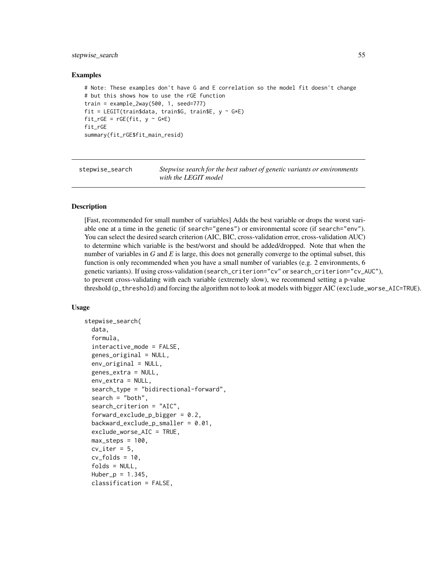#### <span id="page-54-0"></span>stepwise\_search 55

#### Examples

```
# Note: These examples don't have G and E correlation so the model fit doesn't change
# but this shows how to use the rGE function
train = example_2way(500, 1, seed=777)fit = LEGIT(train$data, train$G, train$E, y \sim G*E)
fit\_rGE = rGE(fit, y ~ c*E)fit_rGE
summary(fit_rGE$fit_main_resid)
```
stepwise\_search *Stepwise search for the best subset of genetic variants or environments with the LEGIT model*

#### Description

[Fast, recommended for small number of variables] Adds the best variable or drops the worst variable one at a time in the genetic (if search="genes") or environmental score (if search="env"). You can select the desired search criterion (AIC, BIC, cross-validation error, cross-validation AUC) to determine which variable is the best/worst and should be added/dropped. Note that when the number of variables in *G* and *E* is large, this does not generally converge to the optimal subset, this function is only recommended when you have a small number of variables (e.g. 2 environments, 6 genetic variants). If using cross-validation (search\_criterion="cv" or search\_criterion="cv\_AUC"), to prevent cross-validating with each variable (extremely slow), we recommend setting a p-value threshold (p\_threshold) and forcing the algorithm not to look at models with bigger AIC (exclude\_worse\_AIC=TRUE).

#### Usage

```
stepwise_search(
  data,
  formula,
  interactive_mode = FALSE,
  genes_original = NULL,
  env_original = NULL,
 genes_extra = NULL,
  env_extra = NULL,
  search_type = "bidirectional-forward",
  search = "both",search_criterion = "AIC",
  forward_exclude_p_bigger = 0.2,
  backward_exclude_p_smaller = 0.01,
  exclude_worse_AIC = TRUE,
 max\_steps = 100.
 cv\_iter = 5,
  cv_folds = 10,
  folds = NULL,
 Huber_p = 1.345,classification = FALSE,
```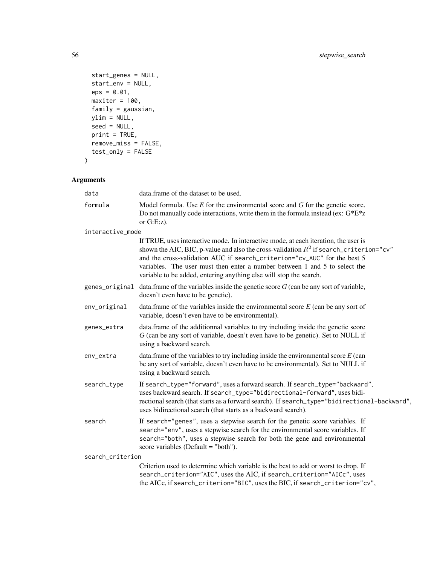```
start_genes = NULL,
 start_env = NULL,
 eps = 0.01,maxiter = 100,
 family = gaussian,ylim = NULL,
 seed = NULL,
 print = TRUE,
 remove_miss = FALSE,
 test_only = FALSE
)
```

| data             | data. frame of the dataset to be used.                                                                                                                                                                                                                                                                                                                                                                          |
|------------------|-----------------------------------------------------------------------------------------------------------------------------------------------------------------------------------------------------------------------------------------------------------------------------------------------------------------------------------------------------------------------------------------------------------------|
| formula          | Model formula. Use $E$ for the environmental score and $G$ for the genetic score.<br>Do not manually code interactions, write them in the formula instead (ex: $G^*E^*z$<br>or $G.E:z$ ).                                                                                                                                                                                                                       |
| interactive_mode |                                                                                                                                                                                                                                                                                                                                                                                                                 |
|                  | If TRUE, uses interactive mode. In interactive mode, at each iteration, the user is<br>shown the AIC, BIC, p-value and also the cross-validation $R^2$ if search_criterion="cv"<br>and the cross-validation AUC if search_criterion="cv_AUC" for the best 5<br>variables. The user must then enter a number between 1 and 5 to select the<br>variable to be added, entering anything else will stop the search. |
|                  | genes_original data.frame of the variables inside the genetic score $G$ (can be any sort of variable,<br>doesn't even have to be genetic).                                                                                                                                                                                                                                                                      |
| env_original     | data.frame of the variables inside the environmental score $E$ (can be any sort of<br>variable, doesn't even have to be environmental).                                                                                                                                                                                                                                                                         |
| genes_extra      | data. frame of the additionnal variables to try including inside the genetic score<br>G (can be any sort of variable, doesn't even have to be genetic). Set to NULL if<br>using a backward search.                                                                                                                                                                                                              |
| env_extra        | data.frame of the variables to try including inside the environmental score $E$ (can<br>be any sort of variable, doesn't even have to be environmental). Set to NULL if<br>using a backward search.                                                                                                                                                                                                             |
| search_type      | If search_type="forward", uses a forward search. If search_type="backward",<br>uses backward search. If search_type="bidirectional-forward", uses bidi-<br>rectional search (that starts as a forward search). If search_type="bidirectional-backward",<br>uses bidirectional search (that starts as a backward search).                                                                                        |
| search           | If search="genes", uses a stepwise search for the genetic score variables. If<br>search="env", uses a stepwise search for the environmental score variables. If<br>search="both", uses a stepwise search for both the gene and environmental<br>score variables (Default = "both").                                                                                                                             |
| search_criterion |                                                                                                                                                                                                                                                                                                                                                                                                                 |
|                  | Criterion used to determine which variable is the best to add or worst to drop. If<br>search_criterion="AIC", uses the AIC, if search_criterion="AICc", uses<br>the AICc, if search_criterion="BIC", uses the BIC, if search_criterion="cv",                                                                                                                                                                    |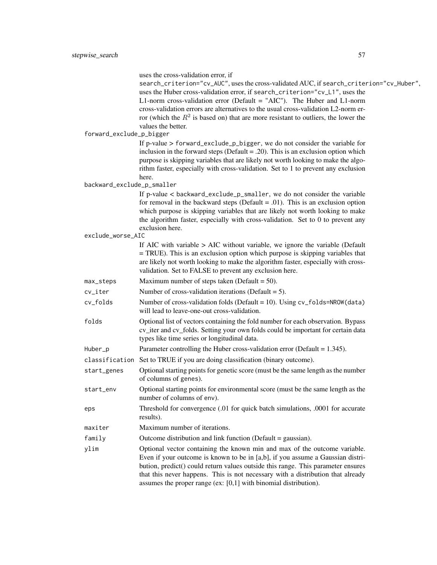uses the cross-validation error, if search\_criterion="cv\_AUC", uses the cross-validated AUC, if search\_criterion="cv\_Huber", uses the Huber cross-validation error, if search\_criterion="cv\_L1", uses the L1-norm cross-validation error (Default = "AIC"). The Huber and L1-norm cross-validation errors are alternatives to the usual cross-validation L2-norm erfror (which the  $R^2$  is based on) that are more resistant to outliers, the lower the values the better. forward\_exclude\_p\_bigger If p-value > forward\_exclude\_p\_bigger, we do not consider the variable for inclusion in the forward steps (Default  $= .20$ ). This is an exclusion option which purpose is skipping variables that are likely not worth looking to make the algorithm faster, especially with cross-validation. Set to 1 to prevent any exclusion here. backward\_exclude\_p\_smaller If p-value < backward\_exclude\_p\_smaller, we do not consider the variable for removal in the backward steps (Default  $= .01$ ). This is an exclusion option which purpose is skipping variables that are likely not worth looking to make the algorithm faster, especially with cross-validation. Set to 0 to prevent any exclusion here. exclude\_worse\_AIC If AIC with variable > AIC without variable, we ignore the variable (Default = TRUE). This is an exclusion option which purpose is skipping variables that are likely not worth looking to make the algorithm faster, especially with crossvalidation. Set to FALSE to prevent any exclusion here. max\_steps Maximum number of steps taken (Default = 50). cv\_iter Number of cross-validation iterations (Default = 5). cv\_folds Number of cross-validation folds (Default = 10). Using cv\_folds=NROW(data) will lead to leave-one-out cross-validation. folds Optional list of vectors containing the fold number for each observation. Bypass cv\_iter and cv\_folds. Setting your own folds could be important for certain data types like time series or longitudinal data. Huber\_p Parameter controlling the Huber cross-validation error (Default = 1.345). classification Set to TRUE if you are doing classification (binary outcome). start\_genes Optional starting points for genetic score (must be the same length as the number of columns of genes). start\_env Optional starting points for environmental score (must be the same length as the number of columns of env). eps Threshold for convergence (.01 for quick batch simulations, .0001 for accurate results). maxiter Maximum number of iterations. family Outcome distribution and link function (Default = gaussian). ylim Optional vector containing the known min and max of the outcome variable. Even if your outcome is known to be in [a,b], if you assume a Gaussian distribution, predict() could return values outside this range. This parameter ensures that this never happens. This is not necessary with a distribution that already assumes the proper range (ex: [0,1] with binomial distribution).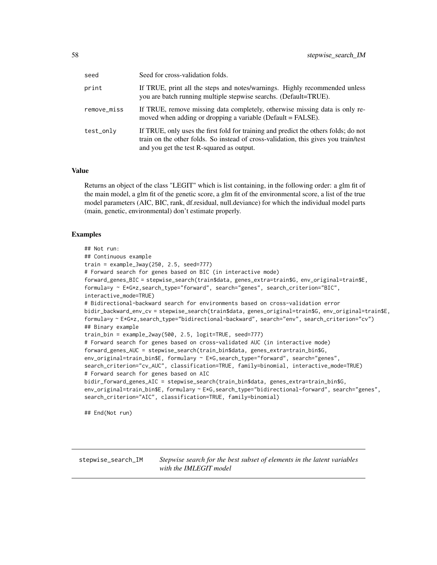<span id="page-57-0"></span>

| seed        | Seed for cross-validation folds.                                                                                                                                                                                        |
|-------------|-------------------------------------------------------------------------------------------------------------------------------------------------------------------------------------------------------------------------|
| print       | If TRUE, print all the steps and notes/warnings. Highly recommended unless<br>you are batch running multiple stepwise searchs. (Default=TRUE).                                                                          |
| remove_miss | If TRUE, remove missing data completely, otherwise missing data is only re-<br>moved when adding or dropping a variable (Default = FALSE).                                                                              |
| test_only   | If TRUE, only uses the first fold for training and predict the others folds; do not<br>train on the other folds. So instead of cross-validation, this gives you train/test<br>and you get the test R-squared as output. |

Returns an object of the class "LEGIT" which is list containing, in the following order: a glm fit of the main model, a glm fit of the genetic score, a glm fit of the environmental score, a list of the true model parameters (AIC, BIC, rank, df.residual, null.deviance) for which the individual model parts (main, genetic, environmental) don't estimate properly.

#### Examples

```
## Not run:
## Continuous example
train = example_3way(250, 2.5, seed=777)
# Forward search for genes based on BIC (in interactive mode)
forward_genes_BIC = stepwise_search(train$data, genes_extra=train$G, env_original=train$E,
formula=y ~ E*G*z,search_type="forward", search="genes", search_criterion="BIC",
interactive_mode=TRUE)
# Bidirectional-backward search for environments based on cross-validation error
bidir_backward_env_cv = stepwise_search(train$data, genes_original=train$G, env_original=train$E,
formula=y ~ E*G*z,search_type="bidirectional-backward", search="env", search_criterion="cv")
## Binary example
train_bin = example_2way(500, 2.5, logit=TRUE, seed=777)
# Forward search for genes based on cross-validated AUC (in interactive mode)
forward_genes_AUC = stepwise_search(train_bin$data, genes_extra=train_bin$G,
env_original=train_bin$E, formula=y ~ E*G,search_type="forward", search="genes",
search_criterion="cv_AUC", classification=TRUE, family=binomial, interactive_mode=TRUE)
# Forward search for genes based on AIC
bidir_forward_genes_AIC = stepwise_search(train_bin$data, genes_extra=train_bin$G,
env_original=train_bin$E, formula=y ~ E*G,search_type="bidirectional-forward", search="genes",
search_criterion="AIC", classification=TRUE, family=binomial)
```
## End(Not run)

stepwise\_search\_IM *Stepwise search for the best subset of elements in the latent variables with the IMLEGIT model*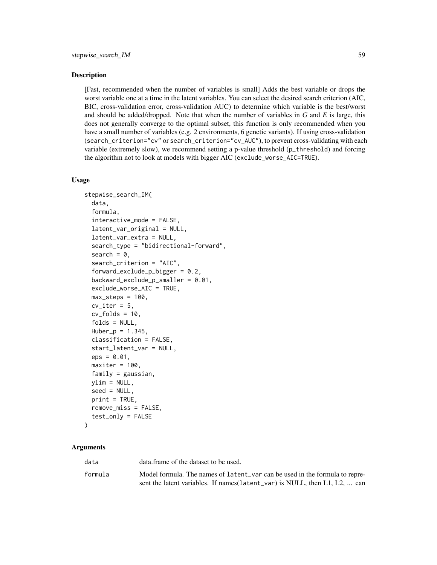#### Description

[Fast, recommended when the number of variables is small] Adds the best variable or drops the worst variable one at a time in the latent variables. You can select the desired search criterion (AIC, BIC, cross-validation error, cross-validation AUC) to determine which variable is the best/worst and should be added/dropped. Note that when the number of variables in *G* and *E* is large, this does not generally converge to the optimal subset, this function is only recommended when you have a small number of variables (e.g. 2 environments, 6 genetic variants). If using cross-validation (search\_criterion="cv" or search\_criterion="cv\_AUC"), to prevent cross-validating with each variable (extremely slow), we recommend setting a p-value threshold (p\_threshold) and forcing the algorithm not to look at models with bigger AIC (exclude\_worse\_AIC=TRUE).

#### Usage

```
stepwise_search_IM(
  data,
  formula,
  interactive_mode = FALSE,
  latent_var_original = NULL,
  latent_var_extra = NULL,
  search_type = "bidirectional-forward",
  search = 0,
  search_criterion = "AIC",
  forward_exclude_p_bigger = 0.2,
  background\_exclude\_p\_smaller = 0.01,exclude_worse_AIC = TRUE,
  max\_steps = 100,
  cv\_iter = 5,
  cv_folds = 10,
  folds = NULL,
  Huber_p = 1.345,
  classification = FALSE,
  start_latent_var = NULL,
  eps = 0.01,maxiter = 100,
  family = gaussian,
 ylim = NULL,seed = NULL,
  print = TRUE,
  remove_miss = FALSE,
  test_only = FALSE
```

```
)
```

| data    | data frame of the dataset to be used.                                           |
|---------|---------------------------------------------------------------------------------|
| formula | Model formula. The names of latent var can be used in the formula to repre-     |
|         | sent the latent variables. If names ( $l$ atent_var) is NULL, then L1, L2,  can |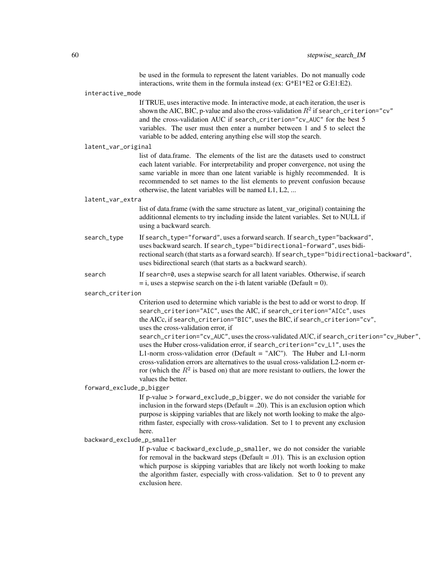|                            | be used in the formula to represent the latent variables. Do not manually code<br>interactions, write them in the formula instead (ex: G*E1*E2 or G:E1:E2).                                                                                                                                                                                                                                                                                                                                                                                                                                                                                                                                                                                    |
|----------------------------|------------------------------------------------------------------------------------------------------------------------------------------------------------------------------------------------------------------------------------------------------------------------------------------------------------------------------------------------------------------------------------------------------------------------------------------------------------------------------------------------------------------------------------------------------------------------------------------------------------------------------------------------------------------------------------------------------------------------------------------------|
| interactive_mode           |                                                                                                                                                                                                                                                                                                                                                                                                                                                                                                                                                                                                                                                                                                                                                |
|                            | If TRUE, uses interactive mode. In interactive mode, at each iteration, the user is<br>shown the AIC, BIC, p-value and also the cross-validation $R^2$ if search_criterion="cv"<br>and the cross-validation AUC if search_criterion="cv_AUC" for the best 5<br>variables. The user must then enter a number between 1 and 5 to select the<br>variable to be added, entering anything else will stop the search.                                                                                                                                                                                                                                                                                                                                |
| latent_var_original        |                                                                                                                                                                                                                                                                                                                                                                                                                                                                                                                                                                                                                                                                                                                                                |
|                            | list of data.frame. The elements of the list are the datasets used to construct<br>each latent variable. For interpretability and proper convergence, not using the<br>same variable in more than one latent variable is highly recommended. It is<br>recommended to set names to the list elements to prevent confusion because<br>otherwise, the latent variables will be named L1, L2,                                                                                                                                                                                                                                                                                                                                                      |
| latent_var_extra           |                                                                                                                                                                                                                                                                                                                                                                                                                                                                                                                                                                                                                                                                                                                                                |
|                            | list of data.frame (with the same structure as latent_var_original) containing the<br>additionnal elements to try including inside the latent variables. Set to NULL if<br>using a backward search.                                                                                                                                                                                                                                                                                                                                                                                                                                                                                                                                            |
| search_type                | If search_type="forward", uses a forward search. If search_type="backward",<br>uses backward search. If search_type="bidirectional-forward", uses bidi-<br>rectional search (that starts as a forward search). If search_type="bidirectional-backward",<br>uses bidirectional search (that starts as a backward search).                                                                                                                                                                                                                                                                                                                                                                                                                       |
| search                     | If search=0, uses a stepwise search for all latent variables. Otherwise, if search<br>$=$ i, uses a stepwise search on the i-th latent variable (Default = 0).                                                                                                                                                                                                                                                                                                                                                                                                                                                                                                                                                                                 |
| search_criterion           |                                                                                                                                                                                                                                                                                                                                                                                                                                                                                                                                                                                                                                                                                                                                                |
|                            | Criterion used to determine which variable is the best to add or worst to drop. If<br>search_criterion="AIC", uses the AIC, if search_criterion="AICc", uses<br>the AICc, if search_criterion="BIC", uses the BIC, if search_criterion="cv",<br>uses the cross-validation error, if<br>search_criterion="cv_AUC", uses the cross-validated AUC, if search_criterion="cv_Huber",<br>uses the Huber cross-validation error, if search_criterion="cv_L1", uses the<br>L1-norm cross-validation error (Default = "AIC"). The Huber and L1-norm<br>cross-validation errors are alternatives to the usual cross-validation L2-norm er-<br>ror (which the $R^2$ is based on) that are more resistant to outliers, the lower the<br>values the better. |
| forward_exclude_p_bigger   |                                                                                                                                                                                                                                                                                                                                                                                                                                                                                                                                                                                                                                                                                                                                                |
|                            | If p-value > forward_exclude_p_bigger, we do not consider the variable for<br>inclusion in the forward steps (Default = .20). This is an exclusion option which<br>purpose is skipping variables that are likely not worth looking to make the algo-<br>rithm faster, especially with cross-validation. Set to 1 to prevent any exclusion<br>here.                                                                                                                                                                                                                                                                                                                                                                                             |
| backward_exclude_p_smaller |                                                                                                                                                                                                                                                                                                                                                                                                                                                                                                                                                                                                                                                                                                                                                |
|                            | If p-value < backward_exclude_p_smaller, we do not consider the variable<br>for removal in the backward steps (Default = .01). This is an exclusion option<br>which purpose is skipping variables that are likely not worth looking to make<br>the algorithm faster, especially with cross-validation. Set to 0 to prevent any<br>exclusion here.                                                                                                                                                                                                                                                                                                                                                                                              |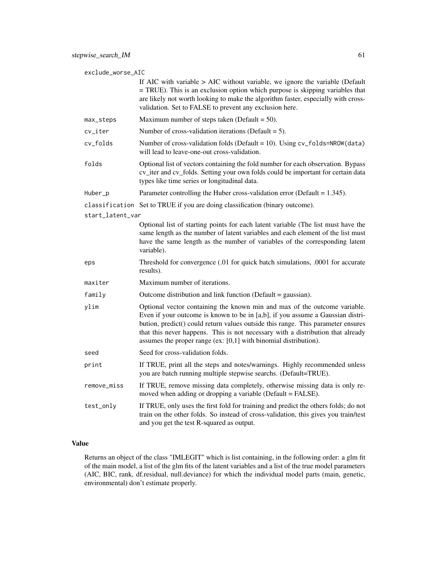exclude\_worse\_AIC

If AIC with variable > AIC without variable, we ignore the variable (Default = TRUE). This is an exclusion option which purpose is skipping variables that are likely not worth looking to make the algorithm faster, especially with crossvalidation. Set to FALSE to prevent any exclusion here.

- $max_{s}$  steps Maximum number of steps taken (Default = 50).
- $cv$ <sub>l</sub> ter Number of cross-validation iterations (Default = 5).
- cv\_folds Number of cross-validation folds (Default = 10). Using cv\_folds=NROW(data) will lead to leave-one-out cross-validation.
- folds Optional list of vectors containing the fold number for each observation. Bypass cv\_iter and cv\_folds. Setting your own folds could be important for certain data types like time series or longitudinal data.
- Huber<sub>p</sub> Parameter controlling the Huber cross-validation error (Default = 1.345).

#### classification Set to TRUE if you are doing classification (binary outcome).

start\_latent\_var

Optional list of starting points for each latent variable (The list must have the same length as the number of latent variables and each element of the list must have the same length as the number of variables of the corresponding latent variable).

- eps Threshold for convergence (.01 for quick batch simulations, .0001 for accurate results).
- maxiter Maximum number of iterations.
- family Outcome distribution and link function (Default = gaussian).
- ylim Optional vector containing the known min and max of the outcome variable. Even if your outcome is known to be in [a,b], if you assume a Gaussian distribution, predict() could return values outside this range. This parameter ensures that this never happens. This is not necessary with a distribution that already assumes the proper range (ex: [0,1] with binomial distribution).
- seed Seed for cross-validation folds.
- print If TRUE, print all the steps and notes/warnings. Highly recommended unless you are batch running multiple stepwise searchs. (Default=TRUE).
- remove\_miss If TRUE, remove missing data completely, otherwise missing data is only removed when adding or dropping a variable (Default = FALSE).
- test\_only If TRUE, only uses the first fold for training and predict the others folds; do not train on the other folds. So instead of cross-validation, this gives you train/test and you get the test R-squared as output.

#### Value

Returns an object of the class "IMLEGIT" which is list containing, in the following order: a glm fit of the main model, a list of the glm fits of the latent variables and a list of the true model parameters (AIC, BIC, rank, df.residual, null.deviance) for which the individual model parts (main, genetic, environmental) don't estimate properly.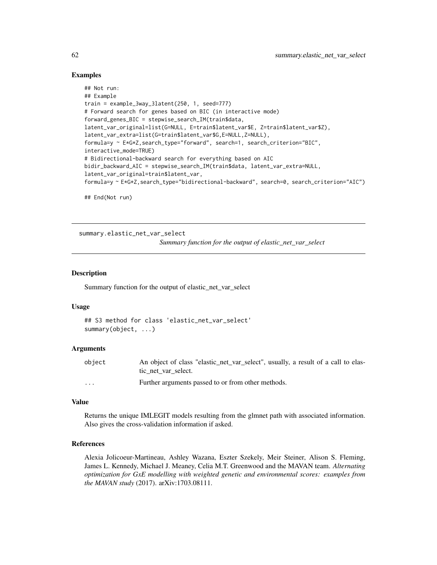#### Examples

```
## Not run:
## Example
train = example_3way_3latent(250, 1, seed=777)
# Forward search for genes based on BIC (in interactive mode)
forward_genes_BIC = stepwise_search_IM(train$data,
latent_var_original=list(G=NULL, E=train$latent_var$E, Z=train$latent_var$Z),
latent_var_extra=list(G=train$latent_var$G,E=NULL,Z=NULL),
formula=y ~ E*G*Z,search_type="forward", search=1, search_criterion="BIC",
interactive_mode=TRUE)
# Bidirectional-backward search for everything based on AIC
bidir_backward_AIC = stepwise_search_IM(train$data, latent_var_extra=NULL,
latent_var_original=train$latent_var,
formula=y ~ E*G*Z,search_type="bidirectional-backward", search=0, search_criterion="AIC")
```
## End(Not run)

summary.elastic\_net\_var\_select *Summary function for the output of elastic\_net\_var\_select*

#### Description

Summary function for the output of elastic\_net\_var\_select

#### Usage

```
## S3 method for class 'elastic_net_var_select'
summary(object, ...)
```
#### Arguments

| object   | An object of class "elastic_net_var_select", usually, a result of a call to elas- |
|----------|-----------------------------------------------------------------------------------|
|          | tic net var select.                                                               |
| $\cdots$ | Further arguments passed to or from other methods.                                |

#### Value

Returns the unique IMLEGIT models resulting from the glmnet path with associated information. Also gives the cross-validation information if asked.

#### References

Alexia Jolicoeur-Martineau, Ashley Wazana, Eszter Szekely, Meir Steiner, Alison S. Fleming, James L. Kennedy, Michael J. Meaney, Celia M.T. Greenwood and the MAVAN team. *Alternating optimization for GxE modelling with weighted genetic and environmental scores: examples from the MAVAN study* (2017). arXiv:1703.08111.

<span id="page-61-0"></span>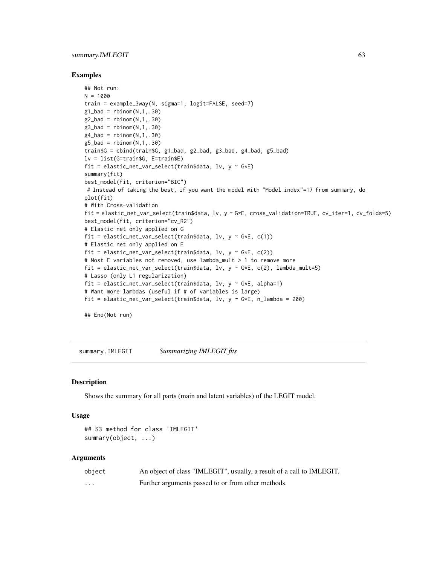#### <span id="page-62-0"></span>summary.IMLEGIT 63

#### Examples

```
## Not run:
N = 1000train = example_3way(N, sigma=1, logit=FALSE, seed=7)
g1<sub>b</sub>ad = rbinom(N,1,.30)g2_bad = rbinom(N,1,.30)g3_bad = rbinom(N,1,.30)
g4<sub>-</sub>bad = rbinom(N, 1, .30)g5_bad = rbinom(N,1,.30)train$G = cbind(train$G, g1_bad, g2_bad, g3_bad, g4_bad, g5_bad)
lv = list(G=train$G, E=train$E)
fit = elastic_net_var_select(train$data, lv, y \sim G*E)
summary(fit)
best_model(fit, criterion="BIC")
# Instead of taking the best, if you want the model with "Model index"=17 from summary, do
plot(fit)
# With Cross-validation
fit = elastic_net_var_select(train$data, lv, y ~ G*E, cross_validation=TRUE, cv_iter=1, cv_folds=5)
best_model(fit, criterion="cv_R2")
# Elastic net only applied on G
fit = elastic_net_var_select(train$data, lv, y \sim G*E, c(1))
# Elastic net only applied on E
fit = elastic_net_var_select(train$data, lv, v \sim G*E, c(2))
# Most E variables not removed, use lambda_mult > 1 to remove more
fit = elastic_net_var_select(train$data, lv, y ~ G*E, c(2), lambda_mult=5)
# Lasso (only L1 regularization)
fit = elastic_net_var_select(train$data, lv, y \sim G*E, alpha=1)
# Want more lambdas (useful if # of variables is large)
fit = elastic_net_var_select(train$data, lv, y ~ G*E, n_lambda = 200)
```
## End(Not run)

summary.IMLEGIT *Summarizing IMLEGIT fits*

#### Description

Shows the summary for all parts (main and latent variables) of the LEGIT model.

#### Usage

```
## S3 method for class 'IMLEGIT'
summary(object, ...)
```

| object  | An object of class "IMLEGIT", usually, a result of a call to IMLEGIT. |
|---------|-----------------------------------------------------------------------|
| $\cdot$ | Further arguments passed to or from other methods.                    |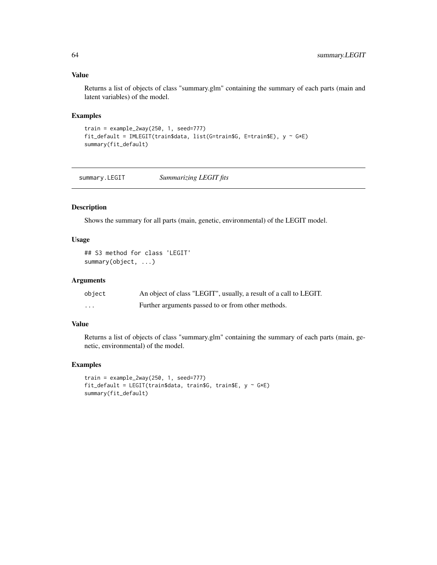Returns a list of objects of class "summary.glm" containing the summary of each parts (main and latent variables) of the model.

#### Examples

```
train = example_2way(250, 1, seed=777)
fit_default = IMLEGIT(train$data, list(G=train$G, E=train$E), y ~ G*E)
summary(fit_default)
```
summary.LEGIT *Summarizing LEGIT fits*

#### Description

Shows the summary for all parts (main, genetic, environmental) of the LEGIT model.

#### Usage

```
## S3 method for class 'LEGIT'
summary(object, ...)
```
#### Arguments

| object   | An object of class "LEGIT", usually, a result of a call to LEGIT. |
|----------|-------------------------------------------------------------------|
| $\cdots$ | Further arguments passed to or from other methods.                |

#### Value

Returns a list of objects of class "summary.glm" containing the summary of each parts (main, genetic, environmental) of the model.

#### Examples

```
train = example_2way(250, 1, seed=777)
fit_default = LEGIT(train$data, train$G, train$E, y \sim G*E)
summary(fit_default)
```
<span id="page-63-0"></span>